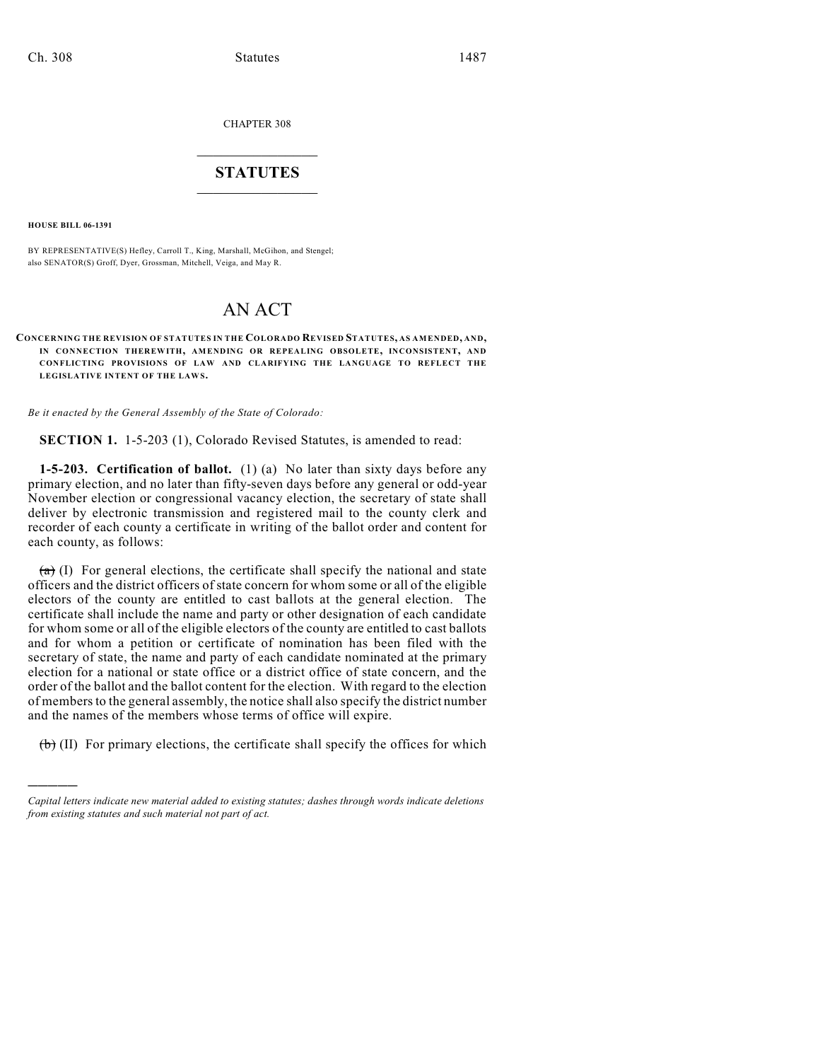CHAPTER 308

# $\mathcal{L}_\text{max}$  . The set of the set of the set of the set of the set of the set of the set of the set of the set of the set of the set of the set of the set of the set of the set of the set of the set of the set of the set **STATUTES**  $\_$   $\_$

**HOUSE BILL 06-1391**

)))))

BY REPRESENTATIVE(S) Hefley, Carroll T., King, Marshall, McGihon, and Stengel; also SENATOR(S) Groff, Dyer, Grossman, Mitchell, Veiga, and May R.

# AN ACT

**CONCERNING THE REVISION OF STATUTES IN THE COLORADO REVISED STATUTES, AS AMENDED, AND, IN CONNECTION THEREWITH, AMENDING OR REPEALING OBSOLETE, INCONSISTENT, AND CONFLICTING PROVISIONS OF LAW AND CLARIFYING THE LANGUAGE TO REFLECT THE** LEGISLATIVE INTENT OF THE LAWS.

*Be it enacted by the General Assembly of the State of Colorado:*

**SECTION 1.** 1-5-203 (1), Colorado Revised Statutes, is amended to read:

**1-5-203. Certification of ballot.** (1) (a) No later than sixty days before any primary election, and no later than fifty-seven days before any general or odd-year November election or congressional vacancy election, the secretary of state shall deliver by electronic transmission and registered mail to the county clerk and recorder of each county a certificate in writing of the ballot order and content for each county, as follows:

 $(a)$  (I) For general elections, the certificate shall specify the national and state officers and the district officers of state concern for whom some or all of the eligible electors of the county are entitled to cast ballots at the general election. The certificate shall include the name and party or other designation of each candidate for whom some or all of the eligible electors of the county are entitled to cast ballots and for whom a petition or certificate of nomination has been filed with the secretary of state, the name and party of each candidate nominated at the primary election for a national or state office or a district office of state concern, and the order of the ballot and the ballot content for the election. With regard to the election of members to the general assembly, the notice shall also specify the district number and the names of the members whose terms of office will expire.

 $(\theta)$  (II) For primary elections, the certificate shall specify the offices for which

*Capital letters indicate new material added to existing statutes; dashes through words indicate deletions from existing statutes and such material not part of act.*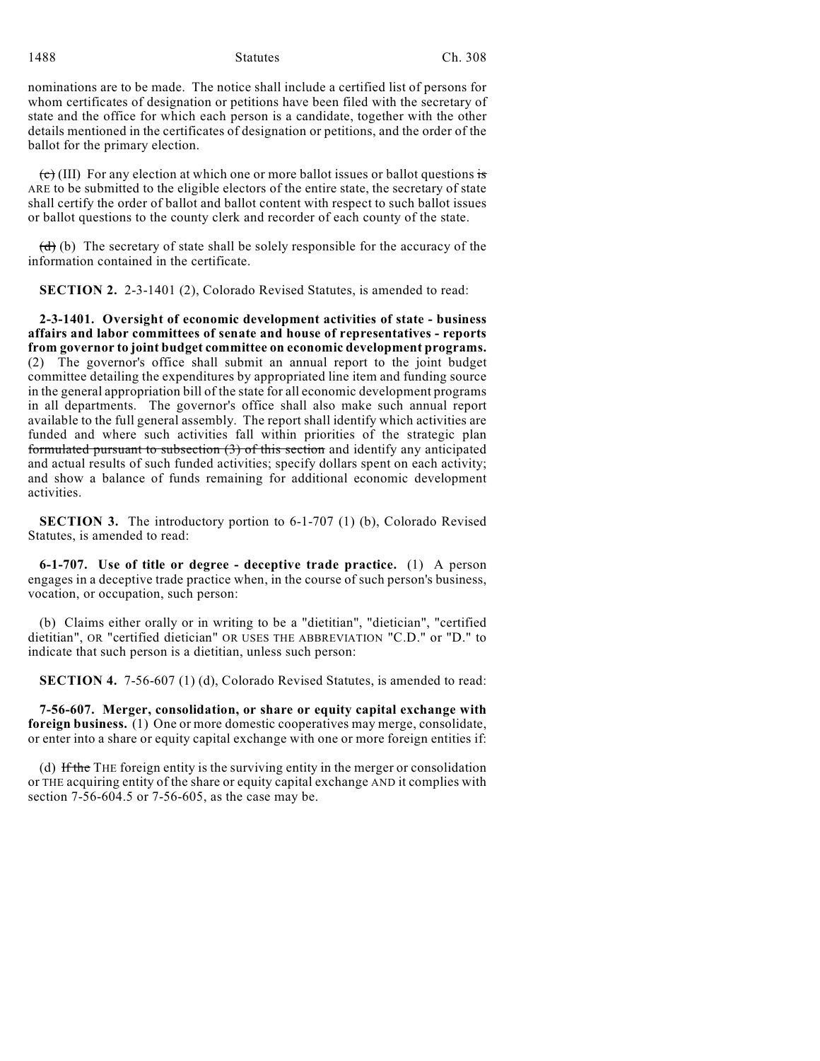nominations are to be made. The notice shall include a certified list of persons for whom certificates of designation or petitions have been filed with the secretary of state and the office for which each person is a candidate, together with the other details mentioned in the certificates of designation or petitions, and the order of the ballot for the primary election.

 $\overline{(c)}$  (III) For any election at which one or more ballot issues or ballot questions is ARE to be submitted to the eligible electors of the entire state, the secretary of state shall certify the order of ballot and ballot content with respect to such ballot issues or ballot questions to the county clerk and recorder of each county of the state.

 $(d)$  (b) The secretary of state shall be solely responsible for the accuracy of the information contained in the certificate.

**SECTION 2.** 2-3-1401 (2), Colorado Revised Statutes, is amended to read:

**2-3-1401. Oversight of economic development activities of state - business affairs and labor committees of senate and house of representatives - reports from governor to joint budget committee on economic development programs.** (2) The governor's office shall submit an annual report to the joint budget committee detailing the expenditures by appropriated line item and funding source in the general appropriation bill of the state for all economic development programs in all departments. The governor's office shall also make such annual report available to the full general assembly. The report shall identify which activities are funded and where such activities fall within priorities of the strategic plan formulated pursuant to subsection (3) of this section and identify any anticipated and actual results of such funded activities; specify dollars spent on each activity; and show a balance of funds remaining for additional economic development activities.

**SECTION 3.** The introductory portion to 6-1-707 (1) (b), Colorado Revised Statutes, is amended to read:

**6-1-707. Use of title or degree - deceptive trade practice.** (1) A person engages in a deceptive trade practice when, in the course of such person's business, vocation, or occupation, such person:

(b) Claims either orally or in writing to be a "dietitian", "dietician", "certified dietitian", OR "certified dietician" OR USES THE ABBREVIATION "C.D." or "D." to indicate that such person is a dietitian, unless such person:

**SECTION 4.** 7-56-607 (1) (d), Colorado Revised Statutes, is amended to read:

**7-56-607. Merger, consolidation, or share or equity capital exchange with foreign business.** (1) One or more domestic cooperatives may merge, consolidate, or enter into a share or equity capital exchange with one or more foreign entities if:

(d) If the THE foreign entity is the surviving entity in the merger or consolidation or THE acquiring entity of the share or equity capital exchange AND it complies with section 7-56-604.5 or 7-56-605, as the case may be.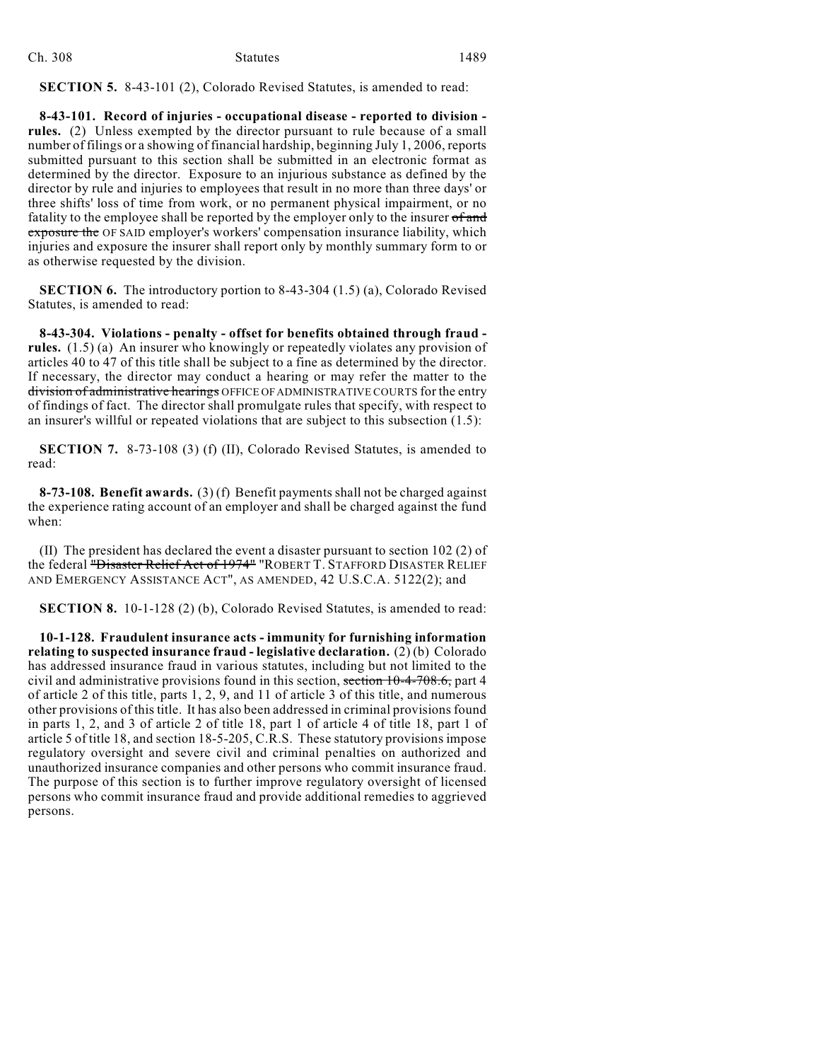| Ch. 308 | <b>Statutes</b> | 1489 |
|---------|-----------------|------|
|         |                 |      |

**SECTION 5.** 8-43-101 (2), Colorado Revised Statutes, is amended to read:

**8-43-101. Record of injuries - occupational disease - reported to division rules.** (2) Unless exempted by the director pursuant to rule because of a small number of filings or a showing of financial hardship, beginning July 1, 2006, reports submitted pursuant to this section shall be submitted in an electronic format as determined by the director. Exposure to an injurious substance as defined by the director by rule and injuries to employees that result in no more than three days' or three shifts' loss of time from work, or no permanent physical impairment, or no fatality to the employee shall be reported by the employer only to the insurer of and exposure the OF SAID employer's workers' compensation insurance liability, which injuries and exposure the insurer shall report only by monthly summary form to or as otherwise requested by the division.

**SECTION 6.** The introductory portion to 8-43-304 (1.5) (a), Colorado Revised Statutes, is amended to read:

**8-43-304. Violations - penalty - offset for benefits obtained through fraud rules.** (1.5) (a) An insurer who knowingly or repeatedly violates any provision of articles 40 to 47 of this title shall be subject to a fine as determined by the director. If necessary, the director may conduct a hearing or may refer the matter to the division of administrative hearings OFFICE OF ADMINISTRATIVE COURTS for the entry of findings of fact. The director shall promulgate rules that specify, with respect to an insurer's willful or repeated violations that are subject to this subsection (1.5):

**SECTION 7.** 8-73-108 (3) (f) (II), Colorado Revised Statutes, is amended to read:

**8-73-108. Benefit awards.** (3) (f) Benefit payments shall not be charged against the experience rating account of an employer and shall be charged against the fund when:

(II) The president has declared the event a disaster pursuant to section 102 (2) of the federal "Disaster Relief Act of 1974" "ROBERT T. STAFFORD DISASTER RELIEF AND EMERGENCY ASSISTANCE ACT", AS AMENDED, 42 U.S.C.A. 5122(2); and

**SECTION 8.** 10-1-128 (2) (b), Colorado Revised Statutes, is amended to read:

**10-1-128. Fraudulent insurance acts - immunity for furnishing information relating to suspected insurance fraud - legislative declaration.** (2) (b) Colorado has addressed insurance fraud in various statutes, including but not limited to the civil and administrative provisions found in this section, section 10-4-708.6, part 4 of article 2 of this title, parts 1, 2, 9, and 11 of article 3 of this title, and numerous other provisions of this title. It has also been addressed in criminal provisions found in parts 1, 2, and 3 of article 2 of title 18, part 1 of article 4 of title 18, part 1 of article 5 of title 18, and section 18-5-205, C.R.S. These statutory provisions impose regulatory oversight and severe civil and criminal penalties on authorized and unauthorized insurance companies and other persons who commit insurance fraud. The purpose of this section is to further improve regulatory oversight of licensed persons who commit insurance fraud and provide additional remedies to aggrieved persons.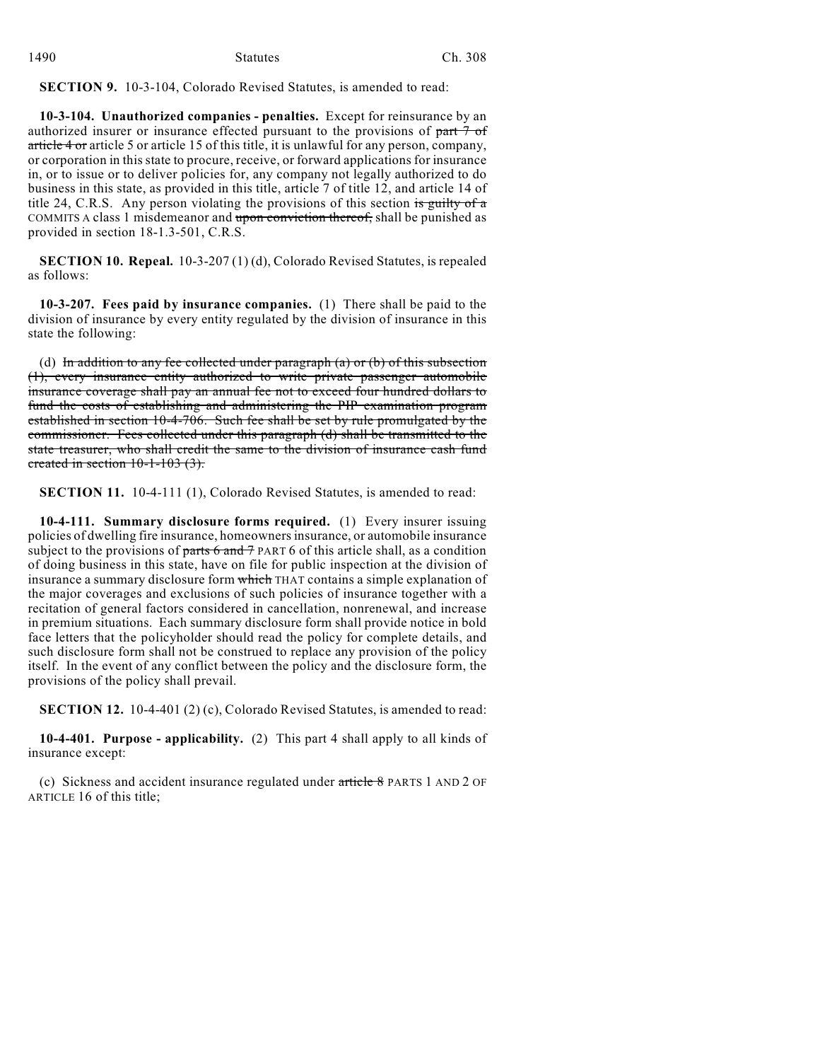| 1490 | <b>Statutes</b> | Ch. 308 |  |
|------|-----------------|---------|--|
|      |                 |         |  |

**SECTION 9.** 10-3-104, Colorado Revised Statutes, is amended to read:

**10-3-104. Unauthorized companies - penalties.** Except for reinsurance by an authorized insurer or insurance effected pursuant to the provisions of part 7 of article 4 or article 5 or article 15 of this title, it is unlawful for any person, company, or corporation in this state to procure, receive, or forward applications for insurance in, or to issue or to deliver policies for, any company not legally authorized to do business in this state, as provided in this title, article 7 of title 12, and article 14 of title 24, C.R.S. Any person violating the provisions of this section is guilty of  $\alpha$ COMMITS A class 1 misdemeanor and upon conviction thereof, shall be punished as provided in section 18-1.3-501, C.R.S.

**SECTION 10. Repeal.** 10-3-207 (1) (d), Colorado Revised Statutes, is repealed as follows:

**10-3-207. Fees paid by insurance companies.** (1) There shall be paid to the division of insurance by every entity regulated by the division of insurance in this state the following:

(d) In addition to any fee collected under paragraph  $(a)$  or  $(b)$  of this subsection (1), every insurance entity authorized to write private passenger automobile insurance coverage shall pay an annual fee not to exceed four hundred dollars to fund the costs of establishing and administering the PIP examination program established in section 10-4-706. Such fee shall be set by rule promulgated by the commissioner. Fees collected under this paragraph (d) shall be transmitted to the state treasurer, who shall credit the same to the division of insurance cash fund created in section 10-1-103 (3).

**SECTION 11.** 10-4-111 (1), Colorado Revised Statutes, is amended to read:

**10-4-111. Summary disclosure forms required.** (1) Every insurer issuing policies of dwelling fire insurance, homeowners insurance, or automobile insurance subject to the provisions of parts  $6$  and  $7$  PART 6 of this article shall, as a condition of doing business in this state, have on file for public inspection at the division of insurance a summary disclosure form which THAT contains a simple explanation of the major coverages and exclusions of such policies of insurance together with a recitation of general factors considered in cancellation, nonrenewal, and increase in premium situations. Each summary disclosure form shall provide notice in bold face letters that the policyholder should read the policy for complete details, and such disclosure form shall not be construed to replace any provision of the policy itself. In the event of any conflict between the policy and the disclosure form, the provisions of the policy shall prevail.

**SECTION 12.** 10-4-401 (2) (c), Colorado Revised Statutes, is amended to read:

**10-4-401. Purpose - applicability.** (2) This part 4 shall apply to all kinds of insurance except:

(c) Sickness and accident insurance regulated under article 8 PARTS 1 AND 2 OF ARTICLE 16 of this title;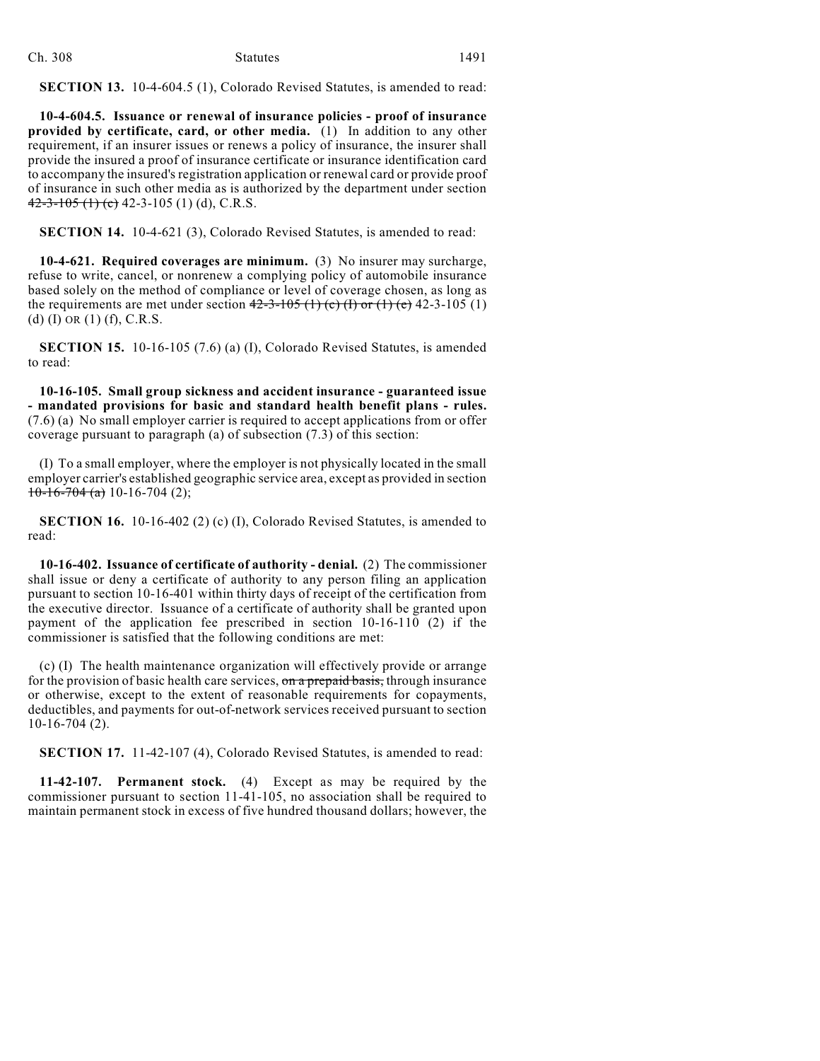| Ch. 308 | <b>Statutes</b> | 1491 |
|---------|-----------------|------|
|         |                 |      |

**SECTION 13.** 10-4-604.5 (1), Colorado Revised Statutes, is amended to read:

**10-4-604.5. Issuance or renewal of insurance policies - proof of insurance provided by certificate, card, or other media.** (1) In addition to any other requirement, if an insurer issues or renews a policy of insurance, the insurer shall provide the insured a proof of insurance certificate or insurance identification card to accompany the insured's registration application or renewal card or provide proof of insurance in such other media as is authorized by the department under section  $42 - 3 - 105$  (1) (e) 42-3-105 (1) (d), C.R.S.

**SECTION 14.** 10-4-621 (3), Colorado Revised Statutes, is amended to read:

**10-4-621. Required coverages are minimum.** (3) No insurer may surcharge, refuse to write, cancel, or nonrenew a complying policy of automobile insurance based solely on the method of compliance or level of coverage chosen, as long as the requirements are met under section  $42-3-105$  (1) (c) (f) or (1) (e) 42-3-105 (1) (d) (I) OR  $(1)$  (f), C.R.S.

**SECTION 15.** 10-16-105 (7.6) (a) (I), Colorado Revised Statutes, is amended to read:

**10-16-105. Small group sickness and accident insurance - guaranteed issue - mandated provisions for basic and standard health benefit plans - rules.** (7.6) (a) No small employer carrier is required to accept applications from or offer coverage pursuant to paragraph (a) of subsection (7.3) of this section:

(I) To a small employer, where the employer is not physically located in the small employer carrier's established geographic service area, except as provided in section  $10-16-704$  (a) 10-16-704 (2);

**SECTION 16.** 10-16-402 (2) (c) (I), Colorado Revised Statutes, is amended to read:

**10-16-402. Issuance of certificate of authority - denial.** (2) The commissioner shall issue or deny a certificate of authority to any person filing an application pursuant to section 10-16-401 within thirty days of receipt of the certification from the executive director. Issuance of a certificate of authority shall be granted upon payment of the application fee prescribed in section 10-16-110 (2) if the commissioner is satisfied that the following conditions are met:

(c) (I) The health maintenance organization will effectively provide or arrange for the provision of basic health care services, on a prepaid basis, through insurance or otherwise, except to the extent of reasonable requirements for copayments, deductibles, and payments for out-of-network services received pursuant to section 10-16-704 (2).

**SECTION 17.** 11-42-107 (4), Colorado Revised Statutes, is amended to read:

**11-42-107. Permanent stock.** (4) Except as may be required by the commissioner pursuant to section 11-41-105, no association shall be required to maintain permanent stock in excess of five hundred thousand dollars; however, the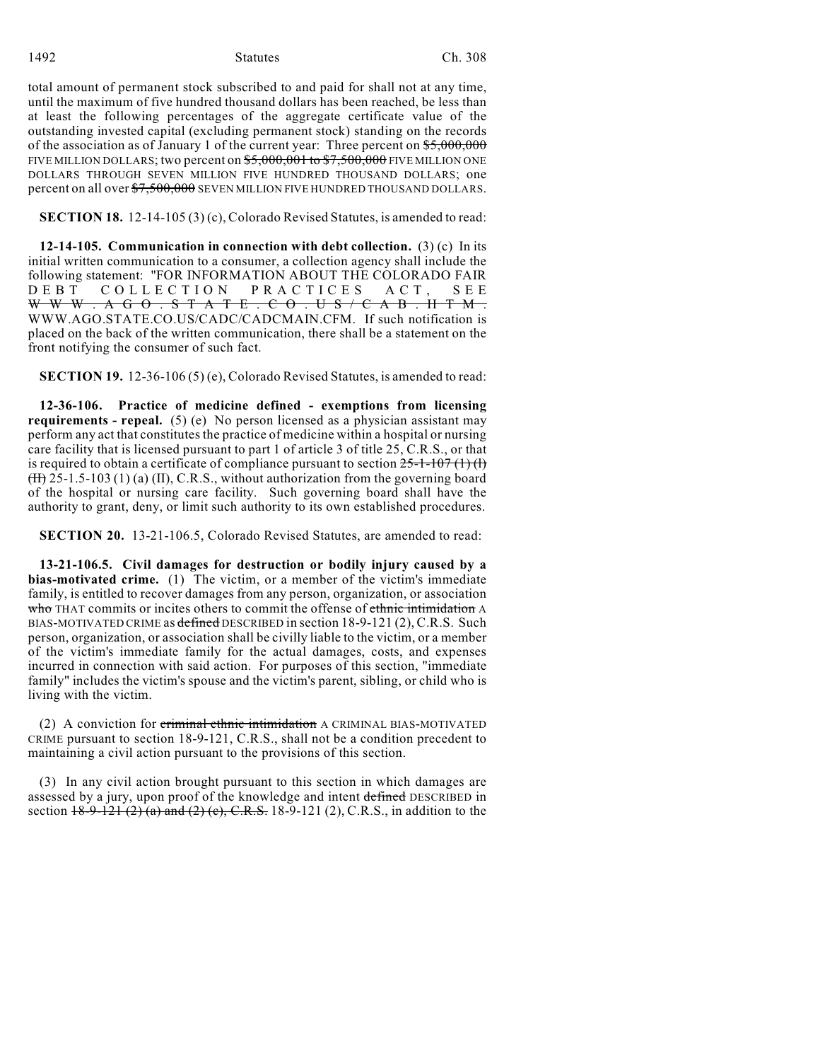1492 Statutes Ch. 308

total amount of permanent stock subscribed to and paid for shall not at any time, until the maximum of five hundred thousand dollars has been reached, be less than at least the following percentages of the aggregate certificate value of the outstanding invested capital (excluding permanent stock) standing on the records of the association as of January 1 of the current year: Three percent on  $$5,000,000$ FIVE MILLION DOLLARS; two percent on  $$5,000,001$  to  $$7,500,000$  FIVE MILLION ONE DOLLARS THROUGH SEVEN MILLION FIVE HUNDRED THOUSAND DOLLARS; one percent on all over  $\frac{$7,500,000}{$7,500,000}$  SEVEN MILLION FIVE HUNDRED THOUSAND DOLLARS.

**SECTION 18.** 12-14-105 (3) (c), Colorado Revised Statutes, is amended to read:

**12-14-105. Communication in connection with debt collection.** (3) (c) In its initial written communication to a consumer, a collection agency shall include the following statement: "FOR INFORMATION ABOUT THE COLORADO FAIR DEBT COLLECTION PRACTICES ACT, SEE WWW. A G O . S T A T E . C O . U S / C A B . H T M . WWW.AGO.STATE.CO.US/CADC/CADCMAIN.CFM. If such notification is placed on the back of the written communication, there shall be a statement on the front notifying the consumer of such fact.

**SECTION 19.** 12-36-106 (5) (e), Colorado Revised Statutes, is amended to read:

**12-36-106. Practice of medicine defined - exemptions from licensing requirements - repeal.** (5) (e) No person licensed as a physician assistant may perform any act that constitutes the practice of medicine within a hospital or nursing care facility that is licensed pursuant to part 1 of article 3 of title 25, C.R.S., or that is required to obtain a certificate of compliance pursuant to section  $25-1-107(1)(1)$ (II) 25-1.5-103 (1) (a) (II), C.R.S., without authorization from the governing board of the hospital or nursing care facility. Such governing board shall have the authority to grant, deny, or limit such authority to its own established procedures.

**SECTION 20.** 13-21-106.5, Colorado Revised Statutes, are amended to read:

**13-21-106.5. Civil damages for destruction or bodily injury caused by a bias-motivated crime.** (1) The victim, or a member of the victim's immediate family, is entitled to recover damages from any person, organization, or association who THAT commits or incites others to commit the offense of ethnic intimidation A BIAS-MOTIVATED CRIME as defined DESCRIBED in section 18-9-121 (2), C.R.S. Such person, organization, or association shall be civilly liable to the victim, or a member of the victim's immediate family for the actual damages, costs, and expenses incurred in connection with said action. For purposes of this section, "immediate family" includes the victim's spouse and the victim's parent, sibling, or child who is living with the victim.

(2) A conviction for criminal ethnic intimidation A CRIMINAL BIAS-MOTIVATED CRIME pursuant to section 18-9-121, C.R.S., shall not be a condition precedent to maintaining a civil action pursuant to the provisions of this section.

(3) In any civil action brought pursuant to this section in which damages are assessed by a jury, upon proof of the knowledge and intent defined DESCRIBED in section  $18-9-121$  (2) (a) and (2) (e), C.R.S. 18-9-121 (2), C.R.S., in addition to the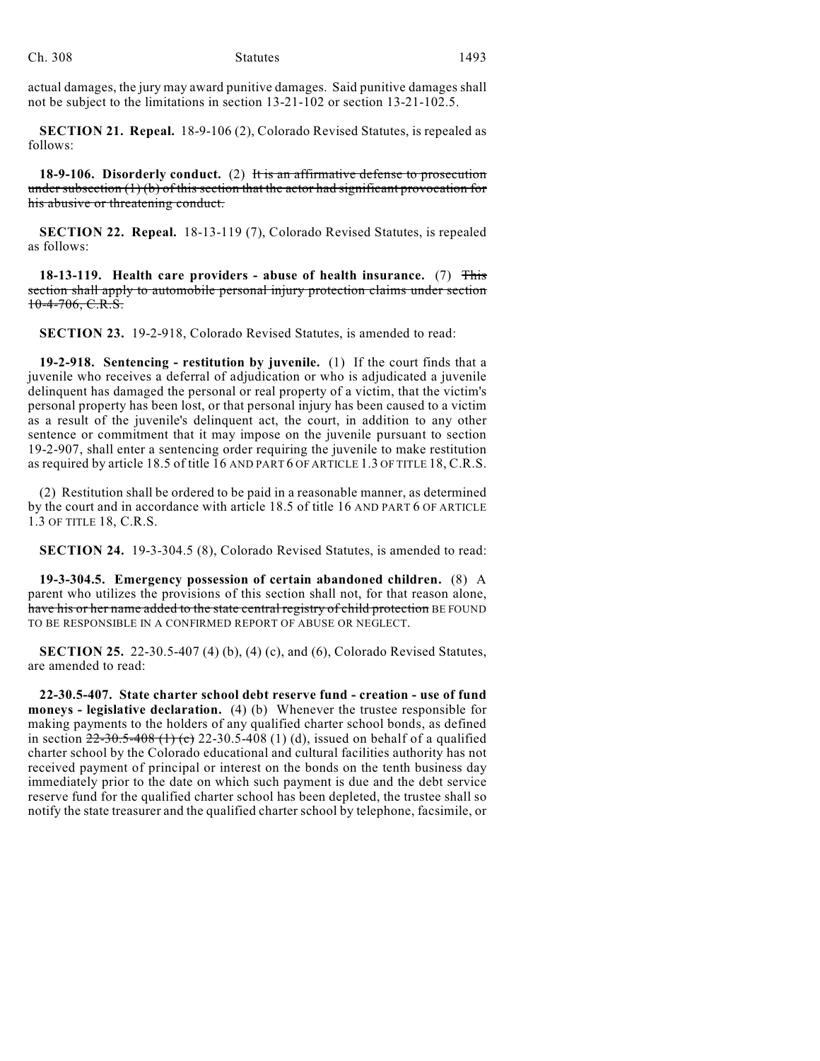actual damages, the jury may award punitive damages. Said punitive damages shall not be subject to the limitations in section 13-21-102 or section 13-21-102.5.

**SECTION 21. Repeal.** 18-9-106 (2), Colorado Revised Statutes, is repealed as follows:

**18-9-106. Disorderly conduct.** (2) It is an affirmative defense to prosecution under subsection (1) (b) of this section that the actor had significant provocation for his abusive or threatening conduct.

**SECTION 22. Repeal.** 18-13-119 (7), Colorado Revised Statutes, is repealed as follows:

**18-13-119. Health care providers - abuse of health insurance.** (7) This section shall apply to automobile personal injury protection claims under section  $10-4-706$ , C.R.S.

**SECTION 23.** 19-2-918, Colorado Revised Statutes, is amended to read:

**19-2-918. Sentencing - restitution by juvenile.** (1) If the court finds that a juvenile who receives a deferral of adjudication or who is adjudicated a juvenile delinquent has damaged the personal or real property of a victim, that the victim's personal property has been lost, or that personal injury has been caused to a victim as a result of the juvenile's delinquent act, the court, in addition to any other sentence or commitment that it may impose on the juvenile pursuant to section 19-2-907, shall enter a sentencing order requiring the juvenile to make restitution as required by article 18.5 of title 16 AND PART 6 OF ARTICLE 1.3 OF TITLE 18, C.R.S.

(2) Restitution shall be ordered to be paid in a reasonable manner, as determined by the court and in accordance with article 18.5 of title 16 AND PART 6 OF ARTICLE 1.3 OF TITLE 18, C.R.S.

**SECTION 24.** 19-3-304.5 (8), Colorado Revised Statutes, is amended to read:

**19-3-304.5. Emergency possession of certain abandoned children.** (8) A parent who utilizes the provisions of this section shall not, for that reason alone, have his or her name added to the state central registry of child protection BE FOUND TO BE RESPONSIBLE IN A CONFIRMED REPORT OF ABUSE OR NEGLECT.

**SECTION 25.** 22-30.5-407 (4) (b), (4) (c), and (6), Colorado Revised Statutes, are amended to read:

**22-30.5-407. State charter school debt reserve fund - creation - use of fund moneys - legislative declaration.** (4) (b) Whenever the trustee responsible for making payments to the holders of any qualified charter school bonds, as defined in section  $22-30.5-408$  (1) (c)  $22-30.5-408$  (1) (d), issued on behalf of a qualified charter school by the Colorado educational and cultural facilities authority has not received payment of principal or interest on the bonds on the tenth business day immediately prior to the date on which such payment is due and the debt service reserve fund for the qualified charter school has been depleted, the trustee shall so notify the state treasurer and the qualified charter school by telephone, facsimile, or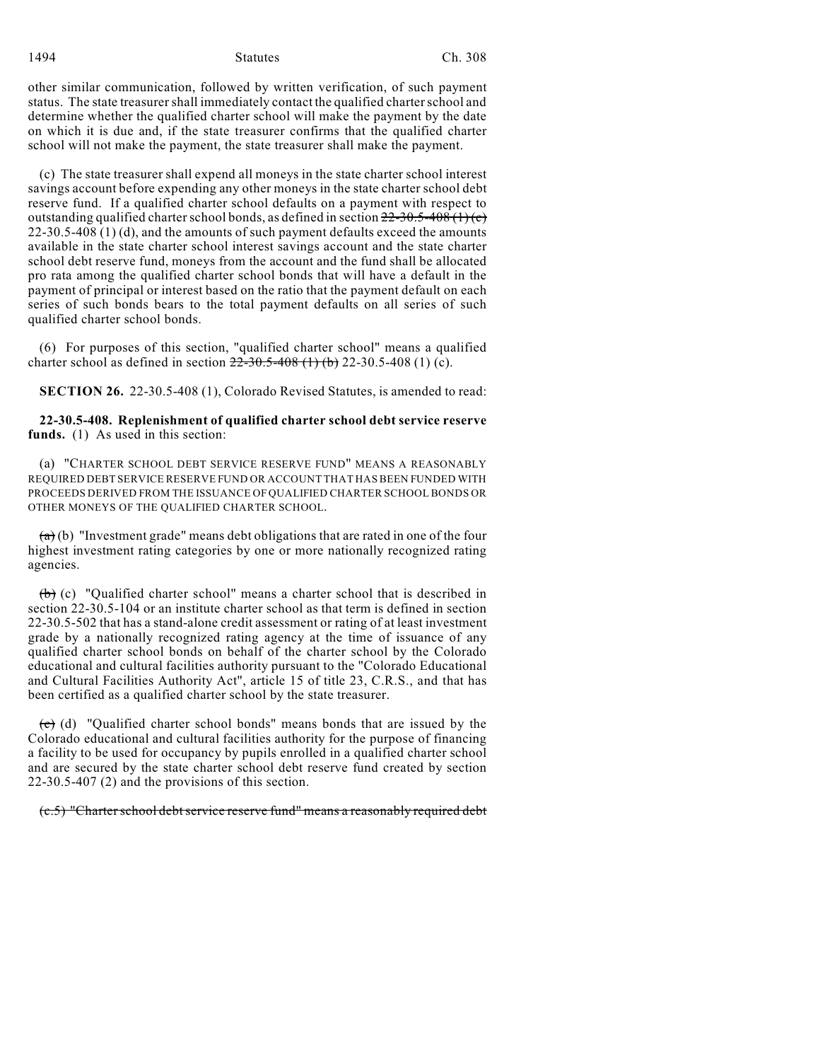1494 Statutes Ch. 308

other similar communication, followed by written verification, of such payment status. The state treasurer shall immediately contact the qualified charterschool and determine whether the qualified charter school will make the payment by the date on which it is due and, if the state treasurer confirms that the qualified charter school will not make the payment, the state treasurer shall make the payment.

(c) The state treasurer shall expend all moneys in the state charter school interest savings account before expending any other moneys in the state charter school debt reserve fund. If a qualified charter school defaults on a payment with respect to outstanding qualified charter school bonds, as defined in section  $22{\text -}30.5{\text -}408$  (1) (c)  $22-30.5-408$  (1) (d), and the amounts of such payment defaults exceed the amounts available in the state charter school interest savings account and the state charter school debt reserve fund, moneys from the account and the fund shall be allocated pro rata among the qualified charter school bonds that will have a default in the payment of principal or interest based on the ratio that the payment default on each series of such bonds bears to the total payment defaults on all series of such qualified charter school bonds.

(6) For purposes of this section, "qualified charter school" means a qualified charter school as defined in section  $22-30.5-408$  (1) (b) 22-30.5-408 (1) (c).

**SECTION 26.** 22-30.5-408 (1), Colorado Revised Statutes, is amended to read:

**22-30.5-408. Replenishment of qualified charter school debt service reserve funds.** (1) As used in this section:

(a) "CHARTER SCHOOL DEBT SERVICE RESERVE FUND" MEANS A REASONABLY REQUIRED DEBT SERVICE RESERVE FUND OR ACCOUNT THAT HAS BEEN FUNDED WITH PROCEEDS DERIVED FROM THE ISSUANCE OF QUALIFIED CHARTER SCHOOL BONDS OR OTHER MONEYS OF THE QUALIFIED CHARTER SCHOOL.

 $(a)$  (b) "Investment grade" means debt obligations that are rated in one of the four highest investment rating categories by one or more nationally recognized rating agencies.

(b) (c) "Qualified charter school" means a charter school that is described in section 22-30.5-104 or an institute charter school as that term is defined in section 22-30.5-502 that has a stand-alone credit assessment or rating of at least investment grade by a nationally recognized rating agency at the time of issuance of any qualified charter school bonds on behalf of the charter school by the Colorado educational and cultural facilities authority pursuant to the "Colorado Educational and Cultural Facilities Authority Act", article 15 of title 23, C.R.S., and that has been certified as a qualified charter school by the state treasurer.

 $\overline{(c)}$  (d) "Qualified charter school bonds" means bonds that are issued by the Colorado educational and cultural facilities authority for the purpose of financing a facility to be used for occupancy by pupils enrolled in a qualified charter school and are secured by the state charter school debt reserve fund created by section 22-30.5-407 (2) and the provisions of this section.

 $(c.5)$  "Charter school debt service reserve fund" means a reasonably required debt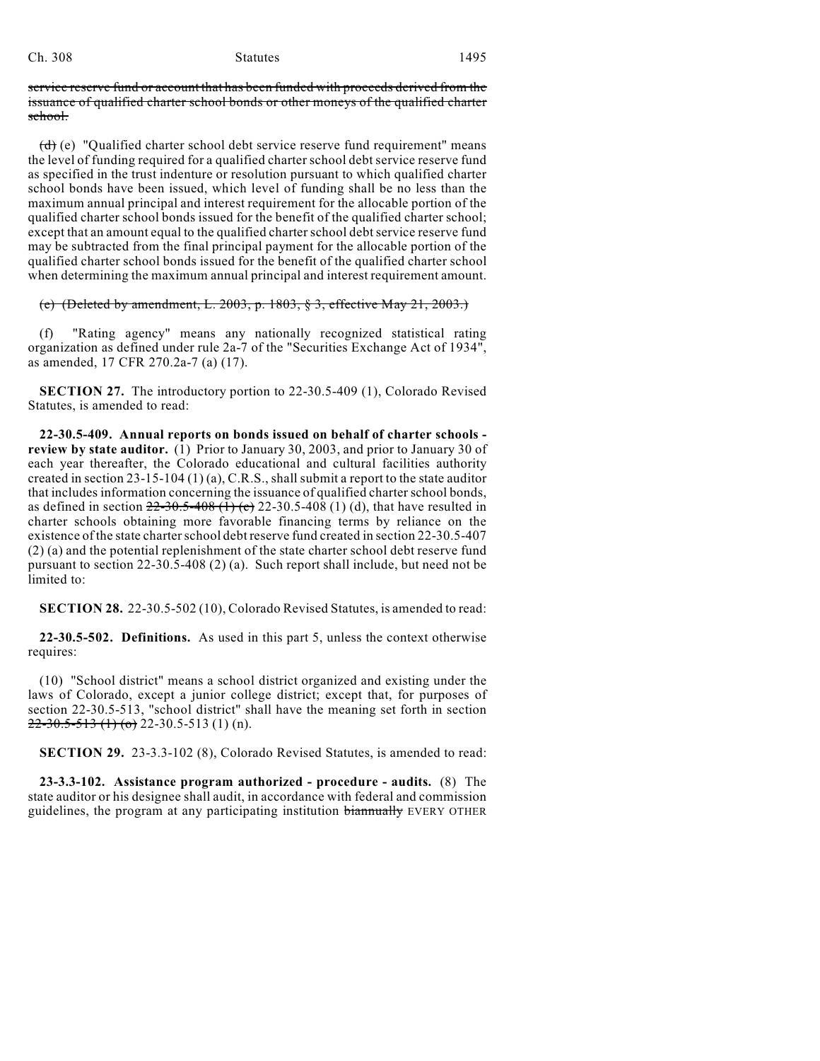service reserve fund or account that has been funded with proceeds derived from the issuance of qualified charter school bonds or other moneys of the qualified charter school.

(d) (e) "Qualified charter school debt service reserve fund requirement" means the level of funding required for a qualified charter school debt service reserve fund as specified in the trust indenture or resolution pursuant to which qualified charter school bonds have been issued, which level of funding shall be no less than the maximum annual principal and interest requirement for the allocable portion of the qualified charter school bonds issued for the benefit of the qualified charter school; except that an amount equal to the qualified charter school debt service reserve fund may be subtracted from the final principal payment for the allocable portion of the qualified charter school bonds issued for the benefit of the qualified charter school when determining the maximum annual principal and interest requirement amount.

# (e) (Deleted by amendment, L. 2003, p. 1803, § 3, effective May 21, 2003.)

(f) "Rating agency" means any nationally recognized statistical rating organization as defined under rule 2a-7 of the "Securities Exchange Act of 1934", as amended, 17 CFR 270.2a-7 (a) (17).

**SECTION 27.** The introductory portion to 22-30.5-409 (1), Colorado Revised Statutes, is amended to read:

**22-30.5-409. Annual reports on bonds issued on behalf of charter schools review by state auditor.** (1) Prior to January 30, 2003, and prior to January 30 of each year thereafter, the Colorado educational and cultural facilities authority created in section 23-15-104 (1) (a), C.R.S., shall submit a report to the state auditor that includes information concerning the issuance of qualified charter school bonds, as defined in section  $22-30.5-408$  (1) (c) 22-30.5-408 (1) (d), that have resulted in charter schools obtaining more favorable financing terms by reliance on the existence of the state charter school debt reserve fund created in section 22-30.5-407 (2) (a) and the potential replenishment of the state charter school debt reserve fund pursuant to section 22-30.5-408 (2) (a). Such report shall include, but need not be limited to:

**SECTION 28.** 22-30.5-502 (10), Colorado Revised Statutes, is amended to read:

**22-30.5-502. Definitions.** As used in this part 5, unless the context otherwise requires:

(10) "School district" means a school district organized and existing under the laws of Colorado, except a junior college district; except that, for purposes of section 22-30.5-513, "school district" shall have the meaning set forth in section  $22 - 30.5 - 513$  (1) (o) 22-30.5-513 (1) (n).

**SECTION 29.** 23-3.3-102 (8), Colorado Revised Statutes, is amended to read:

**23-3.3-102. Assistance program authorized - procedure - audits.** (8) The state auditor or his designee shall audit, in accordance with federal and commission guidelines, the program at any participating institution biannually EVERY OTHER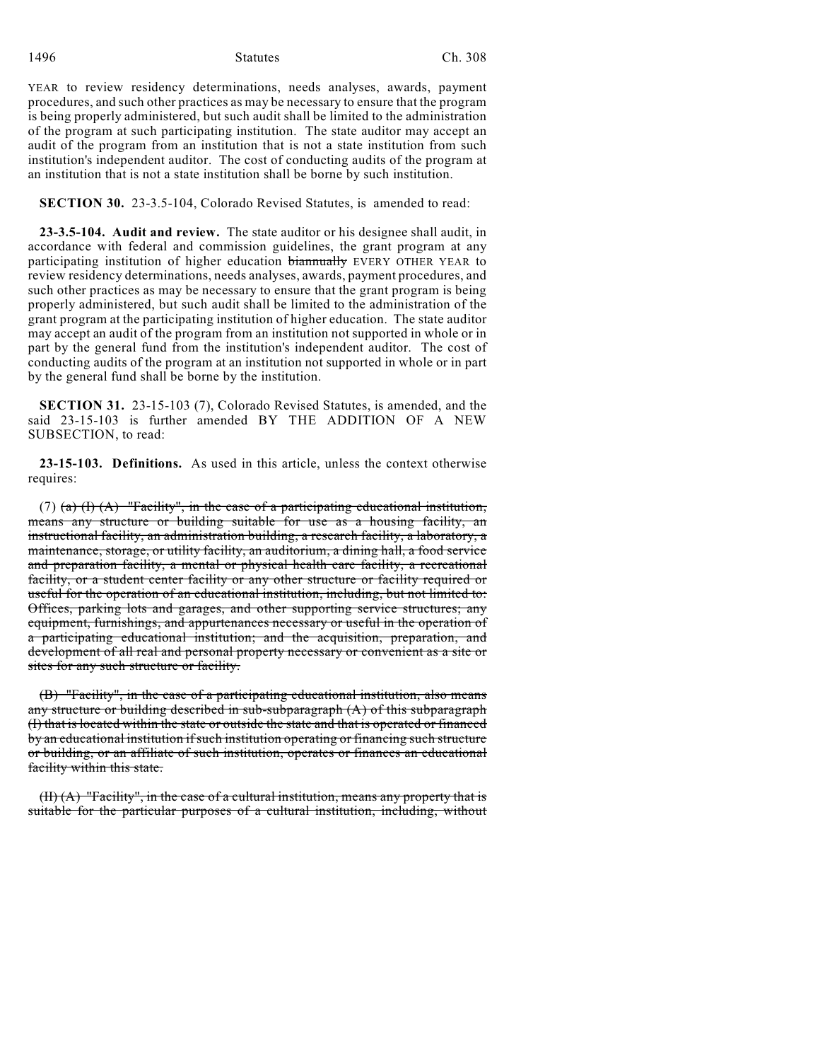YEAR to review residency determinations, needs analyses, awards, payment procedures, and such other practices as may be necessary to ensure that the program is being properly administered, but such audit shall be limited to the administration of the program at such participating institution. The state auditor may accept an audit of the program from an institution that is not a state institution from such institution's independent auditor. The cost of conducting audits of the program at an institution that is not a state institution shall be borne by such institution.

**SECTION 30.** 23-3.5-104, Colorado Revised Statutes, is amended to read:

**23-3.5-104. Audit and review.** The state auditor or his designee shall audit, in accordance with federal and commission guidelines, the grant program at any participating institution of higher education biannually EVERY OTHER YEAR to review residency determinations, needs analyses, awards, payment procedures, and such other practices as may be necessary to ensure that the grant program is being properly administered, but such audit shall be limited to the administration of the grant program at the participating institution of higher education. The state auditor may accept an audit of the program from an institution not supported in whole or in part by the general fund from the institution's independent auditor. The cost of conducting audits of the program at an institution not supported in whole or in part by the general fund shall be borne by the institution.

**SECTION 31.** 23-15-103 (7), Colorado Revised Statutes, is amended, and the said 23-15-103 is further amended BY THE ADDITION OF A NEW SUBSECTION, to read:

**23-15-103. Definitions.** As used in this article, unless the context otherwise requires:

(7) (a)  $(H)$  (A) "Facility", in the case of a participating educational institution, means any structure or building suitable for use as a housing facility, an instructional facility, an administration building, a research facility, a laboratory, a maintenance, storage, or utility facility, an auditorium, a dining hall, a food service and preparation facility, a mental or physical health care facility, a recreational facility, or a student center facility or any other structure or facility required or useful for the operation of an educational institution, including, but not limited to: Offices, parking lots and garages, and other supporting service structures; any equipment, furnishings, and appurtenances necessary or useful in the operation of a participating educational institution; and the acquisition, preparation, and development of all real and personal property necessary or convenient as a site or sites for any such structure or facility.

(B) "Facility", in the case of a participating educational institution, also means any structure or building described in sub-subparagraph  $(A)$  of this subparagraph (I) that is located within the state or outside the state and that is operated or financed by an educational institution if such institution operating or financing such structure or building, or an affiliate of such institution, operates or finances an educational facility within this state.

(II) (A) "Facility", in the case of a cultural institution, means any property that is suitable for the particular purposes of a cultural institution, including, without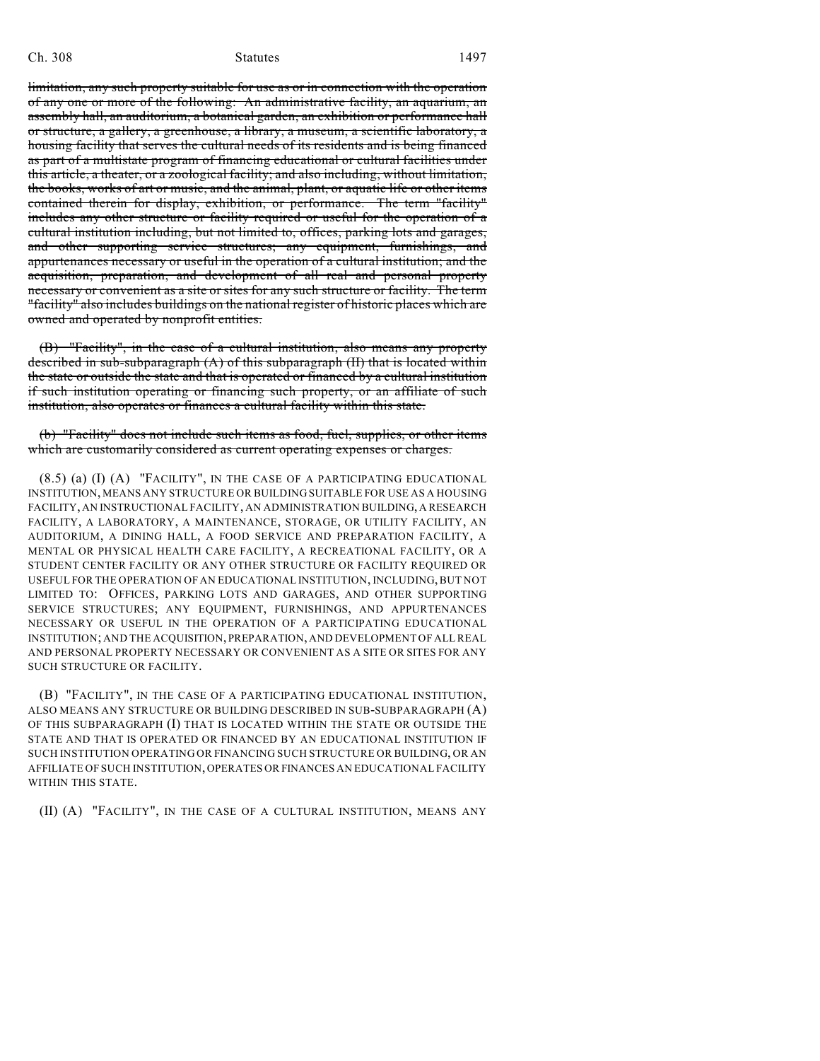limitation, any such property suitable for use as or in connection with the operation of any one or more of the following: An administrative facility, an aquarium, an assembly hall, an auditorium, a botanical garden, an exhibition or performance hall or structure, a gallery, a greenhouse, a library, a museum, a scientific laboratory, a housing facility that serves the cultural needs of its residents and is being financed as part of a multistate program of financing educational or cultural facilities under this article, a theater, or a zoological facility; and also including, without limitation, the books, works of art or music, and the animal, plant, or aquatic life or other items contained therein for display, exhibition, or performance. The term "facility" includes any other structure or facility required or useful for the operation of a cultural institution including, but not limited to, offices, parking lots and garages, and other supporting service structures; any equipment, furnishings, and appurtenances necessary or useful in the operation of a cultural institution; and the acquisition, preparation, and development of all real and personal property necessary or convenient as a site or sites for any such structure or facility. The term "facility" also includes buildings on the national register of historic places which are owned and operated by nonprofit entities.

(B) "Facility", in the case of a cultural institution, also means any property described in sub-subparagraph (A) of this subparagraph (II) that is located within the state or outside the state and that is operated or financed by a cultural institution if such institution operating or financing such property, or an affiliate of such institution, also operates or finances a cultural facility within this state.

(b) "Facility" does not include such items as food, fuel, supplies, or other items which are customarily considered as current operating expenses or charges.

(8.5) (a) (I) (A) "FACILITY", IN THE CASE OF A PARTICIPATING EDUCATIONAL INSTITUTION, MEANS ANY STRUCTURE OR BUILDING SUITABLE FOR USE AS A HOUSING FACILITY, AN INSTRUCTIONAL FACILITY, AN ADMINISTRATION BUILDING, A RESEARCH FACILITY, A LABORATORY, A MAINTENANCE, STORAGE, OR UTILITY FACILITY, AN AUDITORIUM, A DINING HALL, A FOOD SERVICE AND PREPARATION FACILITY, A MENTAL OR PHYSICAL HEALTH CARE FACILITY, A RECREATIONAL FACILITY, OR A STUDENT CENTER FACILITY OR ANY OTHER STRUCTURE OR FACILITY REQUIRED OR USEFUL FOR THE OPERATION OF AN EDUCATIONAL INSTITUTION, INCLUDING, BUT NOT LIMITED TO: OFFICES, PARKING LOTS AND GARAGES, AND OTHER SUPPORTING SERVICE STRUCTURES; ANY EQUIPMENT, FURNISHINGS, AND APPURTENANCES NECESSARY OR USEFUL IN THE OPERATION OF A PARTICIPATING EDUCATIONAL INSTITUTION; AND THE ACQUISITION, PREPARATION, AND DEVELOPMENT OF ALL REAL AND PERSONAL PROPERTY NECESSARY OR CONVENIENT AS A SITE OR SITES FOR ANY SUCH STRUCTURE OR FACILITY.

(B) "FACILITY", IN THE CASE OF A PARTICIPATING EDUCATIONAL INSTITUTION, ALSO MEANS ANY STRUCTURE OR BUILDING DESCRIBED IN SUB-SUBPARAGRAPH (A) OF THIS SUBPARAGRAPH (I) THAT IS LOCATED WITHIN THE STATE OR OUTSIDE THE STATE AND THAT IS OPERATED OR FINANCED BY AN EDUCATIONAL INSTITUTION IF SUCH INSTITUTION OPERATING OR FINANCING SUCH STRUCTURE OR BUILDING, OR AN AFFILIATE OF SUCH INSTITUTION, OPERATES OR FINANCES AN EDUCATIONAL FACILITY WITHIN THIS STATE.

(II) (A) "FACILITY", IN THE CASE OF A CULTURAL INSTITUTION, MEANS ANY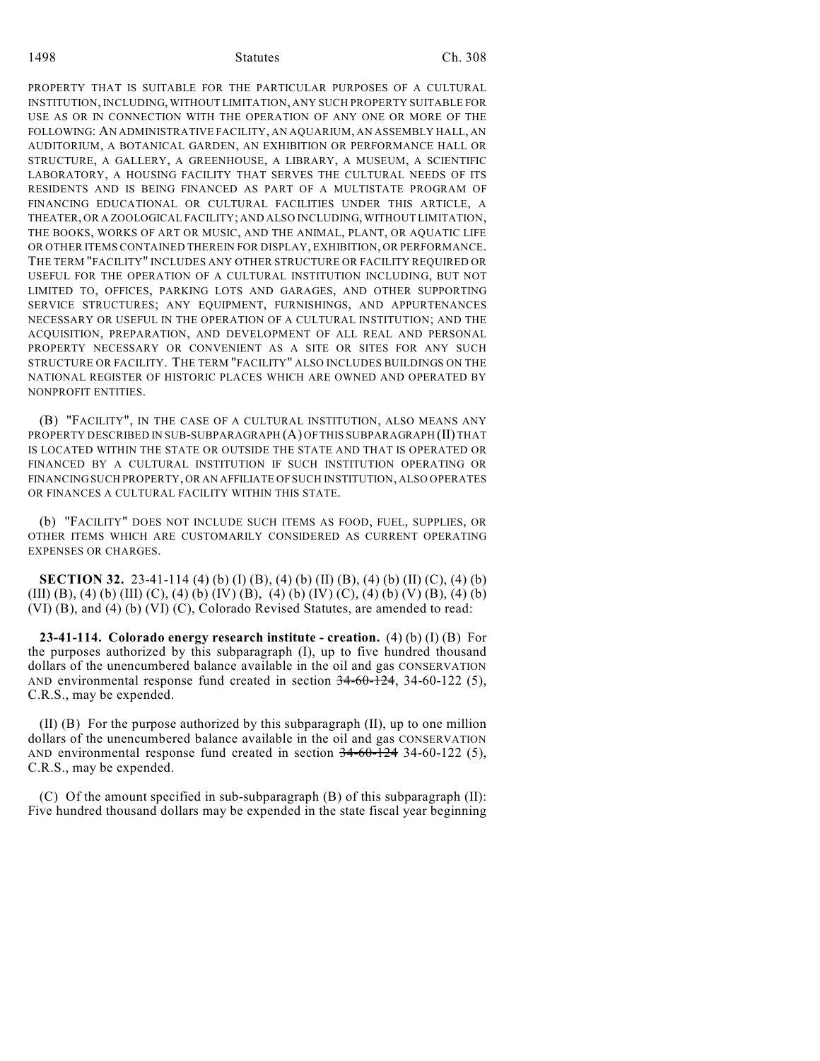PROPERTY THAT IS SUITABLE FOR THE PARTICULAR PURPOSES OF A CULTURAL INSTITUTION, INCLUDING, WITHOUT LIMITATION, ANY SUCH PROPERTY SUITABLE FOR USE AS OR IN CONNECTION WITH THE OPERATION OF ANY ONE OR MORE OF THE FOLLOWING: AN ADMINISTRATIVE FACILITY, AN AQUARIUM, AN ASSEMBLY HALL, AN AUDITORIUM, A BOTANICAL GARDEN, AN EXHIBITION OR PERFORMANCE HALL OR STRUCTURE, A GALLERY, A GREENHOUSE, A LIBRARY, A MUSEUM, A SCIENTIFIC LABORATORY, A HOUSING FACILITY THAT SERVES THE CULTURAL NEEDS OF ITS RESIDENTS AND IS BEING FINANCED AS PART OF A MULTISTATE PROGRAM OF FINANCING EDUCATIONAL OR CULTURAL FACILITIES UNDER THIS ARTICLE, A THEATER, OR A ZOOLOGICAL FACILITY; AND ALSO INCLUDING, WITHOUT LIMITATION, THE BOOKS, WORKS OF ART OR MUSIC, AND THE ANIMAL, PLANT, OR AQUATIC LIFE OR OTHER ITEMS CONTAINED THEREIN FOR DISPLAY, EXHIBITION, OR PERFORMANCE. THE TERM "FACILITY" INCLUDES ANY OTHER STRUCTURE OR FACILITY REQUIRED OR USEFUL FOR THE OPERATION OF A CULTURAL INSTITUTION INCLUDING, BUT NOT LIMITED TO, OFFICES, PARKING LOTS AND GARAGES, AND OTHER SUPPORTING SERVICE STRUCTURES; ANY EQUIPMENT, FURNISHINGS, AND APPURTENANCES NECESSARY OR USEFUL IN THE OPERATION OF A CULTURAL INSTITUTION; AND THE ACQUISITION, PREPARATION, AND DEVELOPMENT OF ALL REAL AND PERSONAL PROPERTY NECESSARY OR CONVENIENT AS A SITE OR SITES FOR ANY SUCH STRUCTURE OR FACILITY. THE TERM "FACILITY" ALSO INCLUDES BUILDINGS ON THE NATIONAL REGISTER OF HISTORIC PLACES WHICH ARE OWNED AND OPERATED BY NONPROFIT ENTITIES.

(B) "FACILITY", IN THE CASE OF A CULTURAL INSTITUTION, ALSO MEANS ANY PROPERTY DESCRIBED IN SUB-SUBPARAGRAPH (A) OF THIS SUBPARAGRAPH (II) THAT IS LOCATED WITHIN THE STATE OR OUTSIDE THE STATE AND THAT IS OPERATED OR FINANCED BY A CULTURAL INSTITUTION IF SUCH INSTITUTION OPERATING OR FINANCING SUCH PROPERTY, OR AN AFFILIATE OF SUCH INSTITUTION, ALSO OPERATES OR FINANCES A CULTURAL FACILITY WITHIN THIS STATE.

(b) "FACILITY" DOES NOT INCLUDE SUCH ITEMS AS FOOD, FUEL, SUPPLIES, OR OTHER ITEMS WHICH ARE CUSTOMARILY CONSIDERED AS CURRENT OPERATING EXPENSES OR CHARGES.

**SECTION 32.** 23-41-114 (4) (b) (I) (B), (4) (b) (II) (B), (4) (b) (II) (C), (4) (b) (III) (B), (4) (b) (III) (C), (4) (b) (IV) (B), (4) (b) (IV) (C), (4) (b) (V) (B), (4) (b) (VI) (B), and (4) (b) (VI) (C), Colorado Revised Statutes, are amended to read:

**23-41-114. Colorado energy research institute - creation.** (4) (b) (I) (B) For the purposes authorized by this subparagraph (I), up to five hundred thousand dollars of the unencumbered balance available in the oil and gas CONSERVATION AND environmental response fund created in section 34-60-124, 34-60-122 (5), C.R.S., may be expended.

(II) (B) For the purpose authorized by this subparagraph (II), up to one million dollars of the unencumbered balance available in the oil and gas CONSERVATION AND environmental response fund created in section  $34-60-124$  34-60-122 (5), C.R.S., may be expended.

(C) Of the amount specified in sub-subparagraph (B) of this subparagraph (II): Five hundred thousand dollars may be expended in the state fiscal year beginning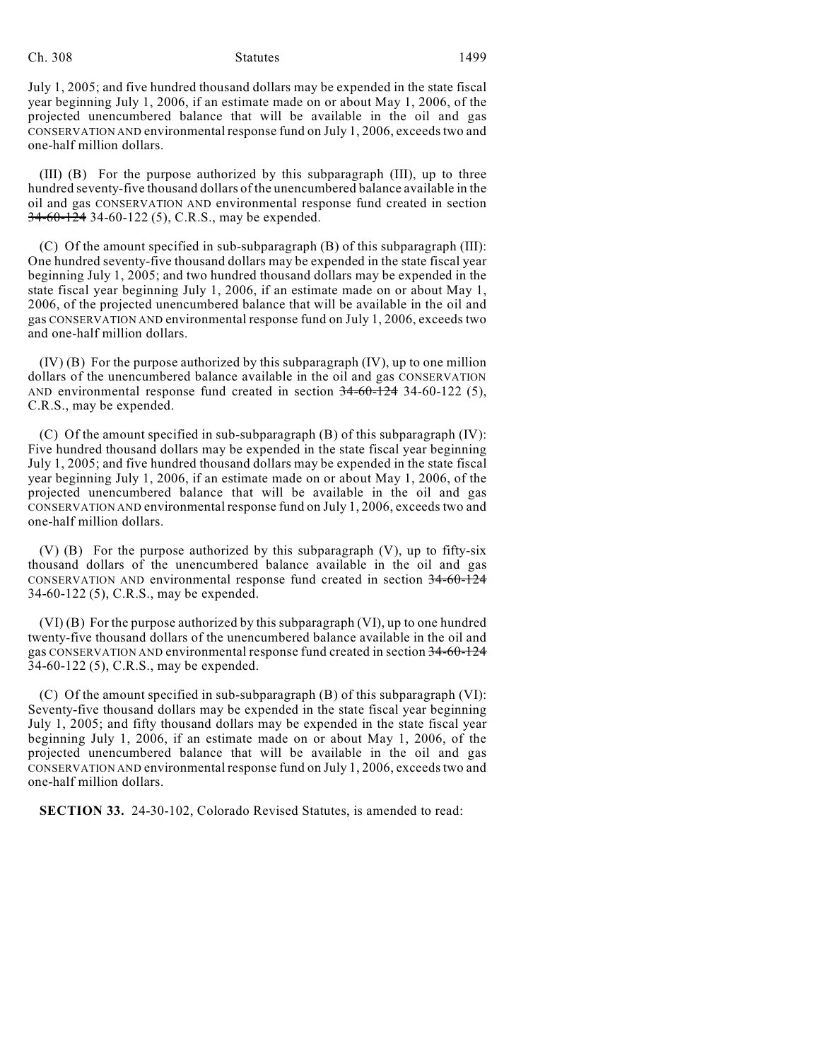July 1, 2005; and five hundred thousand dollars may be expended in the state fiscal year beginning July 1, 2006, if an estimate made on or about May 1, 2006, of the projected unencumbered balance that will be available in the oil and gas CONSERVATION AND environmental response fund on July 1, 2006, exceeds two and one-half million dollars.

(III) (B) For the purpose authorized by this subparagraph (III), up to three hundred seventy-five thousand dollars of the unencumbered balance available in the oil and gas CONSERVATION AND environmental response fund created in section 34-60-124 34-60-122 (5), C.R.S., may be expended.

(C) Of the amount specified in sub-subparagraph (B) of this subparagraph (III): One hundred seventy-five thousand dollars may be expended in the state fiscal year beginning July 1, 2005; and two hundred thousand dollars may be expended in the state fiscal year beginning July 1, 2006, if an estimate made on or about May 1, 2006, of the projected unencumbered balance that will be available in the oil and gas CONSERVATION AND environmental response fund on July 1, 2006, exceeds two and one-half million dollars.

(IV) (B) For the purpose authorized by this subparagraph (IV), up to one million dollars of the unencumbered balance available in the oil and gas CONSERVATION AND environmental response fund created in section 34-60-124 34-60-122 (5), C.R.S., may be expended.

(C) Of the amount specified in sub-subparagraph (B) of this subparagraph (IV): Five hundred thousand dollars may be expended in the state fiscal year beginning July 1, 2005; and five hundred thousand dollars may be expended in the state fiscal year beginning July 1, 2006, if an estimate made on or about May 1, 2006, of the projected unencumbered balance that will be available in the oil and gas CONSERVATION AND environmental response fund on July 1, 2006, exceeds two and one-half million dollars.

(V) (B) For the purpose authorized by this subparagraph (V), up to fifty-six thousand dollars of the unencumbered balance available in the oil and gas CONSERVATION AND environmental response fund created in section 34-60-124 34-60-122 (5), C.R.S., may be expended.

(VI) (B) For the purpose authorized by this subparagraph (VI), up to one hundred twenty-five thousand dollars of the unencumbered balance available in the oil and gas CONSERVATION AND environmental response fund created in section 34-60-124 34-60-122 (5), C.R.S., may be expended.

(C) Of the amount specified in sub-subparagraph (B) of this subparagraph (VI): Seventy-five thousand dollars may be expended in the state fiscal year beginning July 1, 2005; and fifty thousand dollars may be expended in the state fiscal year beginning July 1, 2006, if an estimate made on or about May 1, 2006, of the projected unencumbered balance that will be available in the oil and gas CONSERVATION AND environmental response fund on July 1, 2006, exceeds two and one-half million dollars.

**SECTION 33.** 24-30-102, Colorado Revised Statutes, is amended to read: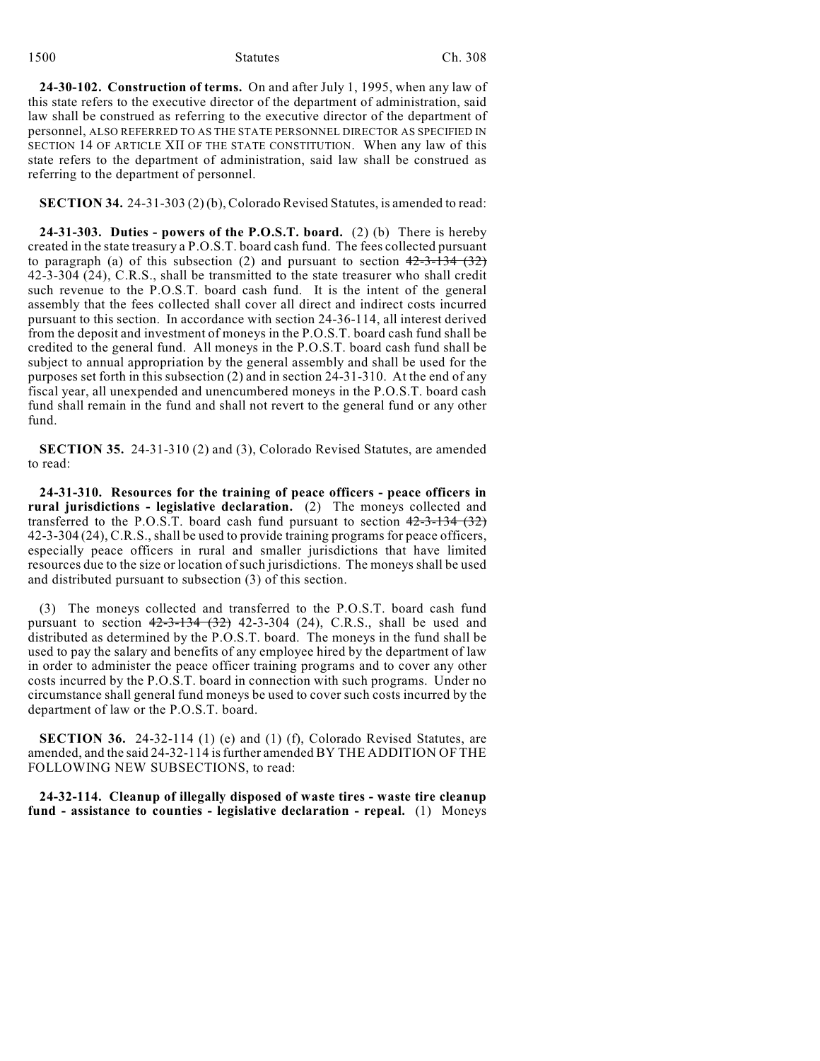1500 Statutes Ch. 308

**24-30-102. Construction of terms.** On and after July 1, 1995, when any law of this state refers to the executive director of the department of administration, said law shall be construed as referring to the executive director of the department of personnel, ALSO REFERRED TO AS THE STATE PERSONNEL DIRECTOR AS SPECIFIED IN SECTION 14 OF ARTICLE XII OF THE STATE CONSTITUTION. When any law of this state refers to the department of administration, said law shall be construed as referring to the department of personnel.

**SECTION 34.** 24-31-303 (2) (b), Colorado Revised Statutes, is amended to read:

**24-31-303. Duties - powers of the P.O.S.T. board.** (2) (b) There is hereby created in the state treasury a P.O.S.T. board cash fund. The fees collected pursuant to paragraph (a) of this subsection (2) and pursuant to section  $42-3-134$  (32) 42-3-304 (24), C.R.S., shall be transmitted to the state treasurer who shall credit such revenue to the P.O.S.T. board cash fund. It is the intent of the general assembly that the fees collected shall cover all direct and indirect costs incurred pursuant to this section. In accordance with section 24-36-114, all interest derived from the deposit and investment of moneys in the P.O.S.T. board cash fund shall be credited to the general fund. All moneys in the P.O.S.T. board cash fund shall be subject to annual appropriation by the general assembly and shall be used for the purposes set forth in this subsection (2) and in section 24-31-310. At the end of any fiscal year, all unexpended and unencumbered moneys in the P.O.S.T. board cash fund shall remain in the fund and shall not revert to the general fund or any other fund.

**SECTION 35.** 24-31-310 (2) and (3), Colorado Revised Statutes, are amended to read:

**24-31-310. Resources for the training of peace officers - peace officers in rural jurisdictions - legislative declaration.** (2) The moneys collected and transferred to the P.O.S.T. board cash fund pursuant to section  $42-3-134$   $(32)$ 42-3-304 (24), C.R.S., shall be used to provide training programs for peace officers, especially peace officers in rural and smaller jurisdictions that have limited resources due to the size or location of such jurisdictions. The moneys shall be used and distributed pursuant to subsection (3) of this section.

(3) The moneys collected and transferred to the P.O.S.T. board cash fund pursuant to section  $42-3-134$   $(32)$  42-3-304 (24), C.R.S., shall be used and distributed as determined by the P.O.S.T. board. The moneys in the fund shall be used to pay the salary and benefits of any employee hired by the department of law in order to administer the peace officer training programs and to cover any other costs incurred by the P.O.S.T. board in connection with such programs. Under no circumstance shall general fund moneys be used to cover such costs incurred by the department of law or the P.O.S.T. board.

**SECTION 36.** 24-32-114 (1) (e) and (1) (f), Colorado Revised Statutes, are amended, and the said 24-32-114 isfurther amended BY THE ADDITION OF THE FOLLOWING NEW SUBSECTIONS, to read:

**24-32-114. Cleanup of illegally disposed of waste tires - waste tire cleanup fund - assistance to counties - legislative declaration - repeal.** (1) Moneys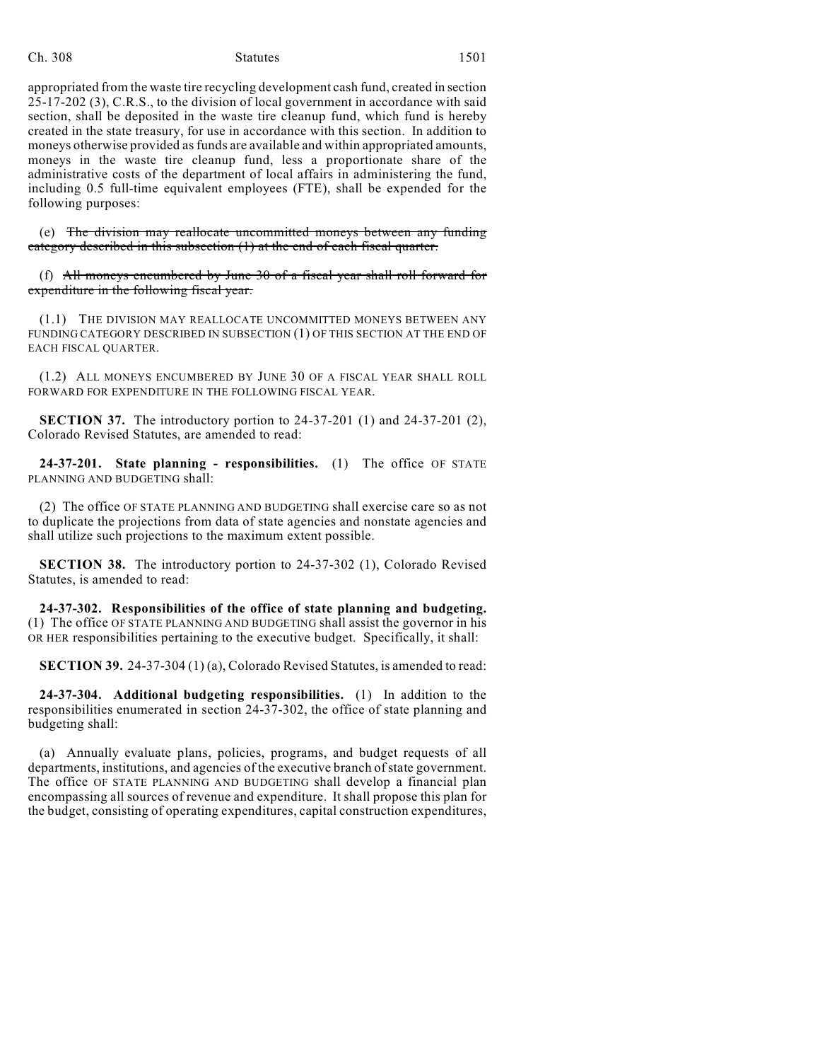appropriated from the waste tire recycling development cash fund, created in section 25-17-202 (3), C.R.S., to the division of local government in accordance with said section, shall be deposited in the waste tire cleanup fund, which fund is hereby created in the state treasury, for use in accordance with this section. In addition to moneys otherwise provided as funds are available and within appropriated amounts, moneys in the waste tire cleanup fund, less a proportionate share of the administrative costs of the department of local affairs in administering the fund, including 0.5 full-time equivalent employees (FTE), shall be expended for the following purposes:

(e) The division may reallocate uncommitted moneys between any funding category described in this subsection (1) at the end of each fiscal quarter.

(f) All moneys encumbered by June  $30$  of a fiscal year shall roll forward for expenditure in the following fiscal year.

(1.1) THE DIVISION MAY REALLOCATE UNCOMMITTED MONEYS BETWEEN ANY FUNDING CATEGORY DESCRIBED IN SUBSECTION (1) OF THIS SECTION AT THE END OF EACH FISCAL QUARTER.

(1.2) ALL MONEYS ENCUMBERED BY JUNE 30 OF A FISCAL YEAR SHALL ROLL FORWARD FOR EXPENDITURE IN THE FOLLOWING FISCAL YEAR.

**SECTION 37.** The introductory portion to 24-37-201 (1) and 24-37-201 (2), Colorado Revised Statutes, are amended to read:

**24-37-201. State planning - responsibilities.** (1) The office OF STATE PLANNING AND BUDGETING shall:

(2) The office OF STATE PLANNING AND BUDGETING shall exercise care so as not to duplicate the projections from data of state agencies and nonstate agencies and shall utilize such projections to the maximum extent possible.

**SECTION 38.** The introductory portion to 24-37-302 (1), Colorado Revised Statutes, is amended to read:

**24-37-302. Responsibilities of the office of state planning and budgeting.** (1) The office OF STATE PLANNING AND BUDGETING shall assist the governor in his OR HER responsibilities pertaining to the executive budget. Specifically, it shall:

**SECTION 39.** 24-37-304 (1) (a), Colorado Revised Statutes, is amended to read:

**24-37-304. Additional budgeting responsibilities.** (1) In addition to the responsibilities enumerated in section 24-37-302, the office of state planning and budgeting shall:

(a) Annually evaluate plans, policies, programs, and budget requests of all departments, institutions, and agencies of the executive branch of state government. The office OF STATE PLANNING AND BUDGETING shall develop a financial plan encompassing all sources of revenue and expenditure. It shall propose this plan for the budget, consisting of operating expenditures, capital construction expenditures,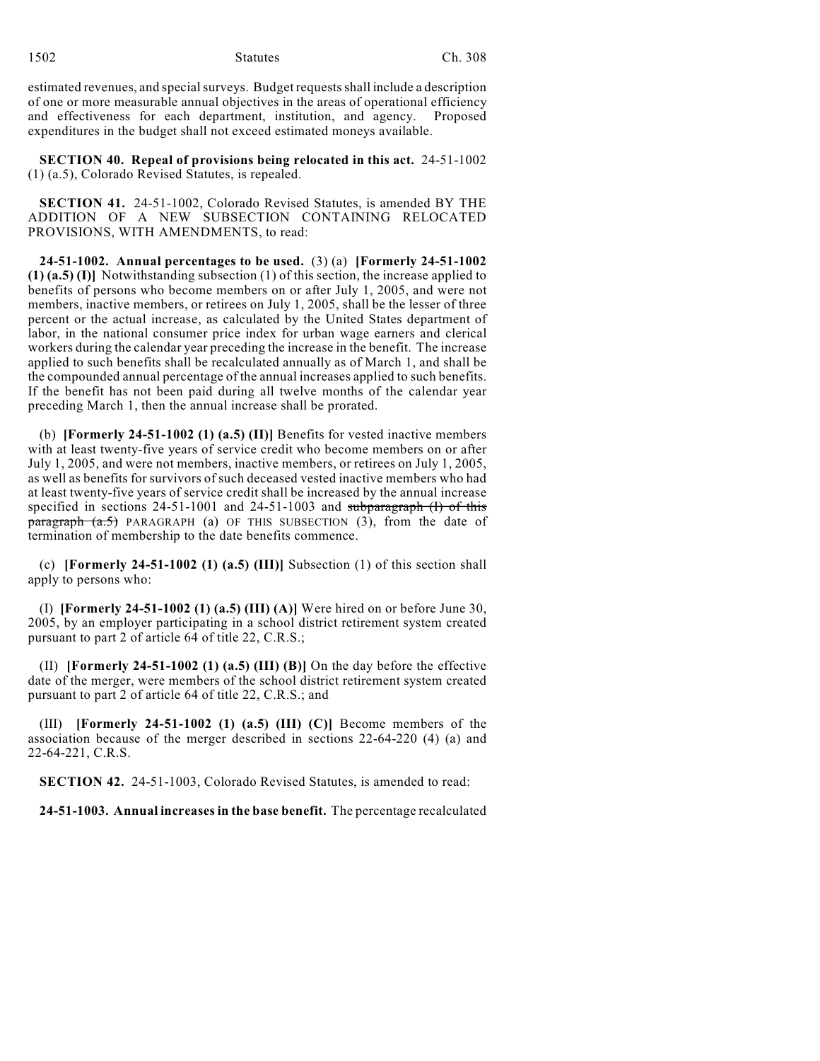1502 Statutes Ch. 308

estimated revenues, and special surveys. Budget requests shall include a description of one or more measurable annual objectives in the areas of operational efficiency and effectiveness for each department, institution, and agency. Proposed expenditures in the budget shall not exceed estimated moneys available.

**SECTION 40. Repeal of provisions being relocated in this act.** 24-51-1002 (1) (a.5), Colorado Revised Statutes, is repealed.

**SECTION 41.** 24-51-1002, Colorado Revised Statutes, is amended BY THE ADDITION OF A NEW SUBSECTION CONTAINING RELOCATED PROVISIONS, WITH AMENDMENTS, to read:

**24-51-1002. Annual percentages to be used.** (3) (a) **[Formerly 24-51-1002 (1) (a.5) (I)]** Notwithstanding subsection (1) of this section, the increase applied to benefits of persons who become members on or after July 1, 2005, and were not members, inactive members, or retirees on July 1, 2005, shall be the lesser of three percent or the actual increase, as calculated by the United States department of labor, in the national consumer price index for urban wage earners and clerical workers during the calendar year preceding the increase in the benefit. The increase applied to such benefits shall be recalculated annually as of March 1, and shall be the compounded annual percentage of the annual increases applied to such benefits. If the benefit has not been paid during all twelve months of the calendar year preceding March 1, then the annual increase shall be prorated.

(b) **[Formerly 24-51-1002 (1) (a.5) (II)]** Benefits for vested inactive members with at least twenty-five years of service credit who become members on or after July 1, 2005, and were not members, inactive members, or retirees on July 1, 2005, as well as benefits for survivors of such deceased vested inactive members who had at least twenty-five years of service credit shall be increased by the annual increase specified in sections 24-51-1001 and 24-51-1003 and subparagraph (I) of this paragraph (a.5) PARAGRAPH (a) OF THIS SUBSECTION (3), from the date of termination of membership to the date benefits commence.

(c) **[Formerly 24-51-1002 (1) (a.5) (III)]** Subsection (1) of this section shall apply to persons who:

(I) **[Formerly 24-51-1002 (1) (a.5) (III) (A)]** Were hired on or before June 30, 2005, by an employer participating in a school district retirement system created pursuant to part 2 of article 64 of title 22, C.R.S.;

(II) **[Formerly 24-51-1002 (1) (a.5) (III) (B)]** On the day before the effective date of the merger, were members of the school district retirement system created pursuant to part 2 of article 64 of title 22, C.R.S.; and

(III) **[Formerly 24-51-1002 (1) (a.5) (III) (C)]** Become members of the association because of the merger described in sections 22-64-220 (4) (a) and 22-64-221, C.R.S.

**SECTION 42.** 24-51-1003, Colorado Revised Statutes, is amended to read:

**24-51-1003. Annual increases in the base benefit.** The percentage recalculated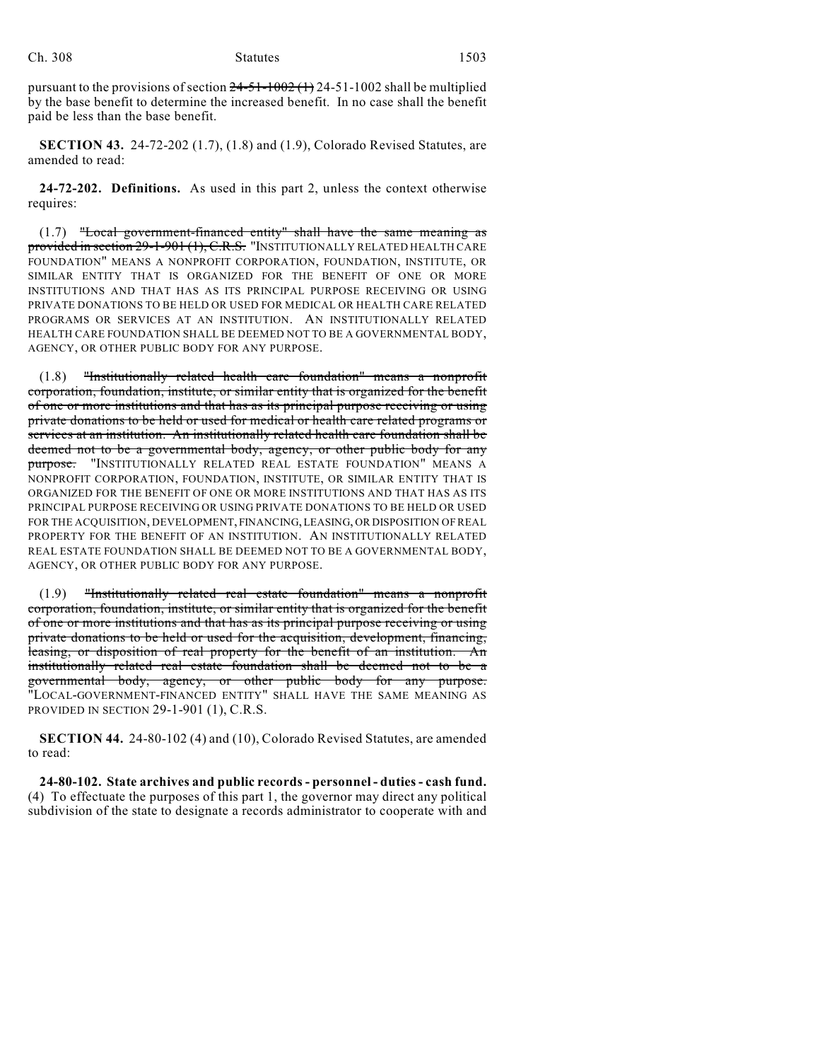pursuant to the provisions of section  $24-51-1002$  (1) 24-51-1002 shall be multiplied by the base benefit to determine the increased benefit. In no case shall the benefit paid be less than the base benefit.

**SECTION 43.** 24-72-202 (1.7), (1.8) and (1.9), Colorado Revised Statutes, are amended to read:

**24-72-202. Definitions.** As used in this part 2, unless the context otherwise requires:

(1.7) "Local government-financed entity" shall have the same meaning as provided in section 29-1-901 (1), C.R.S. "INSTITUTIONALLY RELATED HEALTH CARE FOUNDATION" MEANS A NONPROFIT CORPORATION, FOUNDATION, INSTITUTE, OR SIMILAR ENTITY THAT IS ORGANIZED FOR THE BENEFIT OF ONE OR MORE INSTITUTIONS AND THAT HAS AS ITS PRINCIPAL PURPOSE RECEIVING OR USING PRIVATE DONATIONS TO BE HELD OR USED FOR MEDICAL OR HEALTH CARE RELATED PROGRAMS OR SERVICES AT AN INSTITUTION. AN INSTITUTIONALLY RELATED HEALTH CARE FOUNDATION SHALL BE DEEMED NOT TO BE A GOVERNMENTAL BODY, AGENCY, OR OTHER PUBLIC BODY FOR ANY PURPOSE.

(1.8) "Institutionally related health care foundation" means a nonprofit corporation, foundation, institute, or similar entity that is organized for the benefit of one or more institutions and that has as its principal purpose receiving or using private donations to be held or used for medical or health care related programs or services at an institution. An institutionally related health care foundation shall be deemed not to be a governmental body, agency, or other public body for any purpose. "INSTITUTIONALLY RELATED REAL ESTATE FOUNDATION" MEANS A NONPROFIT CORPORATION, FOUNDATION, INSTITUTE, OR SIMILAR ENTITY THAT IS ORGANIZED FOR THE BENEFIT OF ONE OR MORE INSTITUTIONS AND THAT HAS AS ITS PRINCIPAL PURPOSE RECEIVING OR USING PRIVATE DONATIONS TO BE HELD OR USED FOR THE ACQUISITION, DEVELOPMENT, FINANCING, LEASING, OR DISPOSITION OF REAL PROPERTY FOR THE BENEFIT OF AN INSTITUTION. AN INSTITUTIONALLY RELATED REAL ESTATE FOUNDATION SHALL BE DEEMED NOT TO BE A GOVERNMENTAL BODY, AGENCY, OR OTHER PUBLIC BODY FOR ANY PURPOSE.

(1.9) "Institutionally related real estate foundation" means a nonprofit corporation, foundation, institute, or similar entity that is organized for the benefit of one or more institutions and that has as its principal purpose receiving or using private donations to be held or used for the acquisition, development, financing, leasing, or disposition of real property for the benefit of an institution. An institutionally related real estate foundation shall be deemed not to be a governmental body, agency, or other public body for any purpose. "LOCAL-GOVERNMENT-FINANCED ENTITY" SHALL HAVE THE SAME MEANING AS PROVIDED IN SECTION 29-1-901 (1), C.R.S.

**SECTION 44.** 24-80-102 (4) and (10), Colorado Revised Statutes, are amended to read:

**24-80-102. State archives and public records - personnel - duties - cash fund.** (4) To effectuate the purposes of this part 1, the governor may direct any political subdivision of the state to designate a records administrator to cooperate with and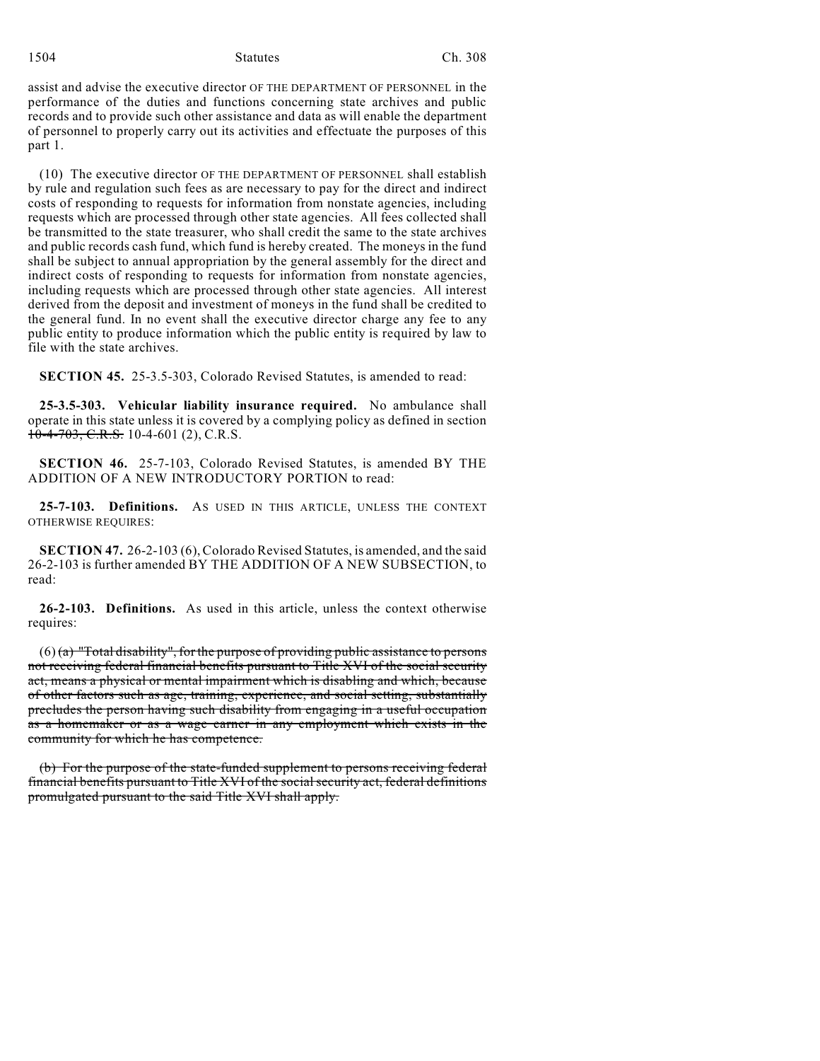1504 Statutes Ch. 308

assist and advise the executive director OF THE DEPARTMENT OF PERSONNEL in the performance of the duties and functions concerning state archives and public records and to provide such other assistance and data as will enable the department of personnel to properly carry out its activities and effectuate the purposes of this part 1.

(10) The executive director OF THE DEPARTMENT OF PERSONNEL shall establish by rule and regulation such fees as are necessary to pay for the direct and indirect costs of responding to requests for information from nonstate agencies, including requests which are processed through other state agencies. All fees collected shall be transmitted to the state treasurer, who shall credit the same to the state archives and public records cash fund, which fund is hereby created. The moneys in the fund shall be subject to annual appropriation by the general assembly for the direct and indirect costs of responding to requests for information from nonstate agencies, including requests which are processed through other state agencies. All interest derived from the deposit and investment of moneys in the fund shall be credited to the general fund. In no event shall the executive director charge any fee to any public entity to produce information which the public entity is required by law to file with the state archives.

**SECTION 45.** 25-3.5-303, Colorado Revised Statutes, is amended to read:

**25-3.5-303. Vehicular liability insurance required.** No ambulance shall operate in this state unless it is covered by a complying policy as defined in section  $10-4-703$ , C.R.S. 10-4-601 (2), C.R.S.

**SECTION 46.** 25-7-103, Colorado Revised Statutes, is amended BY THE ADDITION OF A NEW INTRODUCTORY PORTION to read:

**25-7-103. Definitions.** AS USED IN THIS ARTICLE, UNLESS THE CONTEXT OTHERWISE REQUIRES:

**SECTION 47.** 26-2-103 (6), Colorado Revised Statutes, is amended, and the said 26-2-103 is further amended BY THE ADDITION OF A NEW SUBSECTION, to read:

**26-2-103. Definitions.** As used in this article, unless the context otherwise requires:

 $(6)$  (a) "Total disability", for the purpose of providing public assistance to persons not receiving federal financial benefits pursuant to Title XVI of the social security act, means a physical or mental impairment which is disabling and which, because of other factors such as age, training, experience, and social setting, substantially precludes the person having such disability from engaging in a useful occupation as a homemaker or as a wage earner in any employment which exists in the community for which he has competence.

(b) For the purpose of the state-funded supplement to persons receiving federal financial benefits pursuant to Title XVI of the socialsecurity act, federal definitions promulgated pursuant to the said Title XVI shall apply.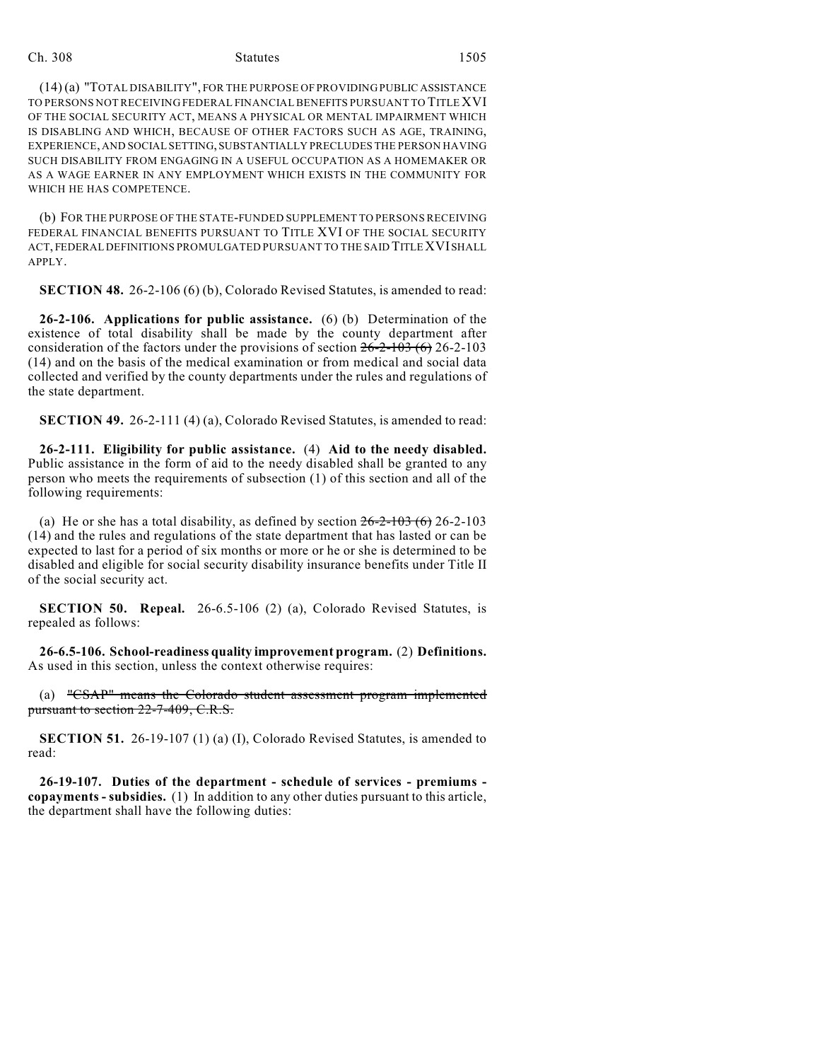(14) (a) "TOTAL DISABILITY", FOR THE PURPOSE OF PROVIDING PUBLIC ASSISTANCE TO PERSONS NOT RECEIVING FEDERAL FINANCIAL BENEFITS PURSUANT TO TITLE XVI OF THE SOCIAL SECURITY ACT, MEANS A PHYSICAL OR MENTAL IMPAIRMENT WHICH IS DISABLING AND WHICH, BECAUSE OF OTHER FACTORS SUCH AS AGE, TRAINING, EXPERIENCE, AND SOCIAL SETTING, SUBSTANTIALLY PRECLUDES THE PERSON HAVING SUCH DISABILITY FROM ENGAGING IN A USEFUL OCCUPATION AS A HOMEMAKER OR AS A WAGE EARNER IN ANY EMPLOYMENT WHICH EXISTS IN THE COMMUNITY FOR WHICH HE HAS COMPETENCE.

(b) FOR THE PURPOSE OF THE STATE-FUNDED SUPPLEMENT TO PERSONS RECEIVING FEDERAL FINANCIAL BENEFITS PURSUANT TO TITLE XVI OF THE SOCIAL SECURITY ACT, FEDERAL DEFINITIONS PROMULGATED PURSUANT TO THE SAID TITLE XVI SHALL APPLY.

**SECTION 48.** 26-2-106 (6) (b), Colorado Revised Statutes, is amended to read:

**26-2-106. Applications for public assistance.** (6) (b) Determination of the existence of total disability shall be made by the county department after consideration of the factors under the provisions of section  $26-2-103$  (6) 26-2-103 (14) and on the basis of the medical examination or from medical and social data collected and verified by the county departments under the rules and regulations of the state department.

**SECTION 49.** 26-2-111 (4) (a), Colorado Revised Statutes, is amended to read:

**26-2-111. Eligibility for public assistance.** (4) **Aid to the needy disabled.** Public assistance in the form of aid to the needy disabled shall be granted to any person who meets the requirements of subsection (1) of this section and all of the following requirements:

(a) He or she has a total disability, as defined by section  $26-2-103$  (6) 26-2-103 (14) and the rules and regulations of the state department that has lasted or can be expected to last for a period of six months or more or he or she is determined to be disabled and eligible for social security disability insurance benefits under Title II of the social security act.

**SECTION 50. Repeal.** 26-6.5-106 (2) (a), Colorado Revised Statutes, is repealed as follows:

**26-6.5-106. School-readiness quality improvement program.** (2) **Definitions.** As used in this section, unless the context otherwise requires:

(a) "CSAP" means the Colorado student assessment program implemented pursuant to section 22-7-409, C.R.S.

**SECTION 51.** 26-19-107 (1) (a) (I), Colorado Revised Statutes, is amended to read:

**26-19-107. Duties of the department - schedule of services - premiums copayments - subsidies.** (1) In addition to any other duties pursuant to this article, the department shall have the following duties: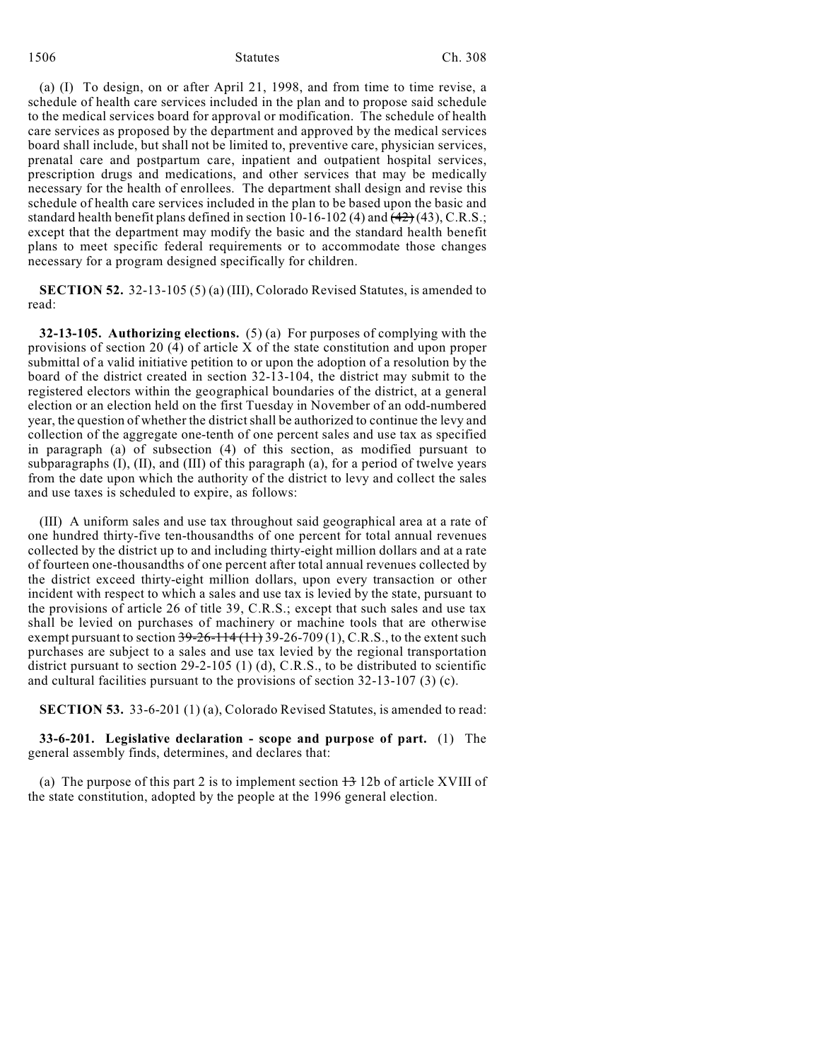#### 1506 Statutes Ch. 308

(a) (I) To design, on or after April 21, 1998, and from time to time revise, a schedule of health care services included in the plan and to propose said schedule to the medical services board for approval or modification. The schedule of health care services as proposed by the department and approved by the medical services board shall include, but shall not be limited to, preventive care, physician services, prenatal care and postpartum care, inpatient and outpatient hospital services, prescription drugs and medications, and other services that may be medically necessary for the health of enrollees. The department shall design and revise this schedule of health care services included in the plan to be based upon the basic and standard health benefit plans defined in section 10-16-102 (4) and  $(42)(43)$ , C.R.S.; except that the department may modify the basic and the standard health benefit plans to meet specific federal requirements or to accommodate those changes necessary for a program designed specifically for children.

**SECTION 52.** 32-13-105 (5) (a) (III), Colorado Revised Statutes, is amended to read:

**32-13-105. Authorizing elections.** (5) (a) For purposes of complying with the provisions of section 20 (4) of article X of the state constitution and upon proper submittal of a valid initiative petition to or upon the adoption of a resolution by the board of the district created in section 32-13-104, the district may submit to the registered electors within the geographical boundaries of the district, at a general election or an election held on the first Tuesday in November of an odd-numbered year, the question of whether the district shall be authorized to continue the levy and collection of the aggregate one-tenth of one percent sales and use tax as specified in paragraph (a) of subsection (4) of this section, as modified pursuant to subparagraphs (I), (II), and (III) of this paragraph (a), for a period of twelve years from the date upon which the authority of the district to levy and collect the sales and use taxes is scheduled to expire, as follows:

(III) A uniform sales and use tax throughout said geographical area at a rate of one hundred thirty-five ten-thousandths of one percent for total annual revenues collected by the district up to and including thirty-eight million dollars and at a rate of fourteen one-thousandths of one percent after total annual revenues collected by the district exceed thirty-eight million dollars, upon every transaction or other incident with respect to which a sales and use tax is levied by the state, pursuant to the provisions of article 26 of title 39, C.R.S.; except that such sales and use tax shall be levied on purchases of machinery or machine tools that are otherwise exempt pursuant to section  $39-26-114(11)$  39-26-709(1), C.R.S., to the extent such purchases are subject to a sales and use tax levied by the regional transportation district pursuant to section 29-2-105 (1) (d), C.R.S., to be distributed to scientific and cultural facilities pursuant to the provisions of section 32-13-107 (3) (c).

**SECTION 53.** 33-6-201 (1) (a), Colorado Revised Statutes, is amended to read:

**33-6-201. Legislative declaration - scope and purpose of part.** (1) The general assembly finds, determines, and declares that:

(a) The purpose of this part 2 is to implement section  $\frac{13}{12}$  12b of article XVIII of the state constitution, adopted by the people at the 1996 general election.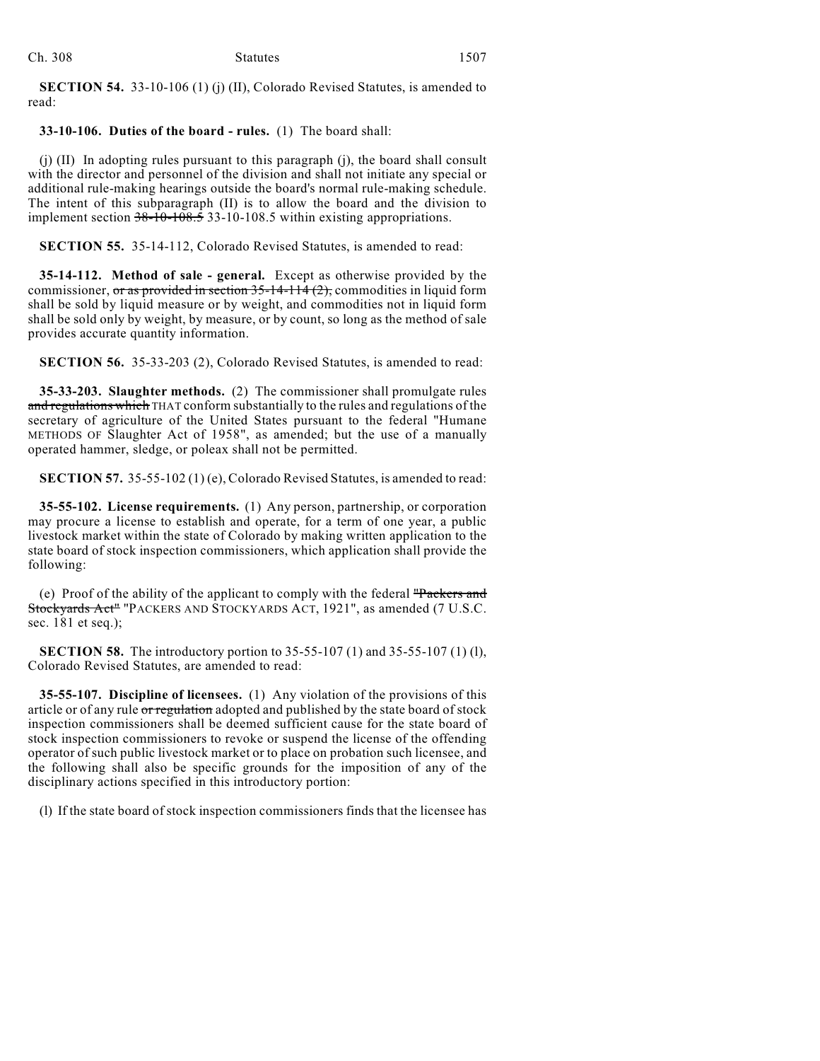**SECTION 54.** 33-10-106 (1) (j) (II), Colorado Revised Statutes, is amended to read:

# **33-10-106. Duties of the board - rules.** (1) The board shall:

(j) (II) In adopting rules pursuant to this paragraph (j), the board shall consult with the director and personnel of the division and shall not initiate any special or additional rule-making hearings outside the board's normal rule-making schedule. The intent of this subparagraph (II) is to allow the board and the division to implement section  $38-10-108.5$  33-10-108.5 within existing appropriations.

**SECTION 55.** 35-14-112, Colorado Revised Statutes, is amended to read:

**35-14-112. Method of sale - general.** Except as otherwise provided by the commissioner, or as provided in section  $35$ -14-114  $(2)$ , commodities in liquid form shall be sold by liquid measure or by weight, and commodities not in liquid form shall be sold only by weight, by measure, or by count, so long as the method of sale provides accurate quantity information.

**SECTION 56.** 35-33-203 (2), Colorado Revised Statutes, is amended to read:

**35-33-203. Slaughter methods.** (2) The commissioner shall promulgate rules and regulations which THAT conform substantially to the rules and regulations of the secretary of agriculture of the United States pursuant to the federal "Humane METHODS OF Slaughter Act of 1958", as amended; but the use of a manually operated hammer, sledge, or poleax shall not be permitted.

**SECTION 57.** 35-55-102 (1) (e), Colorado Revised Statutes, is amended to read:

**35-55-102. License requirements.** (1) Any person, partnership, or corporation may procure a license to establish and operate, for a term of one year, a public livestock market within the state of Colorado by making written application to the state board of stock inspection commissioners, which application shall provide the following:

(e) Proof of the ability of the applicant to comply with the federal "Packers and Stockyards Act" "PACKERS AND STOCKYARDS ACT, 1921", as amended (7 U.S.C. sec. 181 et seq.);

**SECTION 58.** The introductory portion to 35-55-107 (1) and 35-55-107 (1) (l), Colorado Revised Statutes, are amended to read:

**35-55-107. Discipline of licensees.** (1) Any violation of the provisions of this article or of any rule or regulation adopted and published by the state board of stock inspection commissioners shall be deemed sufficient cause for the state board of stock inspection commissioners to revoke or suspend the license of the offending operator of such public livestock market or to place on probation such licensee, and the following shall also be specific grounds for the imposition of any of the disciplinary actions specified in this introductory portion:

(l) If the state board of stock inspection commissioners finds that the licensee has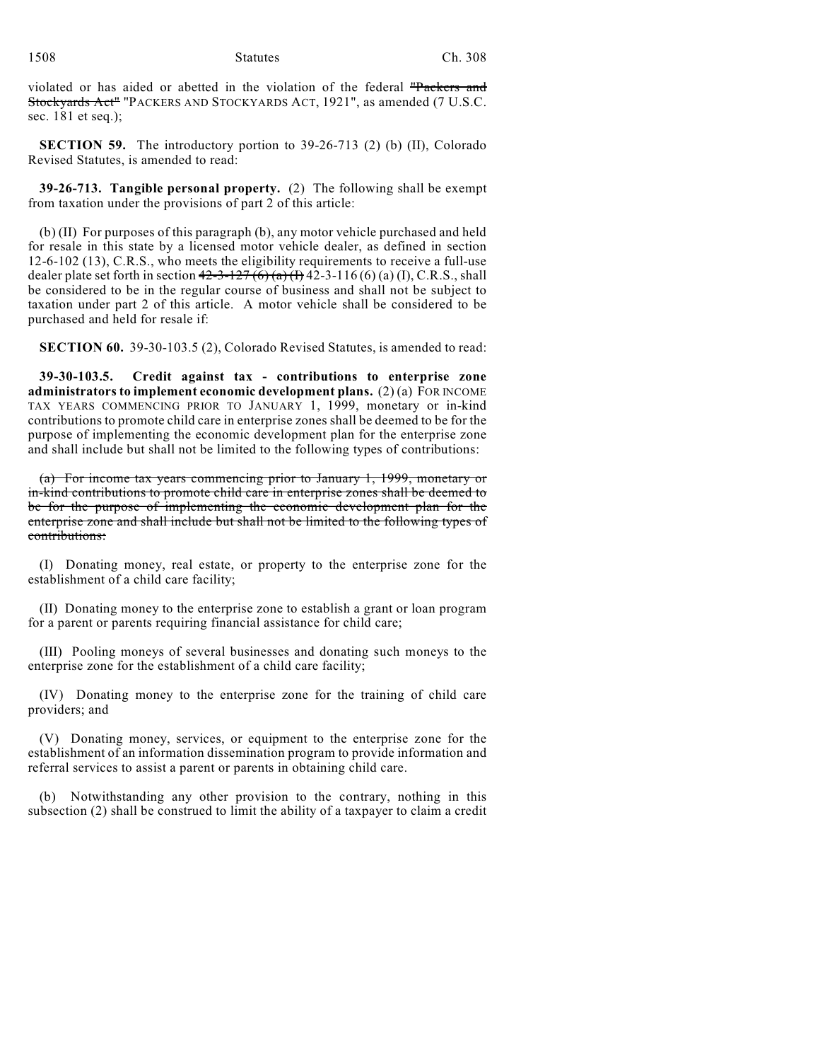violated or has aided or abetted in the violation of the federal "Packers and Stockyards Act" "PACKERS AND STOCKYARDS ACT, 1921", as amended (7 U.S.C. sec. 181 et seq.);

**SECTION 59.** The introductory portion to 39-26-713 (2) (b) (II), Colorado Revised Statutes, is amended to read:

**39-26-713. Tangible personal property.** (2) The following shall be exempt from taxation under the provisions of part 2 of this article:

(b) (II) For purposes of this paragraph (b), any motor vehicle purchased and held for resale in this state by a licensed motor vehicle dealer, as defined in section 12-6-102 (13), C.R.S., who meets the eligibility requirements to receive a full-use dealer plate set forth in section  $42-3-127(6)$  (a) (I) 42-3-116 (6) (a) (I), C.R.S., shall be considered to be in the regular course of business and shall not be subject to taxation under part 2 of this article. A motor vehicle shall be considered to be purchased and held for resale if:

**SECTION 60.** 39-30-103.5 (2), Colorado Revised Statutes, is amended to read:

**39-30-103.5. Credit against tax - contributions to enterprise zone administrators to implement economic development plans.** (2) (a) FOR INCOME TAX YEARS COMMENCING PRIOR TO JANUARY 1, 1999, monetary or in-kind contributions to promote child care in enterprise zones shall be deemed to be for the purpose of implementing the economic development plan for the enterprise zone and shall include but shall not be limited to the following types of contributions:

(a) For income tax years commencing prior to January 1, 1999, monetary or in-kind contributions to promote child care in enterprise zones shall be deemed to be for the purpose of implementing the economic development plan for the enterprise zone and shall include but shall not be limited to the following types of contributions:

(I) Donating money, real estate, or property to the enterprise zone for the establishment of a child care facility;

(II) Donating money to the enterprise zone to establish a grant or loan program for a parent or parents requiring financial assistance for child care;

(III) Pooling moneys of several businesses and donating such moneys to the enterprise zone for the establishment of a child care facility;

(IV) Donating money to the enterprise zone for the training of child care providers; and

(V) Donating money, services, or equipment to the enterprise zone for the establishment of an information dissemination program to provide information and referral services to assist a parent or parents in obtaining child care.

(b) Notwithstanding any other provision to the contrary, nothing in this subsection (2) shall be construed to limit the ability of a taxpayer to claim a credit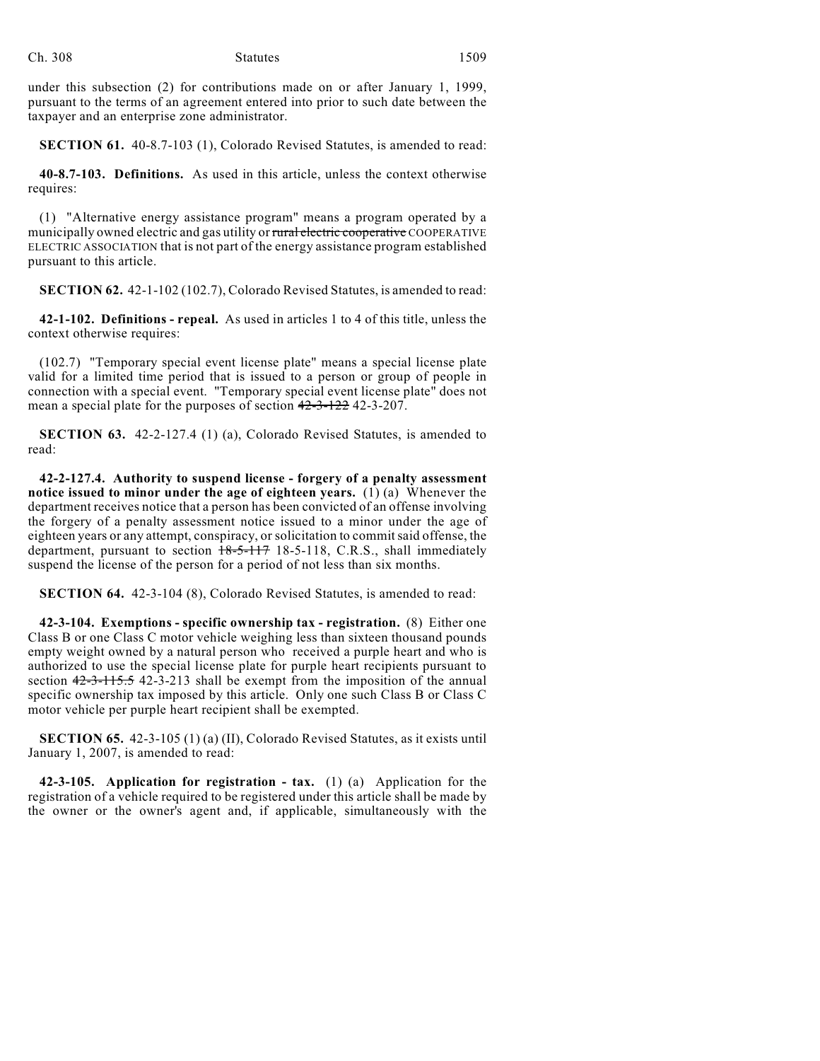under this subsection (2) for contributions made on or after January 1, 1999, pursuant to the terms of an agreement entered into prior to such date between the taxpayer and an enterprise zone administrator.

**SECTION 61.** 40-8.7-103 (1), Colorado Revised Statutes, is amended to read:

**40-8.7-103. Definitions.** As used in this article, unless the context otherwise requires:

(1) "Alternative energy assistance program" means a program operated by a municipally owned electric and gas utility or rural electric cooperative COOPERATIVE ELECTRIC ASSOCIATION that is not part of the energy assistance program established pursuant to this article.

**SECTION 62.** 42-1-102 (102.7), Colorado Revised Statutes, is amended to read:

**42-1-102. Definitions - repeal.** As used in articles 1 to 4 of this title, unless the context otherwise requires:

(102.7) "Temporary special event license plate" means a special license plate valid for a limited time period that is issued to a person or group of people in connection with a special event. "Temporary special event license plate" does not mean a special plate for the purposes of section  $42-3-122$  42-3-207.

**SECTION 63.** 42-2-127.4 (1) (a), Colorado Revised Statutes, is amended to read:

**42-2-127.4. Authority to suspend license - forgery of a penalty assessment notice issued to minor under the age of eighteen years.** (1) (a) Whenever the department receives notice that a person has been convicted of an offense involving the forgery of a penalty assessment notice issued to a minor under the age of eighteen years or any attempt, conspiracy, or solicitation to commit said offense, the department, pursuant to section  $18-5-117$  18-5-118, C.R.S., shall immediately suspend the license of the person for a period of not less than six months.

**SECTION 64.** 42-3-104 (8), Colorado Revised Statutes, is amended to read:

**42-3-104. Exemptions - specific ownership tax - registration.** (8) Either one Class B or one Class C motor vehicle weighing less than sixteen thousand pounds empty weight owned by a natural person who received a purple heart and who is authorized to use the special license plate for purple heart recipients pursuant to section  $42-3-115.5$  42-3-213 shall be exempt from the imposition of the annual specific ownership tax imposed by this article. Only one such Class B or Class C motor vehicle per purple heart recipient shall be exempted.

**SECTION 65.** 42-3-105 (1) (a) (II), Colorado Revised Statutes, as it exists until January 1, 2007, is amended to read:

**42-3-105. Application for registration - tax.** (1) (a) Application for the registration of a vehicle required to be registered under this article shall be made by the owner or the owner's agent and, if applicable, simultaneously with the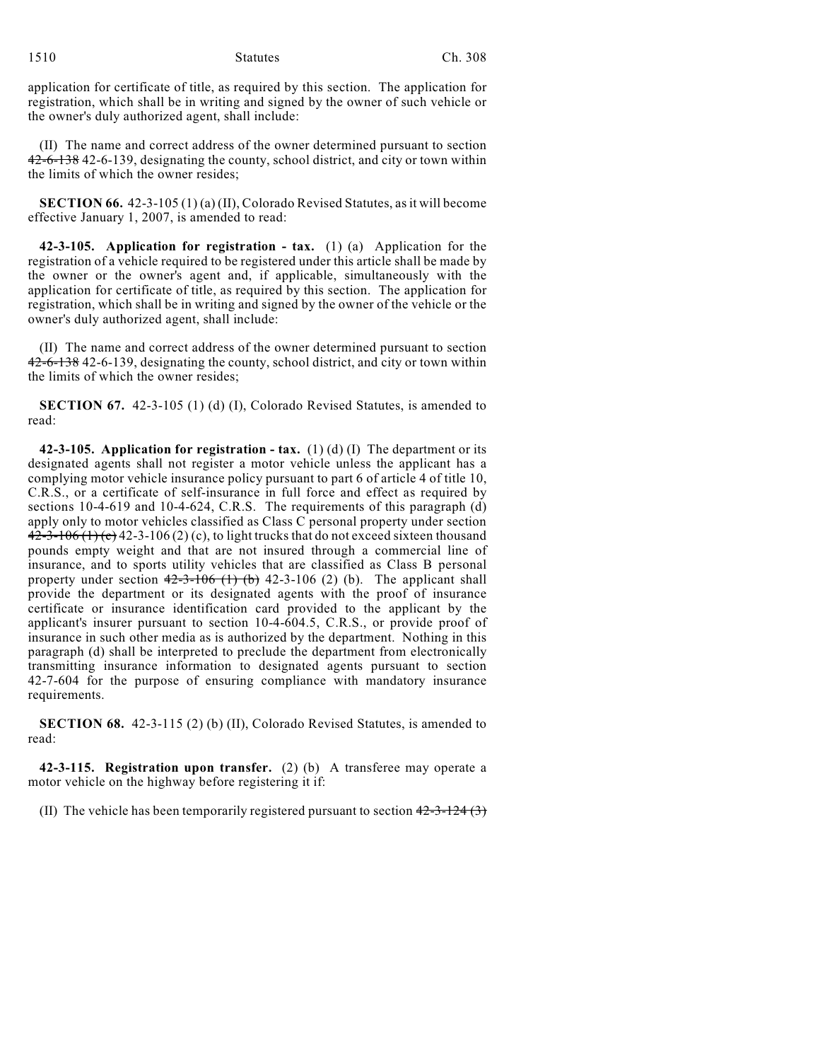application for certificate of title, as required by this section. The application for registration, which shall be in writing and signed by the owner of such vehicle or the owner's duly authorized agent, shall include:

(II) The name and correct address of the owner determined pursuant to section 42-6-138 42-6-139, designating the county, school district, and city or town within the limits of which the owner resides;

**SECTION 66.** 42-3-105 (1) (a) (II), Colorado Revised Statutes, as it will become effective January 1, 2007, is amended to read:

**42-3-105. Application for registration - tax.** (1) (a) Application for the registration of a vehicle required to be registered under this article shall be made by the owner or the owner's agent and, if applicable, simultaneously with the application for certificate of title, as required by this section. The application for registration, which shall be in writing and signed by the owner of the vehicle or the owner's duly authorized agent, shall include:

(II) The name and correct address of the owner determined pursuant to section 42-6-138 42-6-139, designating the county, school district, and city or town within the limits of which the owner resides;

**SECTION 67.** 42-3-105 (1) (d) (I), Colorado Revised Statutes, is amended to read:

**42-3-105. Application for registration - tax.** (1) (d) (I) The department or its designated agents shall not register a motor vehicle unless the applicant has a complying motor vehicle insurance policy pursuant to part 6 of article 4 of title 10, C.R.S., or a certificate of self-insurance in full force and effect as required by sections 10-4-619 and 10-4-624, C.R.S. The requirements of this paragraph (d) apply only to motor vehicles classified as Class C personal property under section  $42-3-106(1)(c)$  42-3-106 (2) (c), to light trucks that do not exceed sixteen thousand pounds empty weight and that are not insured through a commercial line of insurance, and to sports utility vehicles that are classified as Class B personal property under section  $42-3-106$  (1) (b) 42-3-106 (2) (b). The applicant shall provide the department or its designated agents with the proof of insurance certificate or insurance identification card provided to the applicant by the applicant's insurer pursuant to section 10-4-604.5, C.R.S., or provide proof of insurance in such other media as is authorized by the department. Nothing in this paragraph (d) shall be interpreted to preclude the department from electronically transmitting insurance information to designated agents pursuant to section 42-7-604 for the purpose of ensuring compliance with mandatory insurance requirements.

**SECTION 68.** 42-3-115 (2) (b) (II), Colorado Revised Statutes, is amended to read:

**42-3-115. Registration upon transfer.** (2) (b) A transferee may operate a motor vehicle on the highway before registering it if:

(II) The vehicle has been temporarily registered pursuant to section  $42-3-124$  (3)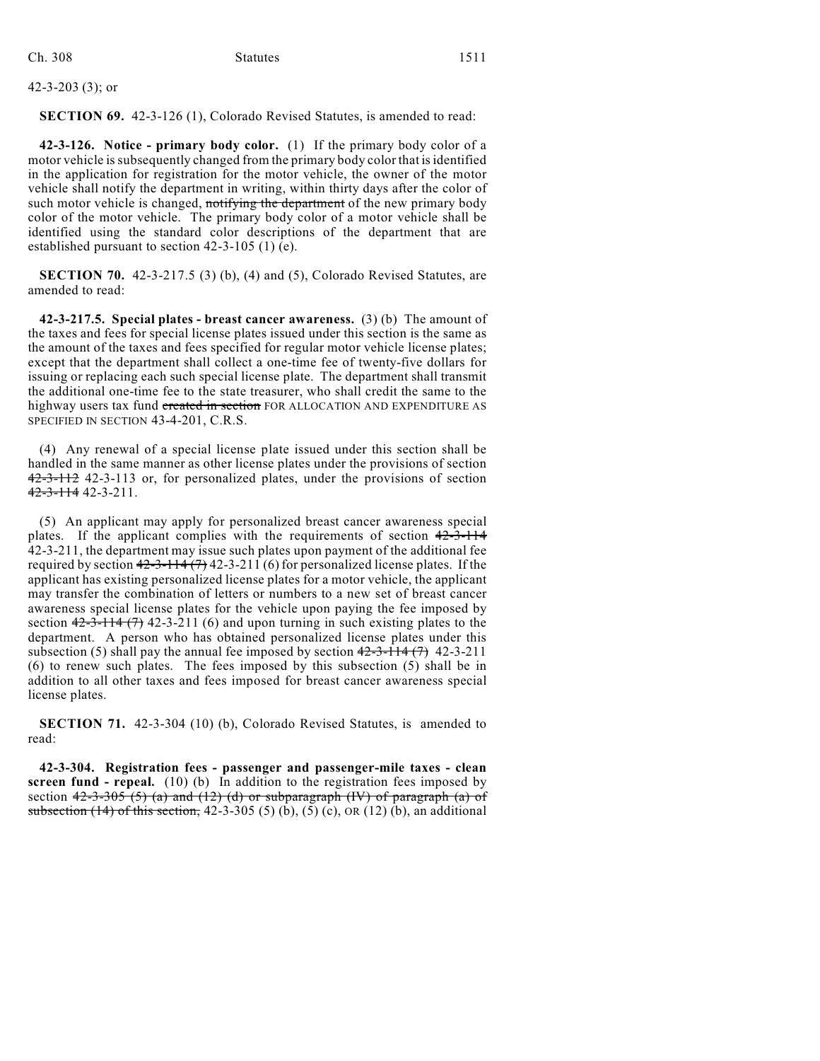42-3-203 (3); or

**SECTION 69.** 42-3-126 (1), Colorado Revised Statutes, is amended to read:

**42-3-126. Notice - primary body color.** (1) If the primary body color of a motor vehicle is subsequently changed from the primary body color that is identified in the application for registration for the motor vehicle, the owner of the motor vehicle shall notify the department in writing, within thirty days after the color of such motor vehicle is changed, notifying the department of the new primary body color of the motor vehicle. The primary body color of a motor vehicle shall be identified using the standard color descriptions of the department that are established pursuant to section 42-3-105 (1) (e).

**SECTION 70.** 42-3-217.5 (3) (b), (4) and (5), Colorado Revised Statutes, are amended to read:

**42-3-217.5. Special plates - breast cancer awareness.** (3) (b) The amount of the taxes and fees for special license plates issued under this section is the same as the amount of the taxes and fees specified for regular motor vehicle license plates; except that the department shall collect a one-time fee of twenty-five dollars for issuing or replacing each such special license plate. The department shall transmit the additional one-time fee to the state treasurer, who shall credit the same to the highway users tax fund created in section FOR ALLOCATION AND EXPENDITURE AS SPECIFIED IN SECTION 43-4-201, C.R.S.

(4) Any renewal of a special license plate issued under this section shall be handled in the same manner as other license plates under the provisions of section 42-3-112 42-3-113 or, for personalized plates, under the provisions of section 42-3-114 42-3-211.

(5) An applicant may apply for personalized breast cancer awareness special plates. If the applicant complies with the requirements of section  $42-3-114$ 42-3-211, the department may issue such plates upon payment of the additional fee required by section  $42-3-114(7)$  42-3-211 (6) for personalized license plates. If the applicant has existing personalized license plates for a motor vehicle, the applicant may transfer the combination of letters or numbers to a new set of breast cancer awareness special license plates for the vehicle upon paying the fee imposed by section  $42-3-114$   $(7)$  42-3-211 (6) and upon turning in such existing plates to the department. A person who has obtained personalized license plates under this subsection (5) shall pay the annual fee imposed by section  $42-3-114$  (7) 42-3-211 (6) to renew such plates. The fees imposed by this subsection (5) shall be in addition to all other taxes and fees imposed for breast cancer awareness special license plates.

**SECTION 71.** 42-3-304 (10) (b), Colorado Revised Statutes, is amended to read:

**42-3-304. Registration fees - passenger and passenger-mile taxes - clean screen fund - repeal.** (10) (b) In addition to the registration fees imposed by section  $42-3-305(5)$  (a) and  $(12)$  (d) or subparagraph (IV) of paragraph (a) of subsection  $(14)$  of this section, 42-3-305 (5) (b), (5) (c), OR (12) (b), an additional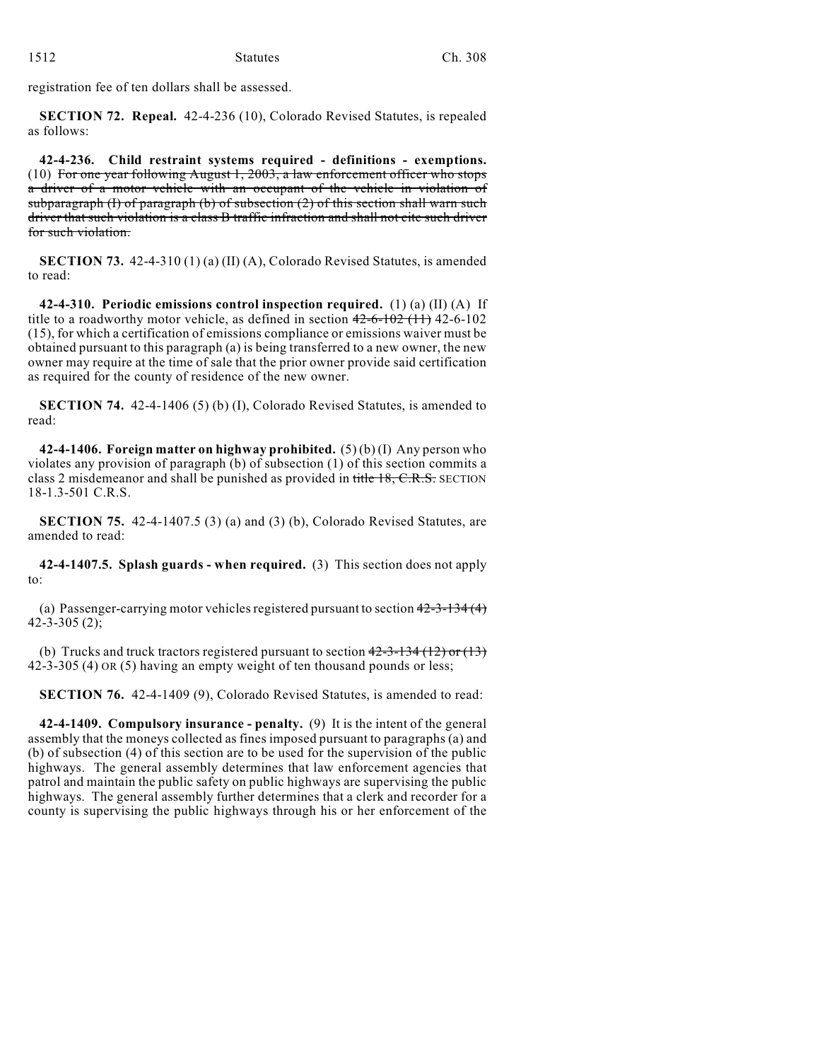registration fee of ten dollars shall be assessed.

**SECTION 72. Repeal.** 42-4-236 (10), Colorado Revised Statutes, is repealed as follows:

**42-4-236. Child restraint systems required - definitions - exemptions.** (10) For one year following August 1, 2003, a law enforcement officer who stops a driver of a motor vehicle with an occupant of the vehicle in violation of subparagraph (I) of paragraph (b) of subsection  $(2)$  of this section shall warn such driver that such violation is a class B traffic infraction and shall not cite such driver for such violation.

**SECTION 73.** 42-4-310 (1) (a) (II) (A), Colorado Revised Statutes, is amended to read:

**42-4-310. Periodic emissions control inspection required.** (1) (a) (II) (A) If title to a roadworthy motor vehicle, as defined in section  $42-6-102$  (11) 42-6-102 (15), for which a certification of emissions compliance or emissions waiver must be obtained pursuant to this paragraph (a) is being transferred to a new owner, the new owner may require at the time of sale that the prior owner provide said certification as required for the county of residence of the new owner.

**SECTION 74.** 42-4-1406 (5) (b) (I), Colorado Revised Statutes, is amended to read:

**42-4-1406. Foreign matter on highway prohibited.** (5) (b) (I) Any person who violates any provision of paragraph (b) of subsection (1) of this section commits a class 2 misdemeanor and shall be punished as provided in title 18, C.R.S. SECTION 18-1.3-501 C.R.S.

**SECTION 75.** 42-4-1407.5 (3) (a) and (3) (b), Colorado Revised Statutes, are amended to read:

**42-4-1407.5. Splash guards - when required.** (3) This section does not apply to:

(a) Passenger-carrying motor vehicles registered pursuant to section  $42-3-134(4)$ 42-3-305 (2);

(b) Trucks and truck tractors registered pursuant to section  $42-3-134(12)$  or  $(13)$ 42-3-305 (4) OR (5) having an empty weight of ten thousand pounds or less;

**SECTION 76.** 42-4-1409 (9), Colorado Revised Statutes, is amended to read:

**42-4-1409. Compulsory insurance - penalty.** (9) It is the intent of the general assembly that the moneys collected as fines imposed pursuant to paragraphs (a) and (b) of subsection (4) of this section are to be used for the supervision of the public highways. The general assembly determines that law enforcement agencies that patrol and maintain the public safety on public highways are supervising the public highways. The general assembly further determines that a clerk and recorder for a county is supervising the public highways through his or her enforcement of the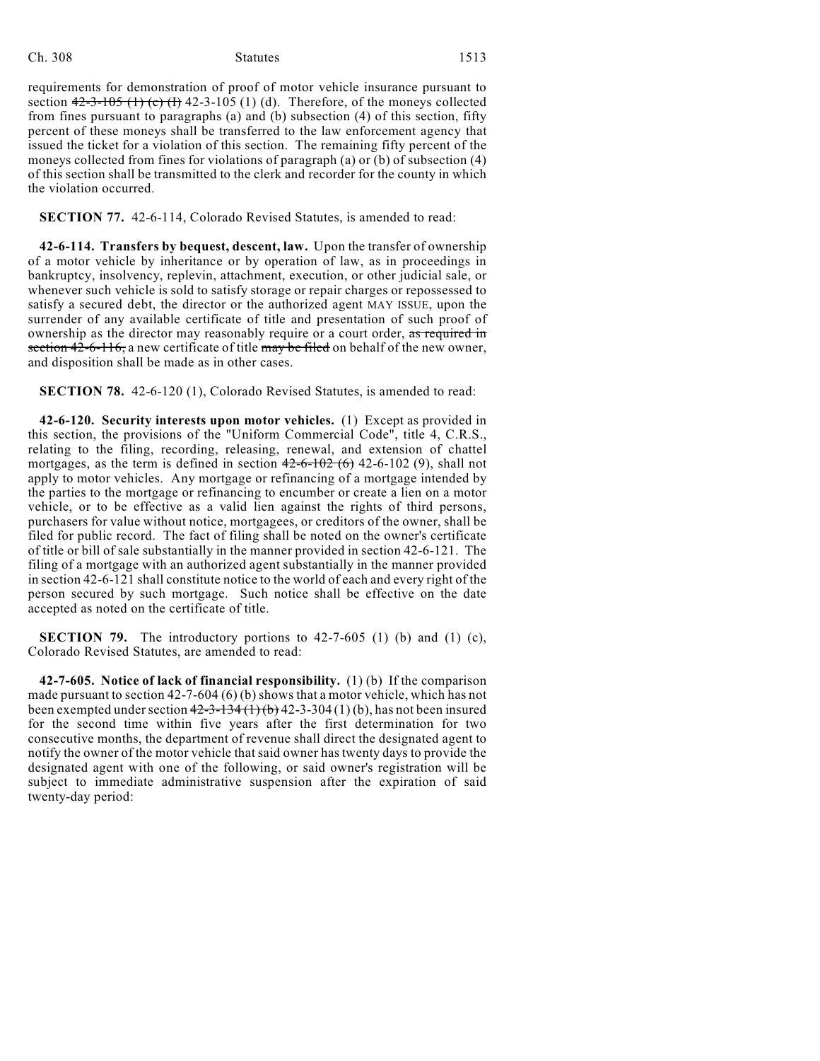requirements for demonstration of proof of motor vehicle insurance pursuant to section  $42-3-105$  (1) (c) (f) 42-3-105 (1) (d). Therefore, of the moneys collected from fines pursuant to paragraphs (a) and (b) subsection (4) of this section, fifty percent of these moneys shall be transferred to the law enforcement agency that issued the ticket for a violation of this section. The remaining fifty percent of the moneys collected from fines for violations of paragraph (a) or (b) of subsection (4) of this section shall be transmitted to the clerk and recorder for the county in which the violation occurred.

**SECTION 77.** 42-6-114, Colorado Revised Statutes, is amended to read:

**42-6-114. Transfers by bequest, descent, law.** Upon the transfer of ownership of a motor vehicle by inheritance or by operation of law, as in proceedings in bankruptcy, insolvency, replevin, attachment, execution, or other judicial sale, or whenever such vehicle is sold to satisfy storage or repair charges or repossessed to satisfy a secured debt, the director or the authorized agent MAY ISSUE, upon the surrender of any available certificate of title and presentation of such proof of ownership as the director may reasonably require or a court order, as required in section 42-6-116, a new certificate of title may be filed on behalf of the new owner, and disposition shall be made as in other cases.

**SECTION 78.** 42-6-120 (1), Colorado Revised Statutes, is amended to read:

**42-6-120. Security interests upon motor vehicles.** (1) Except as provided in this section, the provisions of the "Uniform Commercial Code", title 4, C.R.S., relating to the filing, recording, releasing, renewal, and extension of chattel mortgages, as the term is defined in section  $42-6-102$  (6) 42-6-102 (9), shall not apply to motor vehicles. Any mortgage or refinancing of a mortgage intended by the parties to the mortgage or refinancing to encumber or create a lien on a motor vehicle, or to be effective as a valid lien against the rights of third persons, purchasers for value without notice, mortgagees, or creditors of the owner, shall be filed for public record. The fact of filing shall be noted on the owner's certificate of title or bill of sale substantially in the manner provided in section 42-6-121. The filing of a mortgage with an authorized agent substantially in the manner provided in section 42-6-121 shall constitute notice to the world of each and every right of the person secured by such mortgage. Such notice shall be effective on the date accepted as noted on the certificate of title.

**SECTION 79.** The introductory portions to 42-7-605 (1) (b) and (1) (c), Colorado Revised Statutes, are amended to read:

**42-7-605. Notice of lack of financial responsibility.** (1) (b) If the comparison made pursuant to section 42-7-604 (6) (b) shows that a motor vehicle, which has not been exempted under section  $42-3-134(1)(b)$  42-3-304(1)(b), has not been insured for the second time within five years after the first determination for two consecutive months, the department of revenue shall direct the designated agent to notify the owner of the motor vehicle that said owner hastwenty days to provide the designated agent with one of the following, or said owner's registration will be subject to immediate administrative suspension after the expiration of said twenty-day period: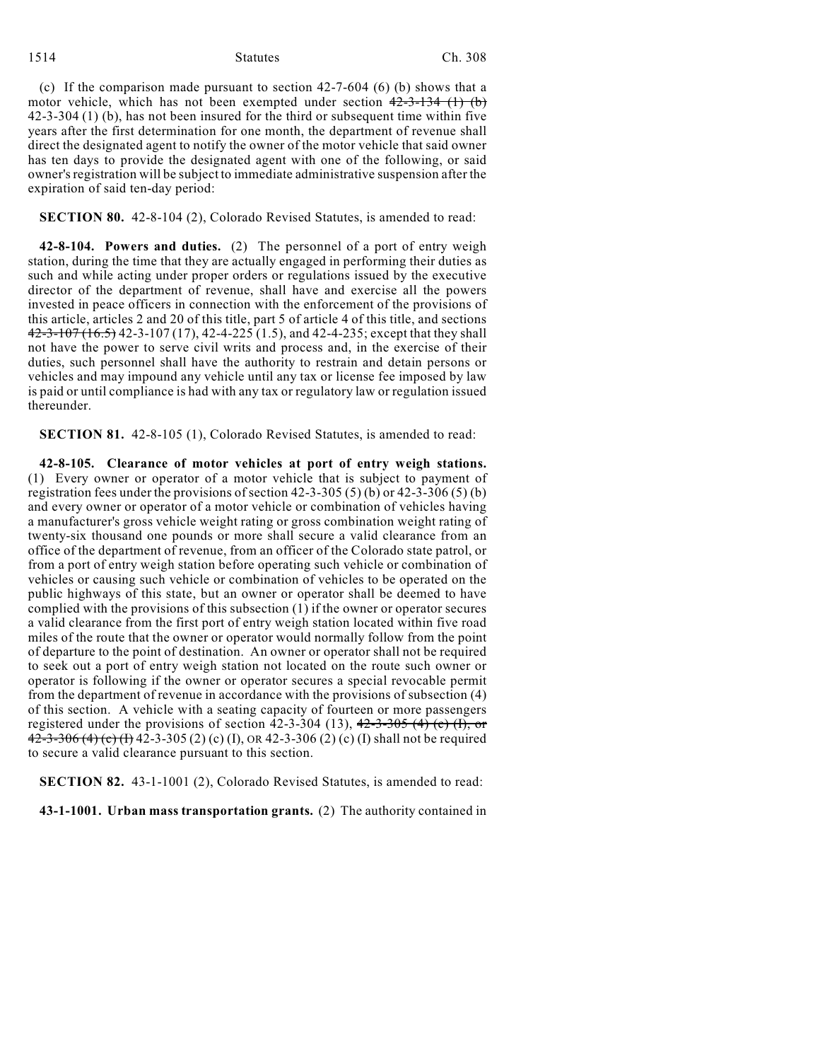#### 1514 Statutes Ch. 308

(c) If the comparison made pursuant to section 42-7-604 (6) (b) shows that a motor vehicle, which has not been exempted under section  $42-3-134$  (1) (b) 42-3-304 (1) (b), has not been insured for the third or subsequent time within five years after the first determination for one month, the department of revenue shall direct the designated agent to notify the owner of the motor vehicle that said owner has ten days to provide the designated agent with one of the following, or said owner's registration will be subject to immediate administrative suspension after the expiration of said ten-day period:

# **SECTION 80.** 42-8-104 (2), Colorado Revised Statutes, is amended to read:

**42-8-104. Powers and duties.** (2) The personnel of a port of entry weigh station, during the time that they are actually engaged in performing their duties as such and while acting under proper orders or regulations issued by the executive director of the department of revenue, shall have and exercise all the powers invested in peace officers in connection with the enforcement of the provisions of this article, articles 2 and 20 of this title, part 5 of article 4 of this title, and sections 42-3-107 (16.5) 42-3-107 (17), 42-4-225 (1.5), and 42-4-235; except that they shall not have the power to serve civil writs and process and, in the exercise of their duties, such personnel shall have the authority to restrain and detain persons or vehicles and may impound any vehicle until any tax or license fee imposed by law is paid or until compliance is had with any tax or regulatory law or regulation issued thereunder.

**SECTION 81.** 42-8-105 (1), Colorado Revised Statutes, is amended to read:

**42-8-105. Clearance of motor vehicles at port of entry weigh stations.** (1) Every owner or operator of a motor vehicle that is subject to payment of registration fees under the provisions of section 42-3-305 (5) (b) or 42-3-306 (5) (b) and every owner or operator of a motor vehicle or combination of vehicles having a manufacturer's gross vehicle weight rating or gross combination weight rating of twenty-six thousand one pounds or more shall secure a valid clearance from an office of the department of revenue, from an officer of the Colorado state patrol, or from a port of entry weigh station before operating such vehicle or combination of vehicles or causing such vehicle or combination of vehicles to be operated on the public highways of this state, but an owner or operator shall be deemed to have complied with the provisions of this subsection (1) if the owner or operator secures a valid clearance from the first port of entry weigh station located within five road miles of the route that the owner or operator would normally follow from the point of departure to the point of destination. An owner or operator shall not be required to seek out a port of entry weigh station not located on the route such owner or operator is following if the owner or operator secures a special revocable permit from the department of revenue in accordance with the provisions of subsection (4) of this section. A vehicle with a seating capacity of fourteen or more passengers registered under the provisions of section  $42-3-304$  (13),  $42-3-305$  (4) (c) (I), or 42-3-306 (4) (c) (f) 42-3-305 (2) (c) (I), OR 42-3-306 (2) (c) (I) shall not be required to secure a valid clearance pursuant to this section.

**SECTION 82.** 43-1-1001 (2), Colorado Revised Statutes, is amended to read:

**43-1-1001. Urban mass transportation grants.** (2) The authority contained in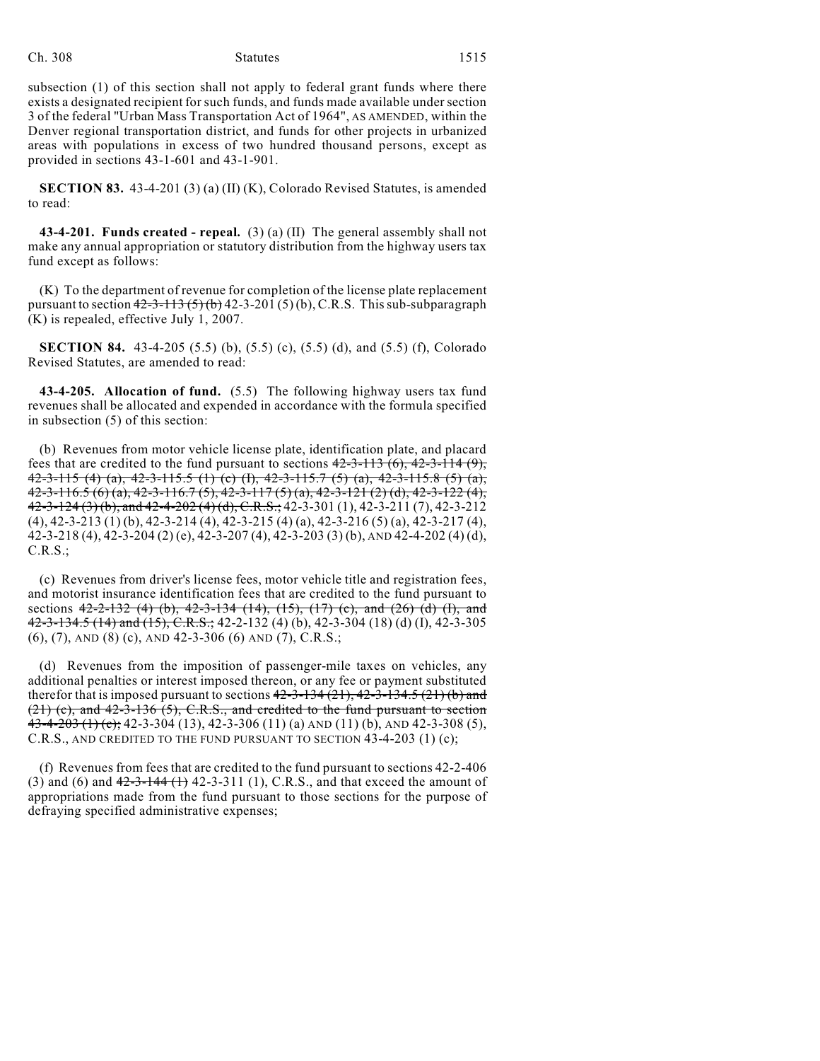subsection (1) of this section shall not apply to federal grant funds where there exists a designated recipient for such funds, and funds made available under section 3 of the federal "Urban Mass Transportation Act of 1964", AS AMENDED, within the Denver regional transportation district, and funds for other projects in urbanized areas with populations in excess of two hundred thousand persons, except as provided in sections 43-1-601 and 43-1-901.

**SECTION 83.** 43-4-201 (3) (a) (II) (K), Colorado Revised Statutes, is amended to read:

**43-4-201. Funds created - repeal.** (3) (a) (II) The general assembly shall not make any annual appropriation or statutory distribution from the highway users tax fund except as follows:

(K) To the department of revenue for completion of the license plate replacement pursuant to section  $42-3-113(5)(b)$  42-3-201(5)(b), C.R.S. This sub-subparagraph (K) is repealed, effective July 1, 2007.

**SECTION 84.** 43-4-205 (5.5) (b), (5.5) (c), (5.5) (d), and (5.5) (f), Colorado Revised Statutes, are amended to read:

**43-4-205. Allocation of fund.** (5.5) The following highway users tax fund revenues shall be allocated and expended in accordance with the formula specified in subsection (5) of this section:

(b) Revenues from motor vehicle license plate, identification plate, and placard fees that are credited to the fund pursuant to sections  $42-3-113(6)$ ,  $42-3-114(9)$ , 42-3-115 (4) (a), 42-3-115.5 (1) (c) (I), 42-3-115.7 (5) (a), 42-3-115.8 (5) (a), 42-3-116.5 (6) (a), 42-3-116.7 (5), 42-3-117 (5) (a), 42-3-121 (2) (d), 42-3-122 (4), 42-3-124 (3) (b), and 42-4-202 (4) (d), C.R.S.; 42-3-301 (1), 42-3-211 (7), 42-3-212 (4), 42-3-213 (1) (b), 42-3-214 (4), 42-3-215 (4) (a), 42-3-216 (5) (a), 42-3-217 (4), 42-3-218 (4), 42-3-204 (2) (e), 42-3-207 (4), 42-3-203 (3) (b), AND 42-4-202 (4) (d), C.R.S.;

(c) Revenues from driver's license fees, motor vehicle title and registration fees, and motorist insurance identification fees that are credited to the fund pursuant to sections  $42-2-132$  (4) (b),  $42-3-134$  (14),  $(15)$ ,  $(17)$  (c), and (26) (d) (I), and 42-3-134.5 (14) and (15), C.R.S.; 42-2-132 (4) (b), 42-3-304 (18) (d) (I), 42-3-305 (6), (7), AND (8) (c), AND 42-3-306 (6) AND (7), C.R.S.;

(d) Revenues from the imposition of passenger-mile taxes on vehicles, any additional penalties or interest imposed thereon, or any fee or payment substituted therefor that is imposed pursuant to sections  $42-3-134(21)$ ,  $42-3-134.5(21)$  (b) and  $(21)$  (c), and  $42-3-136$  (5), C.R.S., and credited to the fund pursuant to section  $43-4-203$  (1) (c); 42-3-304 (13), 42-3-306 (11) (a) AND (11) (b), AND 42-3-308 (5), C.R.S., AND CREDITED TO THE FUND PURSUANT TO SECTION 43-4-203 (1) (c);

(f) Revenues from fees that are credited to the fund pursuant to sections 42-2-406 (3) and (6) and  $42-3-144$  (1)  $42-3-311$  (1), C.R.S., and that exceed the amount of appropriations made from the fund pursuant to those sections for the purpose of defraying specified administrative expenses;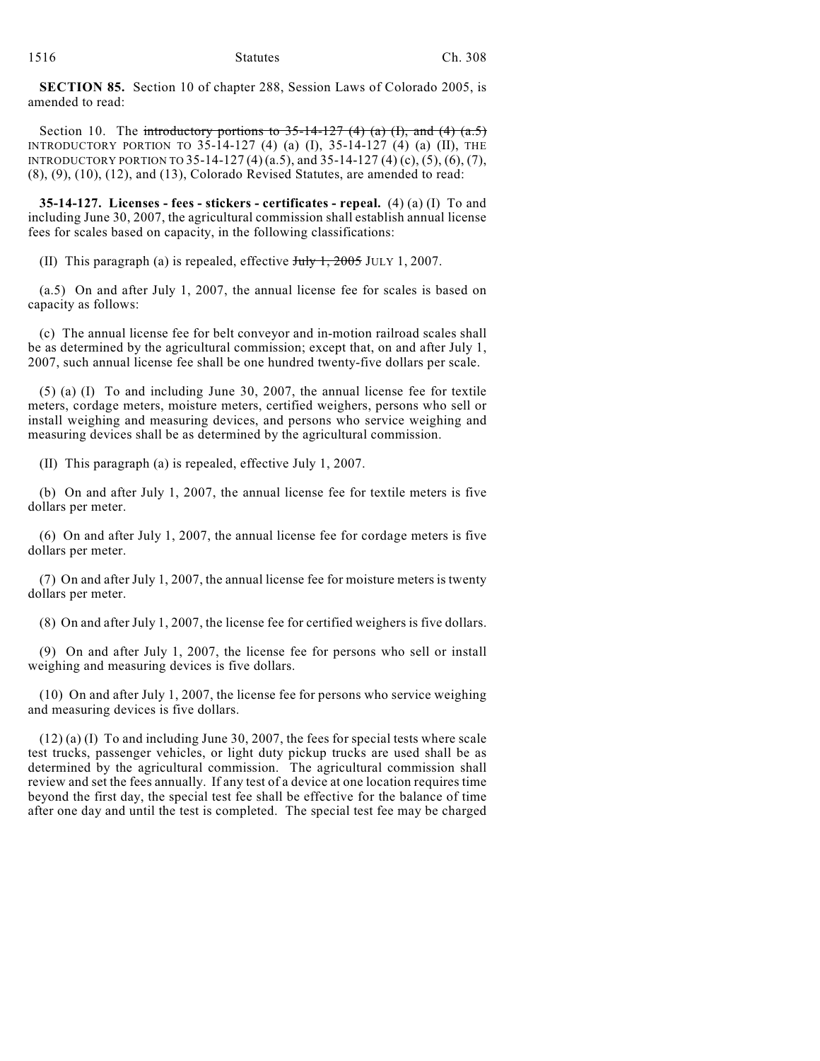**SECTION 85.** Section 10 of chapter 288, Session Laws of Colorado 2005, is amended to read:

Section 10. The introductory portions to  $35-14-127$  (4) (a) (I), and (4) (a.5) INTRODUCTORY PORTION TO 35-14-127 (4) (a) (I), 35-14-127 (4) (a) (II), THE INTRODUCTORY PORTION TO 35-14-127 (4)(a.5), and 35-14-127 (4) (c), (5), (6), (7), (8), (9), (10), (12), and (13), Colorado Revised Statutes, are amended to read:

**35-14-127. Licenses - fees - stickers - certificates - repeal.** (4) (a) (I) To and including June 30, 2007, the agricultural commission shall establish annual license fees for scales based on capacity, in the following classifications:

(II) This paragraph (a) is repealed, effective  $J_{\text{t}}/J_{\text{t}}$ , 2005 JULY 1, 2007.

(a.5) On and after July 1, 2007, the annual license fee for scales is based on capacity as follows:

(c) The annual license fee for belt conveyor and in-motion railroad scales shall be as determined by the agricultural commission; except that, on and after July 1, 2007, such annual license fee shall be one hundred twenty-five dollars per scale.

(5) (a) (I) To and including June 30, 2007, the annual license fee for textile meters, cordage meters, moisture meters, certified weighers, persons who sell or install weighing and measuring devices, and persons who service weighing and measuring devices shall be as determined by the agricultural commission.

(II) This paragraph (a) is repealed, effective July 1, 2007.

(b) On and after July 1, 2007, the annual license fee for textile meters is five dollars per meter.

(6) On and after July 1, 2007, the annual license fee for cordage meters is five dollars per meter.

(7) On and after July 1, 2007, the annual license fee for moisture meters is twenty dollars per meter.

(8) On and after July 1, 2007, the license fee for certified weighers is five dollars.

(9) On and after July 1, 2007, the license fee for persons who sell or install weighing and measuring devices is five dollars.

(10) On and after July 1, 2007, the license fee for persons who service weighing and measuring devices is five dollars.

(12) (a) (I) To and including June 30, 2007, the fees for special tests where scale test trucks, passenger vehicles, or light duty pickup trucks are used shall be as determined by the agricultural commission. The agricultural commission shall review and set the fees annually. If any test of a device at one location requires time beyond the first day, the special test fee shall be effective for the balance of time after one day and until the test is completed. The special test fee may be charged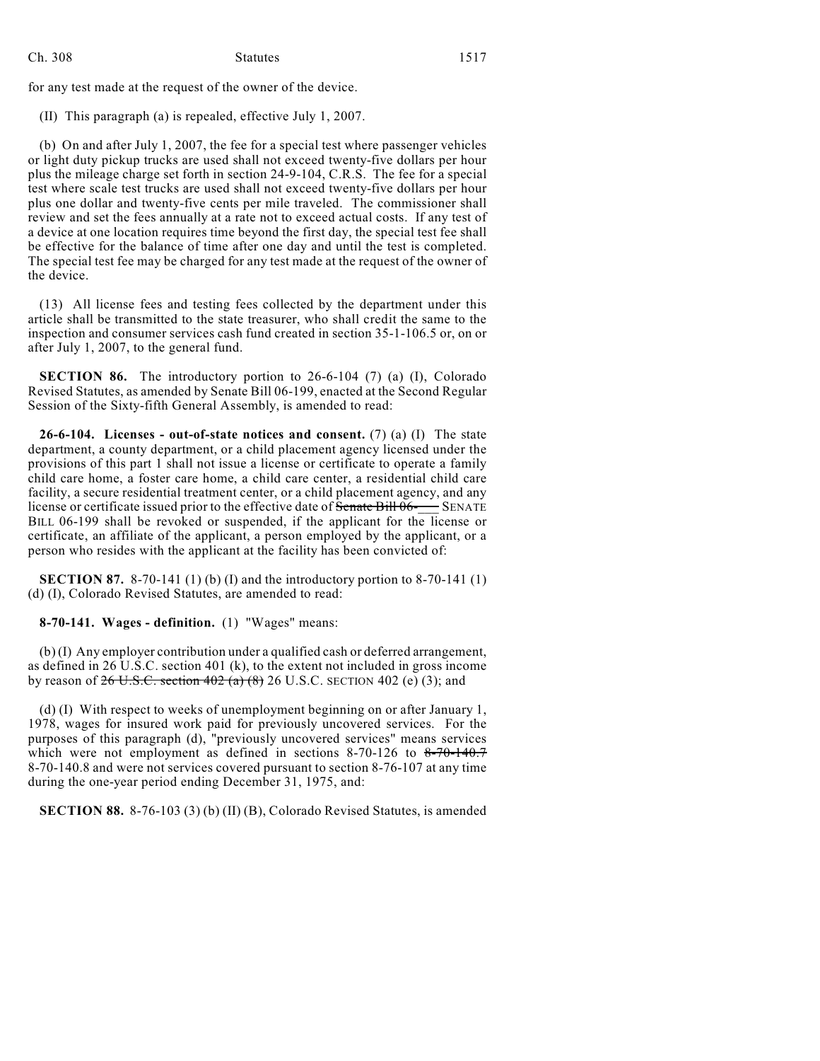for any test made at the request of the owner of the device.

(II) This paragraph (a) is repealed, effective July 1, 2007.

(b) On and after July 1, 2007, the fee for a special test where passenger vehicles or light duty pickup trucks are used shall not exceed twenty-five dollars per hour plus the mileage charge set forth in section 24-9-104, C.R.S. The fee for a special test where scale test trucks are used shall not exceed twenty-five dollars per hour plus one dollar and twenty-five cents per mile traveled. The commissioner shall review and set the fees annually at a rate not to exceed actual costs. If any test of a device at one location requires time beyond the first day, the special test fee shall be effective for the balance of time after one day and until the test is completed. The special test fee may be charged for any test made at the request of the owner of the device.

(13) All license fees and testing fees collected by the department under this article shall be transmitted to the state treasurer, who shall credit the same to the inspection and consumer services cash fund created in section 35-1-106.5 or, on or after July 1, 2007, to the general fund.

**SECTION 86.** The introductory portion to 26-6-104 (7) (a) (I), Colorado Revised Statutes, as amended by Senate Bill 06-199, enacted at the Second Regular Session of the Sixty-fifth General Assembly, is amended to read:

**26-6-104. Licenses - out-of-state notices and consent.** (7) (a) (I) The state department, a county department, or a child placement agency licensed under the provisions of this part 1 shall not issue a license or certificate to operate a family child care home, a foster care home, a child care center, a residential child care facility, a secure residential treatment center, or a child placement agency, and any license or certificate issued prior to the effective date of  $\overline{\text{Senate}}$  Bill  $06-$  SENATE BILL 06-199 shall be revoked or suspended, if the applicant for the license or certificate, an affiliate of the applicant, a person employed by the applicant, or a person who resides with the applicant at the facility has been convicted of:

**SECTION 87.** 8-70-141 (1) (b) (I) and the introductory portion to 8-70-141 (1) (d) (I), Colorado Revised Statutes, are amended to read:

**8-70-141. Wages - definition.** (1) "Wages" means:

(b) (I) Any employer contribution under a qualified cash or deferred arrangement, as defined in 26 U.S.C. section 401 (k), to the extent not included in gross income by reason of  $26$  U.S.C. section  $402$  (a)  $(8)$  26 U.S.C. SECTION 402 (e) (3); and

(d) (I) With respect to weeks of unemployment beginning on or after January 1, 1978, wages for insured work paid for previously uncovered services. For the purposes of this paragraph (d), "previously uncovered services" means services which were not employment as defined in sections 8-70-126 to  $8-70-140.7$ 8-70-140.8 and were not services covered pursuant to section 8-76-107 at any time during the one-year period ending December 31, 1975, and:

**SECTION 88.** 8-76-103 (3) (b) (II) (B), Colorado Revised Statutes, is amended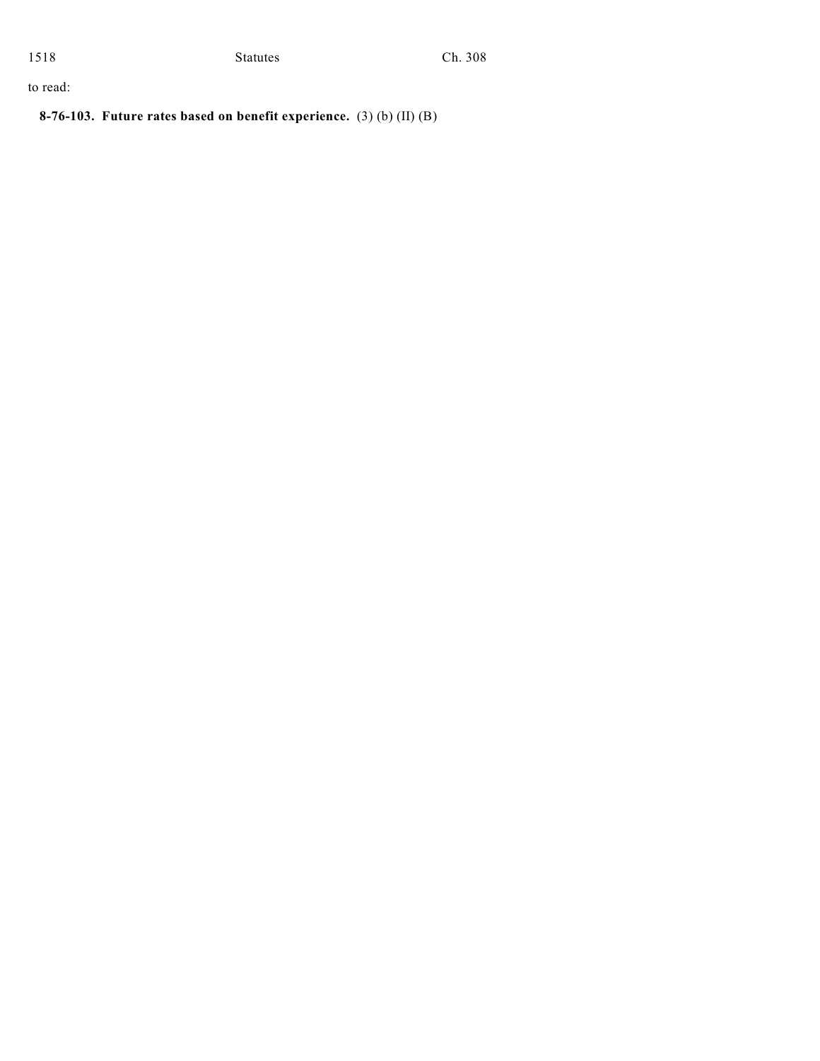to read:

**8-76-103. Future rates based on benefit experience.** (3) (b) (II) (B)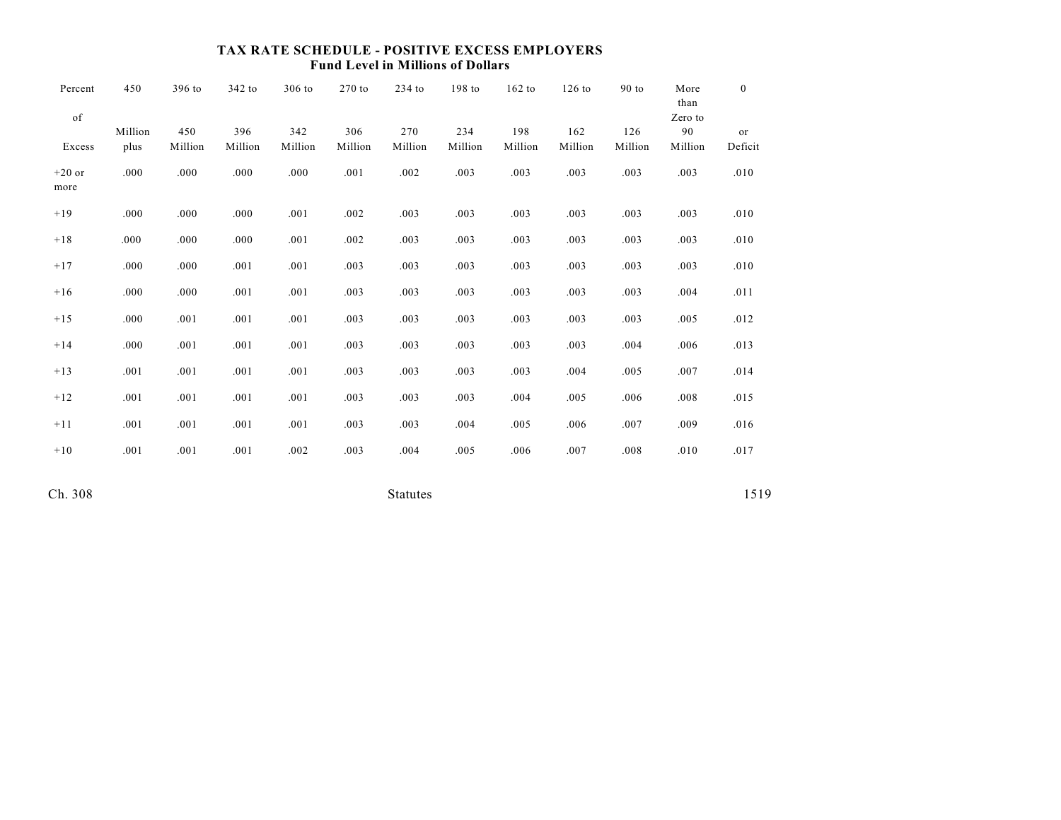# **TAX RATE SCHEDULE - POSITIVE EXCESS EMPLOYERS Fund Level in Millions of Dollars**

| Percent<br>of    | 450             | 396 to         | 342 to         | 306 to         | $270$ to       | $234$ to       | 198 to         | $162$ to       | $126$ to       | 90 to          | More<br>than<br>Zero to | $\overline{0}$ |
|------------------|-----------------|----------------|----------------|----------------|----------------|----------------|----------------|----------------|----------------|----------------|-------------------------|----------------|
| Excess           | Million<br>plus | 450<br>Million | 396<br>Million | 342<br>Million | 306<br>Million | 270<br>Million | 234<br>Million | 198<br>Million | 162<br>Million | 126<br>Million | 90<br>Million           | or<br>Deficit  |
| $+20$ or<br>more | .000            | .000           | .000           | .000           | .001           | .002           | .003           | .003           | .003           | .003           | .003                    | .010           |
| $+19$            | .000            | .000           | .000           | .001           | .002           | .003           | .003           | .003           | .003           | .003           | .003                    | .010           |
| $+18$            | .000            | .000           | .000           | .001           | .002           | .003           | .003           | .003           | .003           | .003           | .003                    | .010           |
| $+17$            | .000            | .000           | .001           | .001           | .003           | .003           | .003           | .003           | .003           | .003           | .003                    | .010           |
| $+16$            | .000            | .000           | .001           | .001           | .003           | .003           | .003           | .003           | .003           | .003           | .004                    | .011           |
| $+15$            | .000            | .001           | .001           | .001           | .003           | .003           | .003           | .003           | .003           | .003           | .005                    | .012           |
| $+14$            | .000            | .001           | .001           | .001           | .003           | .003           | .003           | .003           | .003           | .004           | .006                    | .013           |
| $+13$            | .001            | .001           | .001           | .001           | .003           | .003           | .003           | .003           | .004           | .005           | .007                    | .014           |
| $+12$            | .001            | .001           | .001           | .001           | .003           | .003           | .003           | .004           | .005           | .006           | .008                    | .015           |
| $+11$            | .001            | .001           | .001           | .001           | .003           | .003           | .004           | .005           | .006           | .007           | .009                    | .016           |
| $+10$            | .001            | .001           | .001           | .002           | .003           | .004           | .005           | .006           | .007           | .008           | .010                    | .017           |
|                  |                 |                |                |                |                |                |                |                |                |                |                         |                |

Ch. 308 Statutes 1519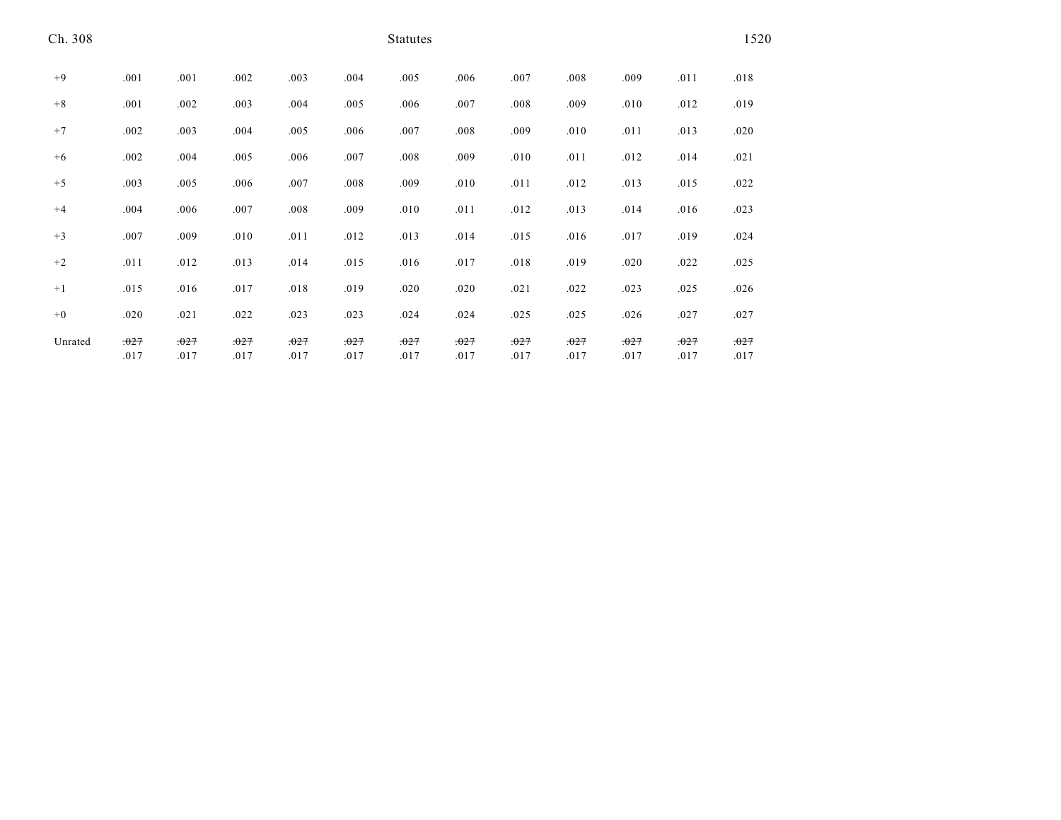| Ch. 308 |              |              |              |              |              | <b>Statutes</b> |              |              |              |              |              | 1520         |
|---------|--------------|--------------|--------------|--------------|--------------|-----------------|--------------|--------------|--------------|--------------|--------------|--------------|
| $+9$    | .001         | .001         | .002         | .003         | .004         | .005            | .006         | .007         | .008         | .009         | .011         | .018         |
| $+8$    | .001         | .002         | .003         | .004         | .005         | .006            | .007         | .008         | .009         | .010         | .012         | .019         |
| $+7$    | .002         | .003         | .004         | .005         | .006         | .007            | .008         | .009         | .010         | .011         | .013         | .020         |
| $+6$    | .002         | .004         | .005         | .006         | .007         | .008            | .009         | .010         | .011         | .012         | .014         | .021         |
| $+5$    | .003         | .005         | .006         | .007         | .008         | .009            | .010         | .011         | .012         | .013         | .015         | .022         |
| $+4$    | .004         | .006         | .007         | .008         | .009         | .010            | .011         | .012         | .013         | .014         | .016         | .023         |
| $+3$    | .007         | .009         | .010         | .011         | .012         | .013            | .014         | .015         | .016         | .017         | .019         | .024         |
| $+2$    | .011         | .012         | .013         | .014         | .015         | .016            | .017         | .018         | .019         | .020         | .022         | .025         |
| $+1$    | .015         | .016         | .017         | .018         | .019         | .020            | .020         | .021         | .022         | .023         | .025         | .026         |
| $+0$    | .020         | .021         | .022         | .023         | .023         | .024            | .024         | .025         | .025         | .026         | .027         | .027         |
| Unrated | .027<br>.017 | .027<br>.017 | .027<br>.017 | .027<br>.017 | .027<br>.017 | .027<br>.017    | .027<br>.017 | .027<br>.017 | .027<br>.017 | .027<br>.017 | .027<br>.017 | .027<br>.017 |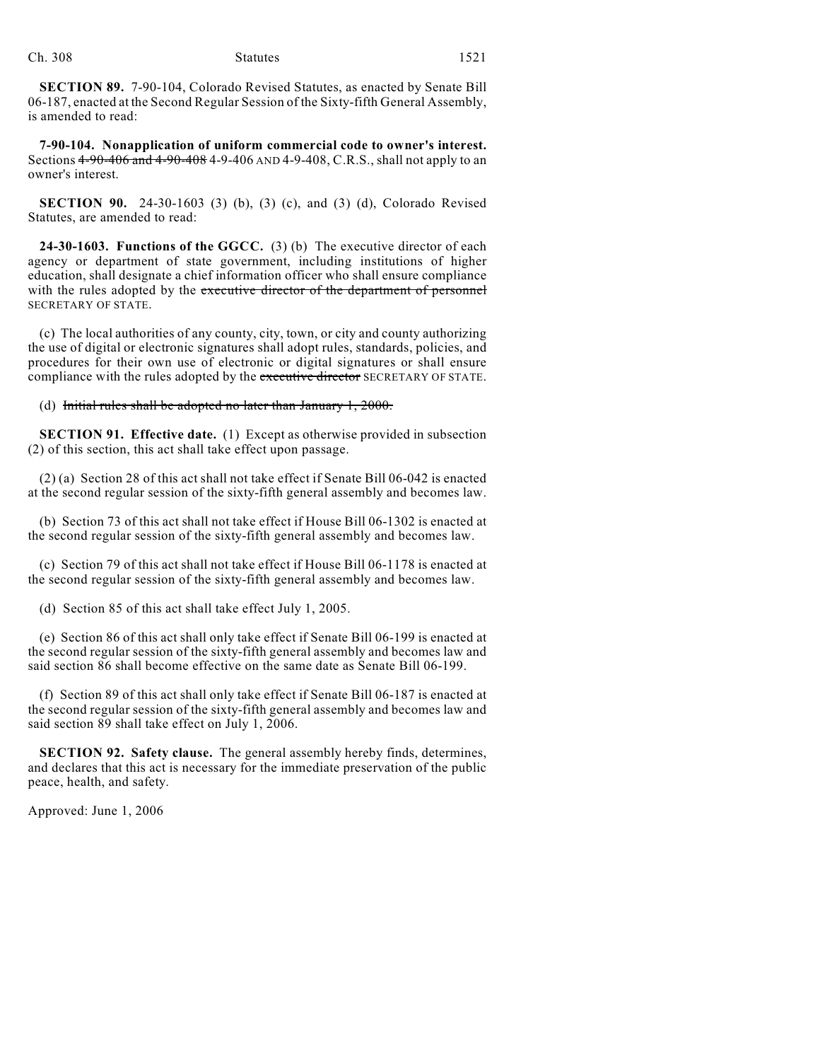**SECTION 89.** 7-90-104, Colorado Revised Statutes, as enacted by Senate Bill 06-187, enacted at the Second Regular Session of the Sixty-fifth General Assembly, is amended to read:

**7-90-104. Nonapplication of uniform commercial code to owner's interest.** Sections 4-90-406 and 4-90-408 4-9-406 AND 4-9-408, C.R.S., shall not apply to an owner's interest.

**SECTION 90.** 24-30-1603 (3) (b), (3) (c), and (3) (d), Colorado Revised Statutes, are amended to read:

**24-30-1603. Functions of the GGCC.** (3) (b) The executive director of each agency or department of state government, including institutions of higher education, shall designate a chief information officer who shall ensure compliance with the rules adopted by the executive director of the department of personnel SECRETARY OF STATE.

(c) The local authorities of any county, city, town, or city and county authorizing the use of digital or electronic signatures shall adopt rules, standards, policies, and procedures for their own use of electronic or digital signatures or shall ensure compliance with the rules adopted by the executive director SECRETARY OF STATE.

#### (d) Initial rules shall be adopted no later than January  $1,2000$ .

**SECTION 91. Effective date.** (1) Except as otherwise provided in subsection (2) of this section, this act shall take effect upon passage.

(2) (a) Section 28 of this act shall not take effect if Senate Bill 06-042 is enacted at the second regular session of the sixty-fifth general assembly and becomes law.

(b) Section 73 of this act shall not take effect if House Bill 06-1302 is enacted at the second regular session of the sixty-fifth general assembly and becomes law.

(c) Section 79 of this act shall not take effect if House Bill 06-1178 is enacted at the second regular session of the sixty-fifth general assembly and becomes law.

(d) Section 85 of this act shall take effect July 1, 2005.

(e) Section 86 of this act shall only take effect if Senate Bill 06-199 is enacted at the second regular session of the sixty-fifth general assembly and becomes law and said section 86 shall become effective on the same date as Senate Bill 06-199.

(f) Section 89 of this act shall only take effect if Senate Bill 06-187 is enacted at the second regular session of the sixty-fifth general assembly and becomes law and said section 89 shall take effect on July 1, 2006.

**SECTION 92. Safety clause.** The general assembly hereby finds, determines, and declares that this act is necessary for the immediate preservation of the public peace, health, and safety.

Approved: June 1, 2006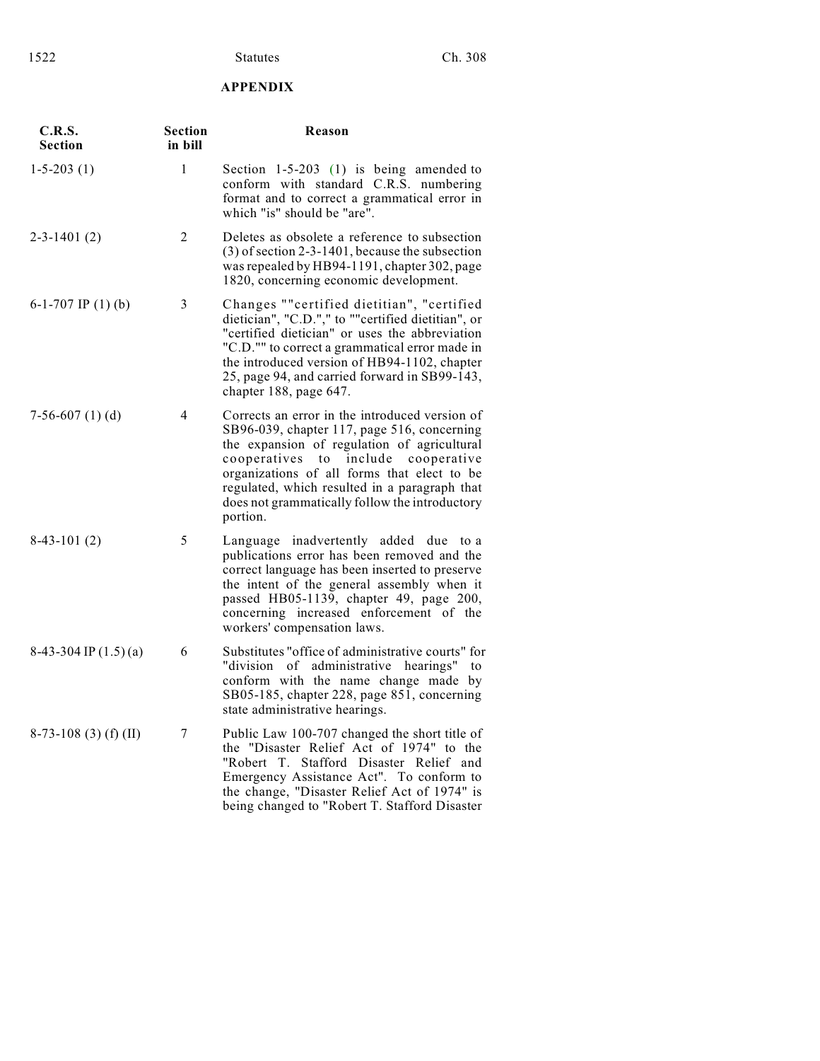# **APPENDIX**

| C.R.S.<br><b>Section</b>  | <b>Section</b><br>in bill | Reason                                                                                                                                                                                                                                                                                                                                                  |
|---------------------------|---------------------------|---------------------------------------------------------------------------------------------------------------------------------------------------------------------------------------------------------------------------------------------------------------------------------------------------------------------------------------------------------|
| $1-5-203(1)$              | $\mathbf{1}$              | Section $1-5-203$ (1) is being amended to<br>conform with standard C.R.S. numbering<br>format and to correct a grammatical error in<br>which "is" should be "are".                                                                                                                                                                                      |
| $2 - 3 - 1401(2)$         | 2                         | Deletes as obsolete a reference to subsection<br>$(3)$ of section 2-3-1401, because the subsection<br>was repealed by HB94-1191, chapter 302, page<br>1820, concerning economic development.                                                                                                                                                            |
| 6-1-707 IP $(1)$ (b)      | 3                         | Changes ""certified dietitian", "certified<br>dietician", "C.D."," to ""certified dietitian", or<br>"certified dietician" or uses the abbreviation<br>"C.D."" to correct a grammatical error made in<br>the introduced version of HB94-1102, chapter<br>25, page 94, and carried forward in SB99-143,<br>chapter 188, page 647.                         |
| $7-56-607(1)(d)$          | 4                         | Corrects an error in the introduced version of<br>SB96-039, chapter 117, page 516, concerning<br>the expansion of regulation of agricultural<br>cooperatives<br>to include<br>cooperative<br>organizations of all forms that elect to be<br>regulated, which resulted in a paragraph that<br>does not grammatically follow the introductory<br>portion. |
| $8-43-101(2)$             | 5                         | Language inadvertently added due to a<br>publications error has been removed and the<br>correct language has been inserted to preserve<br>the intent of the general assembly when it<br>passed HB05-1139, chapter 49, page 200,<br>concerning increased enforcement of the<br>workers' compensation laws.                                               |
| $8-43-304$ IP $(1.5)$ (a) | 6                         | Substitutes "office of administrative courts" for<br>"division of administrative hearings"<br>to<br>conform with the name change made by<br>SB05-185, chapter 228, page 851, concerning<br>state administrative hearings.                                                                                                                               |
| $8-73-108$ (3) (f) (II)   | 7                         | Public Law 100-707 changed the short title of<br>the "Disaster Relief Act of 1974" to the<br>"Robert T. Stafford Disaster Relief and<br>Emergency Assistance Act". To conform to<br>the change, "Disaster Relief Act of 1974" is<br>being changed to "Robert T. Stafford Disaster                                                                       |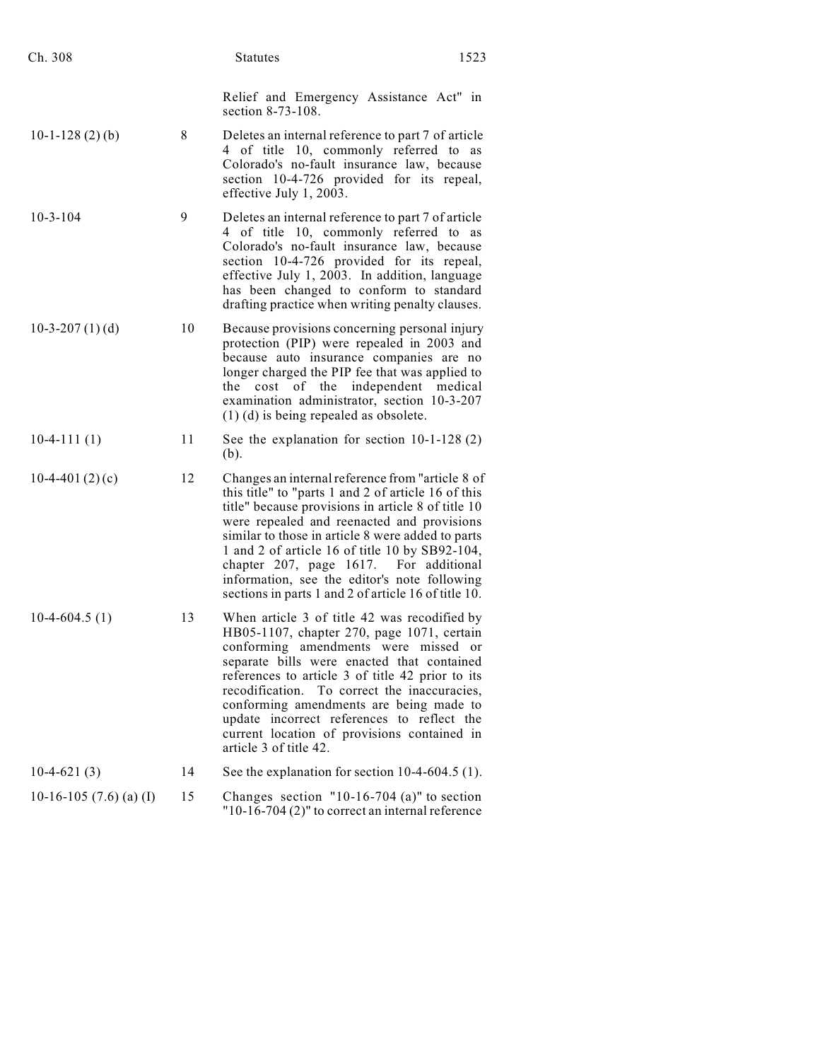| Ch. 308                   |    | <b>Statutes</b><br>1523                                                                                                                                                                                                                                                                                                                                                                                                                                              |
|---------------------------|----|----------------------------------------------------------------------------------------------------------------------------------------------------------------------------------------------------------------------------------------------------------------------------------------------------------------------------------------------------------------------------------------------------------------------------------------------------------------------|
|                           |    | Relief and Emergency Assistance Act" in<br>section 8-73-108.                                                                                                                                                                                                                                                                                                                                                                                                         |
| $10-1-128(2)(b)$          | 8  | Deletes an internal reference to part 7 of article<br>4 of title 10, commonly referred to as<br>Colorado's no-fault insurance law, because<br>section 10-4-726 provided for its repeal,<br>effective July 1, 2003.                                                                                                                                                                                                                                                   |
| $10-3-104$                | 9  | Deletes an internal reference to part 7 of article<br>4 of title 10, commonly referred to as<br>Colorado's no-fault insurance law, because<br>section 10-4-726 provided for its repeal,<br>effective July 1, 2003. In addition, language<br>has been changed to conform to standard<br>drafting practice when writing penalty clauses.                                                                                                                               |
| $10-3-207(1)(d)$          | 10 | Because provisions concerning personal injury<br>protection (PIP) were repealed in 2003 and<br>because auto insurance companies are no<br>longer charged the PIP fee that was applied to<br>of<br>the<br>independent<br>medical<br>the<br>cost<br>examination administrator, section 10-3-207<br>$(1)$ (d) is being repealed as obsolete.                                                                                                                            |
| $10-4-111(1)$             | 11 | See the explanation for section $10-1-128(2)$<br>(b).                                                                                                                                                                                                                                                                                                                                                                                                                |
| $10-4-401(2)(c)$          | 12 | Changes an internal reference from "article 8 of<br>this title" to "parts 1 and 2 of article 16 of this<br>title" because provisions in article 8 of title 10<br>were repealed and reenacted and provisions<br>similar to those in article 8 were added to parts<br>1 and 2 of article 16 of title 10 by SB92-104,<br>chapter 207, page 1617. For additional<br>information, see the editor's note following<br>sections in parts 1 and 2 of article 16 of title 10. |
| $10-4-604.5(1)$           | 13 | When article 3 of title 42 was recodified by<br>HB05-1107, chapter 270, page 1071, certain<br>conforming amendments were missed or<br>separate bills were enacted that contained<br>references to article 3 of title 42 prior to its<br>recodification. To correct the inaccuracies,<br>conforming amendments are being made to<br>update incorrect references to reflect the<br>current location of provisions contained in<br>article 3 of title 42.               |
| $10-4-621(3)$             | 14 | See the explanation for section $10-4-604.5$ (1).                                                                                                                                                                                                                                                                                                                                                                                                                    |
| 10-16-105 $(7.6)$ (a) (I) | 15 | Changes section $"10-16-704$ (a)" to section<br>$"10-16-704(2)"$ to correct an internal reference                                                                                                                                                                                                                                                                                                                                                                    |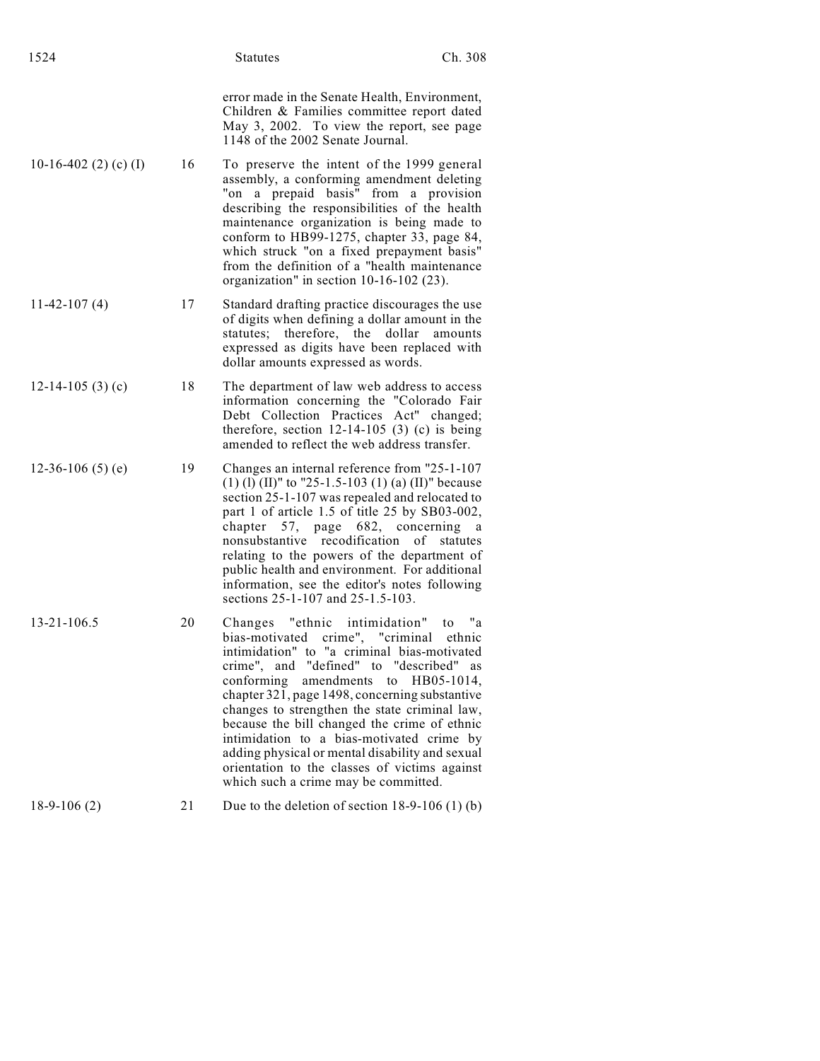| 1524                  |    | <b>Statutes</b>                                                                                                                                                                                                                                                                                                                                                                                                                                                                                                                            | Ch. 308                       |
|-----------------------|----|--------------------------------------------------------------------------------------------------------------------------------------------------------------------------------------------------------------------------------------------------------------------------------------------------------------------------------------------------------------------------------------------------------------------------------------------------------------------------------------------------------------------------------------------|-------------------------------|
|                       |    | error made in the Senate Health, Environment,<br>Children & Families committee report dated<br>May 3, 2002. To view the report, see page<br>1148 of the 2002 Senate Journal.                                                                                                                                                                                                                                                                                                                                                               |                               |
| 10-16-402 (2) (c) (I) | 16 | To preserve the intent of the 1999 general<br>assembly, a conforming amendment deleting<br>"on a prepaid basis" from a provision<br>describing the responsibilities of the health<br>maintenance organization is being made to<br>conform to HB99-1275, chapter 33, page 84,<br>which struck "on a fixed prepayment basis"<br>from the definition of a "health maintenance<br>organization" in section 10-16-102 (23).                                                                                                                     |                               |
| $11-42-107(4)$        | 17 | Standard drafting practice discourages the use<br>of digits when defining a dollar amount in the<br>statutes; therefore, the dollar amounts<br>expressed as digits have been replaced with<br>dollar amounts expressed as words.                                                                                                                                                                                                                                                                                                           |                               |
| 12-14-105 $(3)$ $(c)$ | 18 | The department of law web address to access<br>information concerning the "Colorado Fair<br>Debt Collection Practices Act" changed;<br>therefore, section $12-14-105$ (3) (c) is being<br>amended to reflect the web address transfer.                                                                                                                                                                                                                                                                                                     |                               |
| 12-36-106 $(5)$ $(e)$ | 19 | Changes an internal reference from "25-1-107<br>(1) (1) (II)" to "25-1.5-103 (1) (a) (II)" because<br>section 25-1-107 was repealed and relocated to<br>part 1 of article 1.5 of title 25 by SB03-002,<br>chapter 57, page 682, concerning<br>nonsubstantive recodification of statutes<br>relating to the powers of the department of<br>public health and environment. For additional<br>information, see the editor's notes following<br>sections 25-1-107 and 25-1.5-103.                                                              | a                             |
| $13 - 21 - 106.5$     | 20 | Changes "ethnic intimidation"<br>bias-motivated crime", "criminal ethnic<br>intimidation" to "a criminal bias-motivated<br>crime", and "defined" to "described" as<br>conforming<br>amendments<br>chapter 321, page 1498, concerning substantive<br>changes to strengthen the state criminal law,<br>because the bill changed the crime of ethnic<br>intimidation to a bias-motivated crime by<br>adding physical or mental disability and sexual<br>orientation to the classes of victims against<br>which such a crime may be committed. | "a<br>to<br>to $H B05-1014$ , |
| $18-9-106(2)$         | 21 | Due to the deletion of section $18-9-106(1)$ (b)                                                                                                                                                                                                                                                                                                                                                                                                                                                                                           |                               |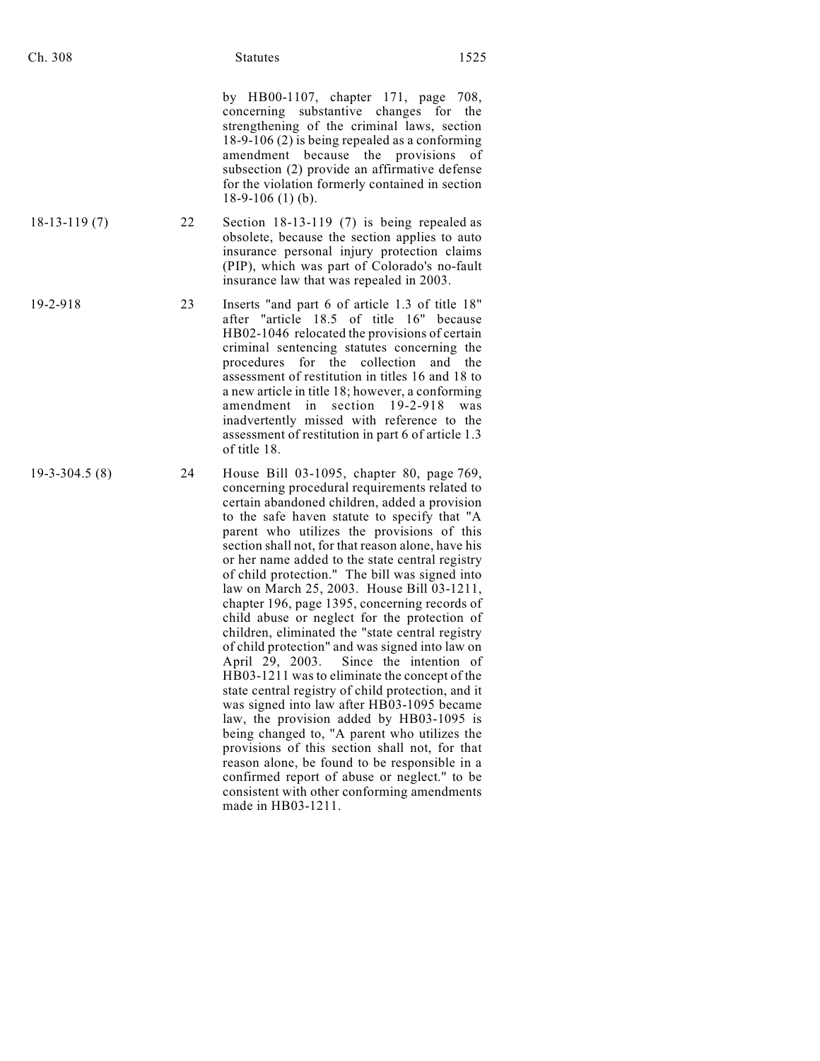by HB00-1107, chapter 171, page 708, concerning substantive changes for the strengthening of the criminal laws, section 18-9-106 (2) is being repealed as a conforming amendment because the provisions of subsection (2) provide an affirmative defense for the violation formerly contained in section 18-9-106 (1) (b).

- 18-13-119 (7) 22 Section 18-13-119 (7) is being repealed as obsolete, because the section applies to auto insurance personal injury protection claims (PIP), which was part of Colorado's no-fault insurance law that was repealed in 2003.
- 19-2-918 23 Inserts "and part 6 of article 1.3 of title 18" after "article 18.5 of title 16" because HB02-1046 relocated the provisions of certain criminal sentencing statutes concerning the procedures for the collection and the assessment of restitution in titles 16 and 18 to a new article in title 18; however, a conforming amendment in section 19-2-918 was inadvertently missed with reference to the assessment of restitution in part 6 of article 1.3 of title 18.
- 19-3-304.5 (8) 24 House Bill 03-1095, chapter 80, page 769, concerning procedural requirements related to certain abandoned children, added a provision to the safe haven statute to specify that "A parent who utilizes the provisions of this section shall not, for that reason alone, have his or her name added to the state central registry of child protection." The bill was signed into law on March 25, 2003. House Bill 03-1211, chapter 196, page 1395, concerning records of child abuse or neglect for the protection of children, eliminated the "state central registry of child protection" and was signed into law on April 29, 2003. Since the intention of HB03-1211 was to eliminate the concept of the state central registry of child protection, and it was signed into law after HB03-1095 became law, the provision added by HB03-1095 is being changed to, "A parent who utilizes the provisions of this section shall not, for that reason alone, be found to be responsible in a confirmed report of abuse or neglect." to be consistent with other conforming amendments made in HB03-1211.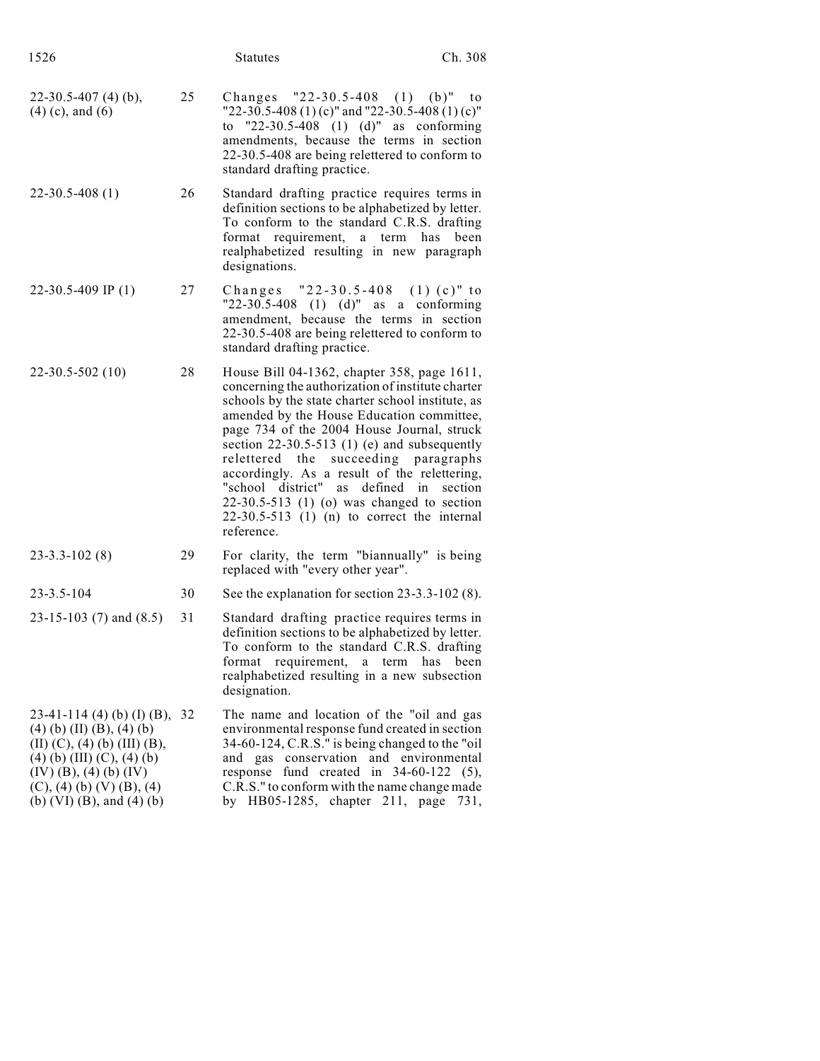| 1526                                                                                                                                                                                                                                  |    | <b>Statutes</b>                                                                                                                                                                                                                                                                                                                                                                                                                                                                                                                                 | Ch. 308 |
|---------------------------------------------------------------------------------------------------------------------------------------------------------------------------------------------------------------------------------------|----|-------------------------------------------------------------------------------------------------------------------------------------------------------------------------------------------------------------------------------------------------------------------------------------------------------------------------------------------------------------------------------------------------------------------------------------------------------------------------------------------------------------------------------------------------|---------|
| $22-30.5-407(4)$ (b),<br>$(4)$ (c), and (6)                                                                                                                                                                                           | 25 | Changes $"22-30.5-408$ (1) (b)"<br>"22-30.5-408 (1) (c)" and "22-30.5-408 (1) (c)"<br>to "22-30.5-408 (1) (d)" as conforming<br>amendments, because the terms in section<br>22-30.5-408 are being relettered to conform to<br>standard drafting practice.                                                                                                                                                                                                                                                                                       | to      |
| $22 - 30.5 - 408(1)$                                                                                                                                                                                                                  | 26 | Standard drafting practice requires terms in<br>definition sections to be alphabetized by letter.<br>To conform to the standard C.R.S. drafting<br>format requirement,<br>a term<br>has<br>realphabetized resulting in new paragraph<br>designations.                                                                                                                                                                                                                                                                                           | been    |
| 22-30.5-409 IP $(1)$                                                                                                                                                                                                                  | 27 | Changes "22-30.5-408 (1)(c)" to<br>"22-30.5-408 (1) (d)" as a conforming<br>amendment, because the terms in section<br>22-30.5-408 are being relettered to conform to<br>standard drafting practice.                                                                                                                                                                                                                                                                                                                                            |         |
| $22 - 30.5 - 502(10)$                                                                                                                                                                                                                 | 28 | House Bill 04-1362, chapter 358, page 1611,<br>concerning the authorization of institute charter<br>schools by the state charter school institute, as<br>amended by the House Education committee,<br>page 734 of the 2004 House Journal, struck<br>section $22-30.5-513$ (1) (e) and subsequently<br>relettered the succeeding paragraphs<br>accordingly. As a result of the relettering,<br>"school district" as<br>defined in<br>$22-30.5-513$ (1) (o) was changed to section<br>$22-30.5-513$ (1) (n) to correct the internal<br>reference. | section |
| $23 - 3 \cdot 3 - 102(8)$                                                                                                                                                                                                             | 29 | For clarity, the term "biannually" is being<br>replaced with "every other year".                                                                                                                                                                                                                                                                                                                                                                                                                                                                |         |
| $23 - 3.5 - 104$                                                                                                                                                                                                                      | 30 | See the explanation for section $23-3.3-102(8)$ .                                                                                                                                                                                                                                                                                                                                                                                                                                                                                               |         |
| 23-15-103 $(7)$ and $(8.5)$                                                                                                                                                                                                           | 31 | Standard drafting practice requires terms in<br>definition sections to be alphabetized by letter.<br>To conform to the standard C.R.S. drafting<br>requirement,<br>format<br>term has<br>a<br>realphabetized resulting in a new subsection<br>designation.                                                                                                                                                                                                                                                                                      | been    |
| 23-41-114 (4) (b) (I) (B), 32<br>$(4)$ (b) (II) (B), (4) (b)<br>$(II)$ $(C)$ , $(4)$ $(b)$ $(III)$ $(B)$ ,<br>$(4)$ (b) (III) (C), (4) (b)<br>$(IV)$ (B), (4) (b) (IV)<br>$(C)$ , (4) (b) (V) (B), (4)<br>(b) $(VI)$ (B), and (4) (b) |    | The name and location of the "oil and gas<br>environmental response fund created in section<br>34-60-124, C.R.S." is being changed to the "oil<br>and gas conservation and environmental<br>response fund created in $34-60-122$ (5),<br>C.R.S." to conform with the name change made<br>by HB05-1285, chapter 211, page 731,                                                                                                                                                                                                                   |         |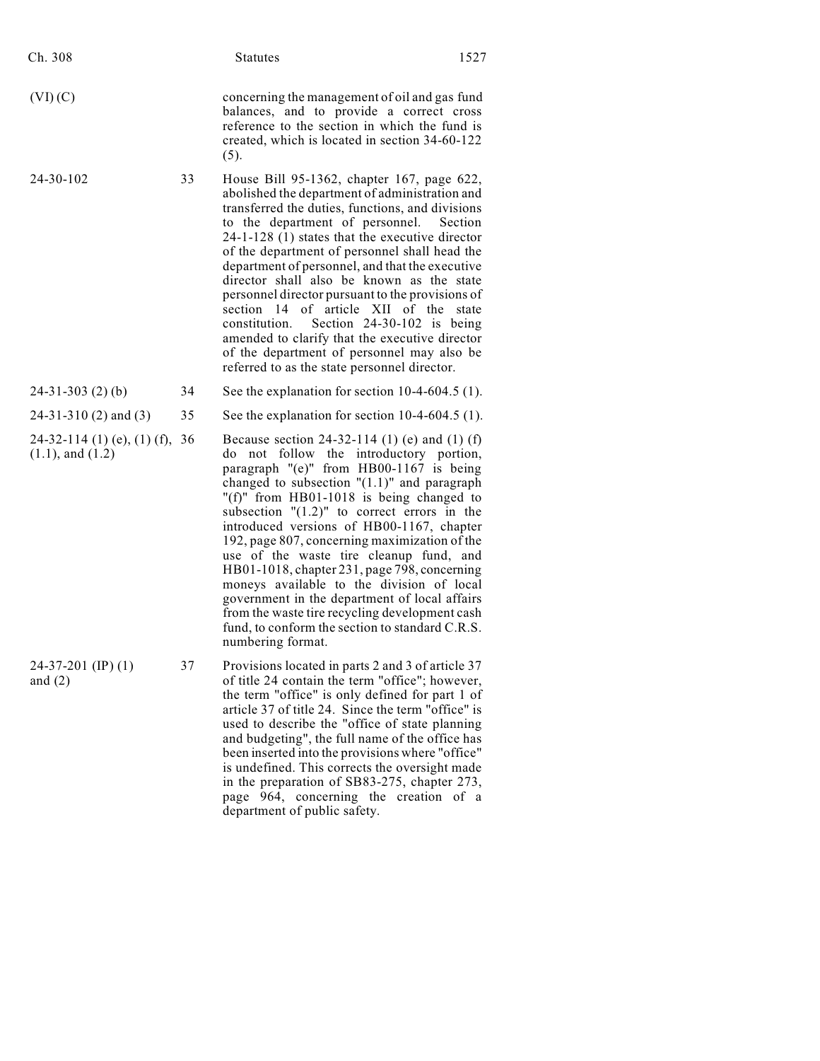| Ch. 308                                              |    | <b>Statutes</b>                                                                                                                                                                                                                                                                                                                                                                                                                                                                                                                                                                                                                                                                                         | 1527             |
|------------------------------------------------------|----|---------------------------------------------------------------------------------------------------------------------------------------------------------------------------------------------------------------------------------------------------------------------------------------------------------------------------------------------------------------------------------------------------------------------------------------------------------------------------------------------------------------------------------------------------------------------------------------------------------------------------------------------------------------------------------------------------------|------------------|
| (VI)(C)                                              |    | concerning the management of oil and gas fund<br>balances, and to provide a correct cross<br>reference to the section in which the fund is<br>created, which is located in section 34-60-122<br>(5).                                                                                                                                                                                                                                                                                                                                                                                                                                                                                                    |                  |
| 24-30-102                                            | 33 | House Bill 95-1362, chapter 167, page 622,<br>abolished the department of administration and<br>transferred the duties, functions, and divisions<br>to the department of personnel.<br>$24-1-128$ (1) states that the executive director<br>of the department of personnel shall head the<br>department of personnel, and that the executive<br>director shall also be known as the state<br>personnel director pursuant to the provisions of<br>section 14 of article XII of the<br>constitution.<br>Section $24-30-102$ is being<br>amended to clarify that the executive director<br>of the department of personnel may also be<br>referred to as the state personnel director.                      | Section<br>state |
| $24-31-303(2)$ (b)                                   | 34 | See the explanation for section $10-4-604.5$ (1).                                                                                                                                                                                                                                                                                                                                                                                                                                                                                                                                                                                                                                                       |                  |
| $24-31-310(2)$ and (3)                               | 35 | See the explanation for section $10-4-604.5$ (1).                                                                                                                                                                                                                                                                                                                                                                                                                                                                                                                                                                                                                                                       |                  |
| 24-32-114 (1) (e), (1) (f),<br>$(1.1)$ , and $(1.2)$ | 36 | Because section 24-32-114 (1) (e) and (1) (f)<br>not follow the introductory portion,<br>do<br>paragraph "(e)" from HB00-1167 is being<br>changed to subsection $"(1.1)"$ and paragraph<br>"(f)" from $HB01-1018$ is being changed to<br>subsection $"(1.2)"$ to correct errors in the<br>introduced versions of HB00-1167, chapter<br>192, page 807, concerning maximization of the<br>use of the waste tire cleanup fund, and<br>HB01-1018, chapter 231, page 798, concerning<br>moneys available to the division of local<br>government in the department of local affairs<br>from the waste tire recycling development cash<br>fund, to conform the section to standard C.R.S.<br>numbering format. |                  |
| $24-37-201$ (IP) (1)<br>and $(2)$                    | 37 | Provisions located in parts 2 and 3 of article 37<br>of title 24 contain the term "office"; however,<br>the term "office" is only defined for part 1 of<br>article 37 of title 24. Since the term "office" is<br>used to describe the "office of state planning<br>and budgeting", the full name of the office has<br>been inserted into the provisions where "office"<br>is undefined. This corrects the oversight made<br>in the preparation of SB83-275, chapter 273,<br>page 964, concerning the creation of a                                                                                                                                                                                      |                  |

department of public safety.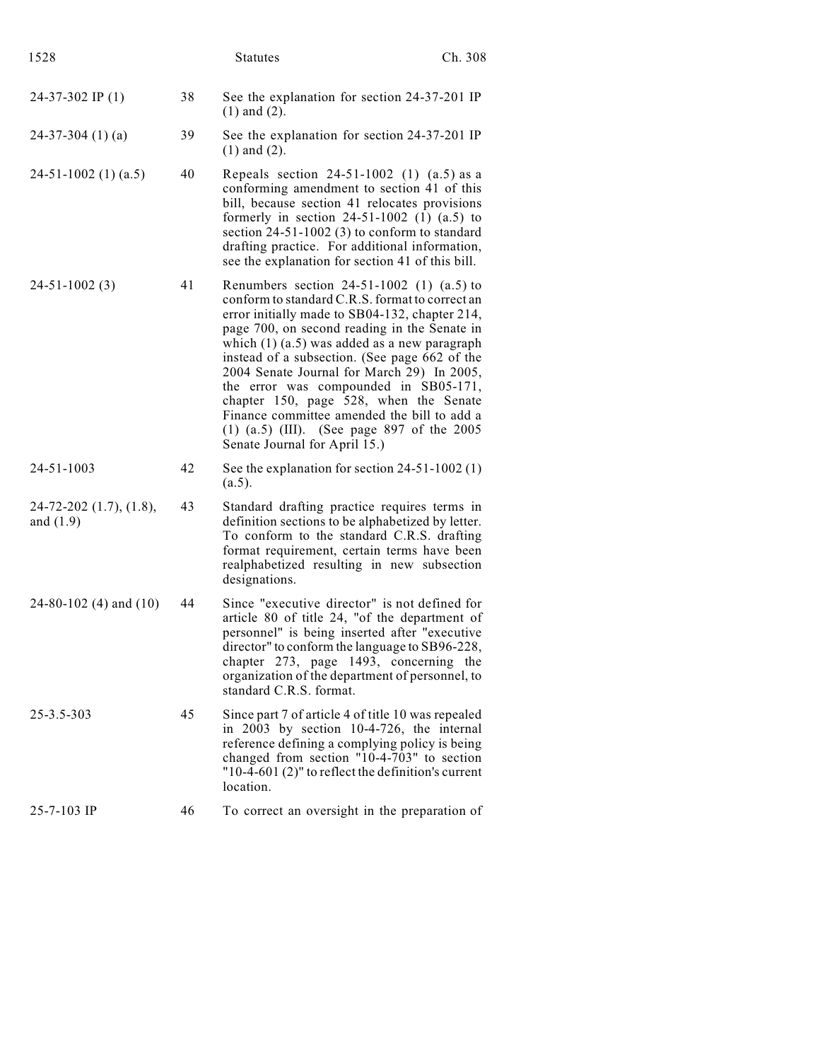| 1528                                   |    | <b>Statutes</b>                                                                                                                                                                                                                                                                                                                                                                                                                                                                                                                                                          | Ch. 308 |
|----------------------------------------|----|--------------------------------------------------------------------------------------------------------------------------------------------------------------------------------------------------------------------------------------------------------------------------------------------------------------------------------------------------------------------------------------------------------------------------------------------------------------------------------------------------------------------------------------------------------------------------|---------|
| $24-37-302$ IP (1)                     | 38 | See the explanation for section 24-37-201 IP<br>$(1)$ and $(2)$ .                                                                                                                                                                                                                                                                                                                                                                                                                                                                                                        |         |
| $24-37-304$ (1) (a)                    | 39 | See the explanation for section 24-37-201 IP<br>$(1)$ and $(2)$ .                                                                                                                                                                                                                                                                                                                                                                                                                                                                                                        |         |
| $24-51-1002$ (1) (a.5)                 | 40 | Repeals section $24-51-1002$ (1) $(a.5)$ as a<br>conforming amendment to section 41 of this<br>bill, because section 41 relocates provisions<br>formerly in section $24-51-1002$ (1) $(a.5)$ to<br>section $24-51-1002$ (3) to conform to standard<br>drafting practice. For additional information,<br>see the explanation for section 41 of this bill.                                                                                                                                                                                                                 |         |
| $24-51-1002(3)$                        | 41 | Renumbers section $24-51-1002$ (1) (a.5) to<br>conform to standard C.R.S. format to correct an<br>error initially made to SB04-132, chapter 214,<br>page 700, on second reading in the Senate in<br>which $(1)$ $(a.5)$ was added as a new paragraph<br>instead of a subsection. (See page 662 of the<br>2004 Senate Journal for March 29) In 2005,<br>the error was compounded in SB05-171,<br>chapter 150, page 528, when the Senate<br>Finance committee amended the bill to add a<br>$(1)$ $(a.5)$ (III). (See page 897 of the 2005<br>Senate Journal for April 15.) |         |
| 24-51-1003                             | 42 | See the explanation for section $24-51-1002$ (1)<br>(a.5).                                                                                                                                                                                                                                                                                                                                                                                                                                                                                                               |         |
| 24-72-202 (1.7), (1.8),<br>and $(1.9)$ | 43 | Standard drafting practice requires terms in<br>definition sections to be alphabetized by letter.<br>To conform to the standard C.R.S. drafting<br>format requirement, certain terms have been<br>realphabetized resulting in new subsection<br>designations.                                                                                                                                                                                                                                                                                                            |         |
| $24-80-102$ (4) and (10)               | 44 | Since "executive director" is not defined for<br>article 80 of title 24, "of the department of<br>personnel" is being inserted after "executive<br>director" to conform the language to SB96-228,<br>chapter 273, page 1493, concerning the<br>organization of the department of personnel, to<br>standard C.R.S. format.                                                                                                                                                                                                                                                |         |
| $25 - 3.5 - 303$                       | 45 | Since part 7 of article 4 of title 10 was repealed<br>in 2003 by section 10-4-726, the internal<br>reference defining a complying policy is being<br>changed from section "10-4-703" to section<br>" $10-4-601$ (2)" to reflect the definition's current<br>location.                                                                                                                                                                                                                                                                                                    |         |
| 25-7-103 IP                            | 46 | To correct an oversight in the preparation of                                                                                                                                                                                                                                                                                                                                                                                                                                                                                                                            |         |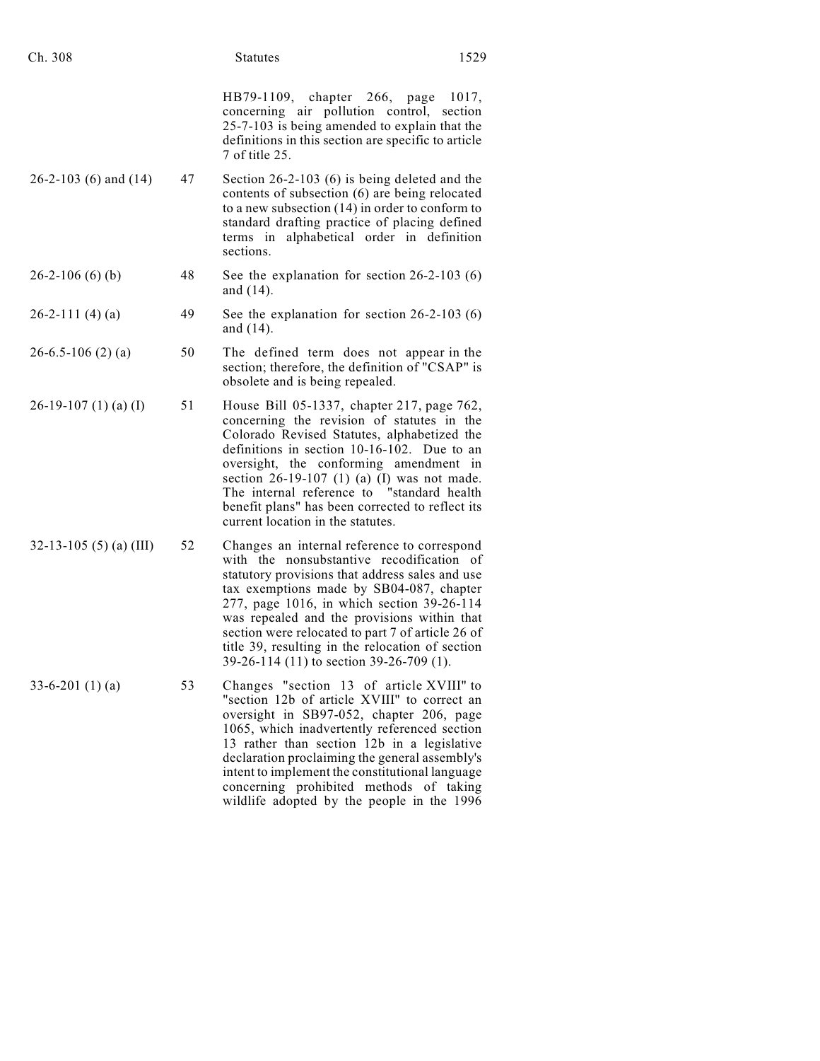| Ch. 308                  |    | <b>Statutes</b>                                                                                                                                                                                                                                                                                                                                                                                                                           | 1529  |
|--------------------------|----|-------------------------------------------------------------------------------------------------------------------------------------------------------------------------------------------------------------------------------------------------------------------------------------------------------------------------------------------------------------------------------------------------------------------------------------------|-------|
|                          |    | HB79-1109, chapter 266,<br>page<br>concerning air pollution control, section<br>25-7-103 is being amended to explain that the<br>definitions in this section are specific to article<br>7 of title 25.                                                                                                                                                                                                                                    | 1017, |
| $26-2-103$ (6) and (14)  | 47 | Section $26-2-103$ (6) is being deleted and the<br>contents of subsection (6) are being relocated<br>to a new subsection $(14)$ in order to conform to<br>standard drafting practice of placing defined<br>terms in alphabetical order in definition<br>sections.                                                                                                                                                                         |       |
| $26-2-106(6)(b)$         | 48 | See the explanation for section $26-2-103(6)$<br>and $(14)$ .                                                                                                                                                                                                                                                                                                                                                                             |       |
| $26-2-111(4)(a)$         | 49 | See the explanation for section $26-2-103(6)$<br>and $(14)$ .                                                                                                                                                                                                                                                                                                                                                                             |       |
| $26 - 6.5 - 106$ (2) (a) | 50 | The defined term does not appear in the<br>section; therefore, the definition of "CSAP" is<br>obsolete and is being repealed.                                                                                                                                                                                                                                                                                                             |       |
| $26-19-107$ (1) (a) (I)  | 51 | House Bill 05-1337, chapter 217, page 762,<br>concerning the revision of statutes in the<br>Colorado Revised Statutes, alphabetized the<br>definitions in section 10-16-102. Due to an<br>oversight, the conforming amendment in<br>section $26-19-107$ (1) (a) (I) was not made.<br>The internal reference to "standard health<br>benefit plans" has been corrected to reflect its<br>current location in the statutes.                  |       |
| 32-13-105 (5) (a) (III)  | 52 | Changes an internal reference to correspond<br>with the nonsubstantive recodification of<br>statutory provisions that address sales and use<br>tax exemptions made by SB04-087, chapter<br>277, page 1016, in which section 39-26-114<br>was repealed and the provisions within that<br>section were relocated to part 7 of article 26 of<br>title 39, resulting in the relocation of section<br>39-26-114 (11) to section 39-26-709 (1). |       |
| $33-6-201(1)(a)$         | 53 | Changes "section 13 of article XVIII" to<br>"section 12b of article XVIII" to correct an<br>oversight in SB97-052, chapter 206, page<br>1065, which inadvertently referenced section<br>13 rather than section 12b in a legislative<br>declaration proclaiming the general assembly's<br>intent to implement the constitutional language<br>concerning prohibited methods of taking<br>wildlife adopted by the people in the 1996         |       |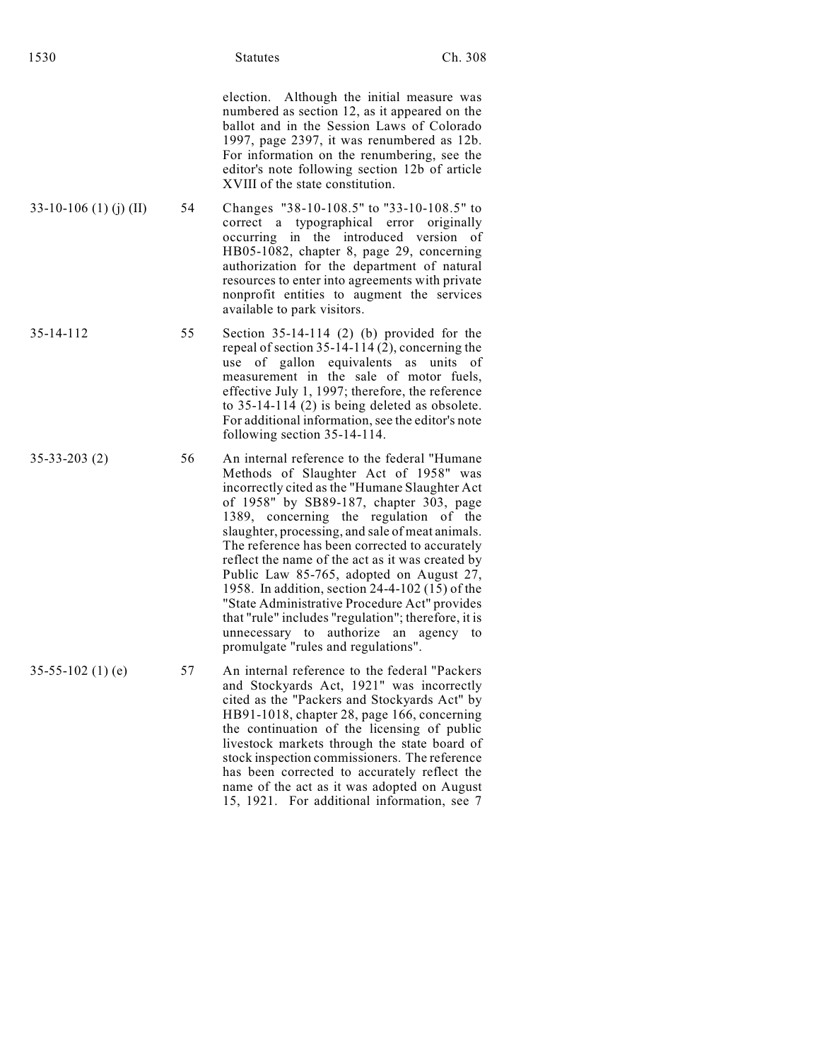election. Although the initial measure was numbered as section 12, as it appeared on the ballot and in the Session Laws of Colorado 1997, page 2397, it was renumbered as 12b. For information on the renumbering, see the editor's note following section 12b of article XVIII of the state constitution.

15, 1921. For additional information, see 7

- 33-10-106 (1) (j) (II) 54 Changes "38-10-108.5" to "33-10-108.5" to correct a typographical error originally occurring in the introduced version of HB05-1082, chapter 8, page 29, concerning authorization for the department of natural resources to enter into agreements with private nonprofit entities to augment the services available to park visitors.
- 35-14-112 55 Section 35-14-114 (2) (b) provided for the repeal of section 35-14-114 (2), concerning the use of gallon equivalents as units of measurement in the sale of motor fuels, effective July 1, 1997; therefore, the reference to 35-14-114 (2) is being deleted as obsolete. For additional information, see the editor's note following section 35-14-114.
- 35-33-203 (2) 56 An internal reference to the federal "Humane Methods of Slaughter Act of 1958" was incorrectly cited as the "Humane Slaughter Act of 1958" by SB89-187, chapter 303, page 1389, concerning the regulation of the slaughter, processing, and sale of meat animals. The reference has been corrected to accurately reflect the name of the act as it was created by Public Law 85-765, adopted on August 27, 1958. In addition, section 24-4-102 (15) of the "State Administrative Procedure Act" provides that "rule" includes "regulation"; therefore, it is unnecessary to authorize an agency to promulgate "rules and regulations".
- 35-55-102 (1) (e) 57 An internal reference to the federal "Packers and Stockyards Act, 1921" was incorrectly cited as the "Packers and Stockyards Act" by HB91-1018, chapter 28, page 166, concerning the continuation of the licensing of public livestock markets through the state board of stock inspection commissioners. The reference has been corrected to accurately reflect the name of the act as it was adopted on August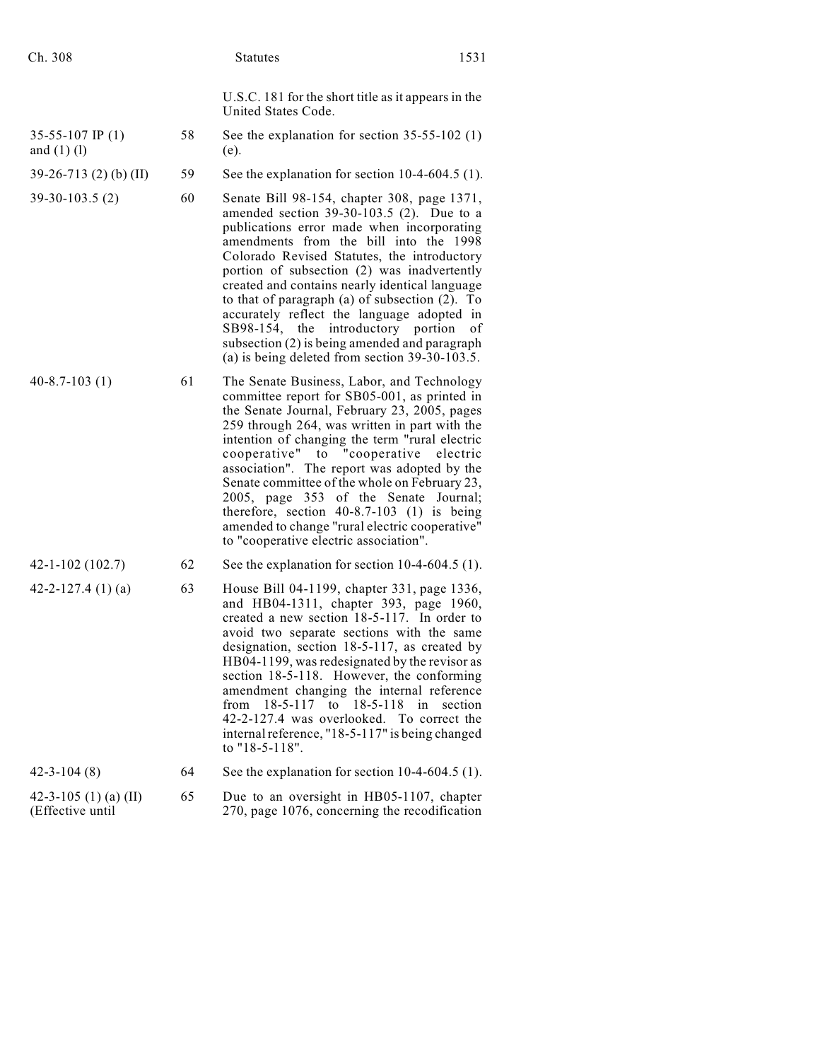| Ch. 308                                   |    | <b>Statutes</b>                                                                                                                                                                                                                                                                                                                                                                                                                                                                                                                                                                     | 1531     |
|-------------------------------------------|----|-------------------------------------------------------------------------------------------------------------------------------------------------------------------------------------------------------------------------------------------------------------------------------------------------------------------------------------------------------------------------------------------------------------------------------------------------------------------------------------------------------------------------------------------------------------------------------------|----------|
|                                           |    | U.S.C. 181 for the short title as it appears in the<br>United States Code.                                                                                                                                                                                                                                                                                                                                                                                                                                                                                                          |          |
| 35-55-107 IP $(1)$<br>and $(1)$ $(l)$     | 58 | See the explanation for section $35-55-102$ (1)<br>(e).                                                                                                                                                                                                                                                                                                                                                                                                                                                                                                                             |          |
| $39-26-713$ (2) (b) (II)                  | 59 | See the explanation for section $10-4-604.5$ (1).                                                                                                                                                                                                                                                                                                                                                                                                                                                                                                                                   |          |
| $39-30-103.5(2)$                          | 60 | Senate Bill 98-154, chapter 308, page 1371,<br>amended section $39-30-103.5$ (2). Due to a<br>publications error made when incorporating<br>amendments from the bill into the 1998<br>Colorado Revised Statutes, the introductory<br>portion of subsection (2) was inadvertently<br>created and contains nearly identical language<br>to that of paragraph $(a)$ of subsection $(2)$ . To<br>accurately reflect the language adopted in<br>SB98-154, the introductory portion<br>subsection (2) is being amended and paragraph<br>(a) is being deleted from section $39-30-103.5$ . | οf       |
| $40 - 8.7 - 103(1)$                       | 61 | The Senate Business, Labor, and Technology<br>committee report for SB05-001, as printed in<br>the Senate Journal, February 23, 2005, pages<br>259 through 264, was written in part with the<br>intention of changing the term "rural electric<br>cooperative" to "cooperative<br>association". The report was adopted by the<br>Senate committee of the whole on February 23,<br>2005, page 353 of the Senate Journal;<br>therefore, section $40-8.7-103$ (1) is being<br>amended to change "rural electric cooperative"<br>to "cooperative electric association".                  | electric |
| $42 - 1 - 102(102.7)$                     | 62 | See the explanation for section $10-4-604.5$ (1).                                                                                                                                                                                                                                                                                                                                                                                                                                                                                                                                   |          |
| 42-2-127.4 $(1)(a)$                       | 63 | House Bill 04-1199, chapter 331, page 1336,<br>and HB04-1311, chapter 393, page 1960,<br>created a new section 18-5-117. In order to<br>avoid two separate sections with the same<br>designation, section 18-5-117, as created by<br>HB04-1199, was redesignated by the revisor as<br>section 18-5-118. However, the conforming<br>amendment changing the internal reference<br>$18 - 5 - 117$ to<br>18-5-118<br>from<br>in<br>42-2-127.4 was overlooked. To correct the<br>internal reference, "18-5-117" is being changed<br>to "18-5-118".                                       | section  |
| $42 - 3 - 104(8)$                         | 64 | See the explanation for section $10-4-604.5$ (1).                                                                                                                                                                                                                                                                                                                                                                                                                                                                                                                                   |          |
| 42-3-105 (1) (a) (II)<br>(Effective until | 65 | Due to an oversight in HB05-1107, chapter<br>270, page 1076, concerning the recodification                                                                                                                                                                                                                                                                                                                                                                                                                                                                                          |          |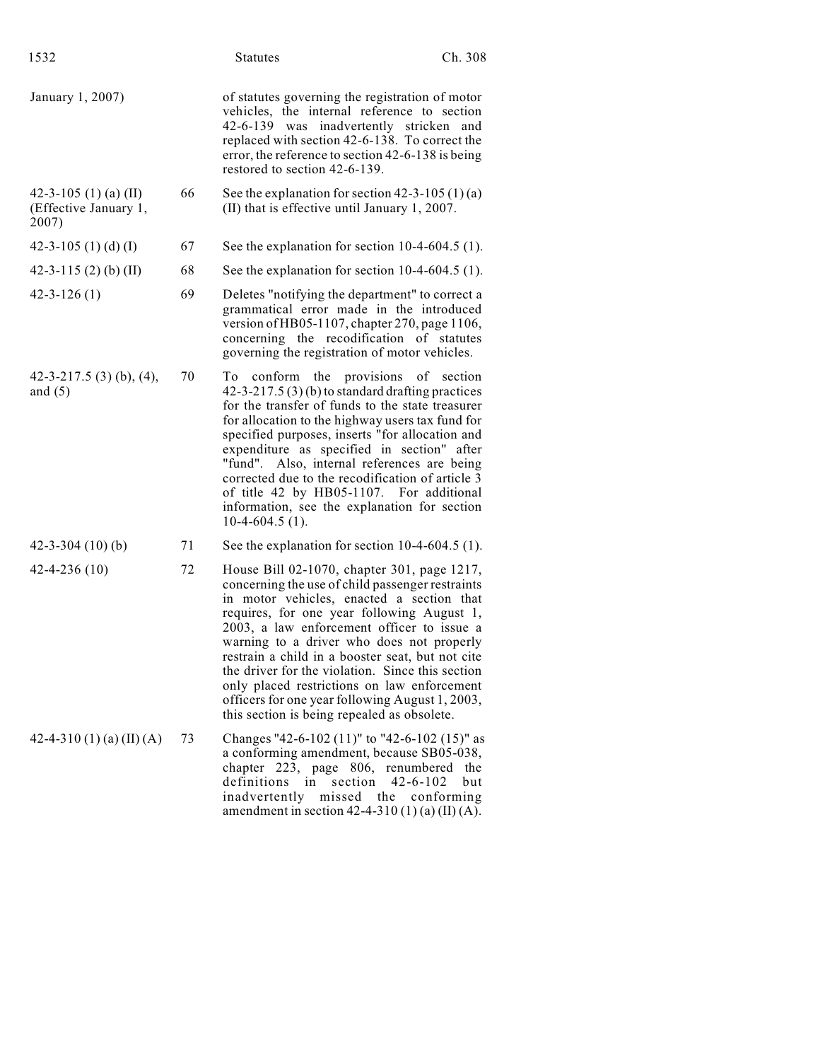| 1532                                                    |    | <b>Statutes</b>                                                                                                                                                                                                                                                                                                                                                                                                                                                                                                                                | Ch. 308                                    |
|---------------------------------------------------------|----|------------------------------------------------------------------------------------------------------------------------------------------------------------------------------------------------------------------------------------------------------------------------------------------------------------------------------------------------------------------------------------------------------------------------------------------------------------------------------------------------------------------------------------------------|--------------------------------------------|
| January 1, 2007)                                        |    | of statutes governing the registration of motor<br>vehicles, the internal reference to section<br>42-6-139 was inadvertently stricken<br>replaced with section 42-6-138. To correct the<br>error, the reference to section 42-6-138 is being<br>restored to section 42-6-139.                                                                                                                                                                                                                                                                  | and                                        |
| 42-3-105 (1) (a) (II)<br>(Effective January 1,<br>2007) | 66 | See the explanation for section $42-3-105(1)(a)$<br>(II) that is effective until January 1, 2007.                                                                                                                                                                                                                                                                                                                                                                                                                                              |                                            |
| 42-3-105 (1) (d) (I)                                    | 67 | See the explanation for section $10-4-604.5$ (1).                                                                                                                                                                                                                                                                                                                                                                                                                                                                                              |                                            |
| 42-3-115 $(2)$ $(b)$ $(II)$                             | 68 | See the explanation for section $10-4-604.5$ (1).                                                                                                                                                                                                                                                                                                                                                                                                                                                                                              |                                            |
| $42 - 3 - 126(1)$                                       | 69 | Deletes "notifying the department" to correct a<br>grammatical error made in the introduced<br>version of HB05-1107, chapter 270, page 1106,<br>concerning the recodification of statutes<br>governing the registration of motor vehicles.                                                                                                                                                                                                                                                                                                     |                                            |
| 42-3-217.5 (3) (b), (4),<br>and $(5)$                   | 70 | To conform the provisions of section<br>$42-3-217.5(3)(b)$ to standard drafting practices<br>for the transfer of funds to the state treasurer<br>for allocation to the highway users tax fund for<br>specified purposes, inserts "for allocation and<br>expenditure as specified in section" after<br>"fund". Also, internal references are being<br>corrected due to the recodification of article 3<br>of title 42 by HB05-1107. For additional<br>information, see the explanation for section<br>$10-4-604.5(1)$ .                         |                                            |
| $42 - 3 - 304$ (10) (b)                                 | 71 | See the explanation for section $10-4-604.5$ (1).                                                                                                                                                                                                                                                                                                                                                                                                                                                                                              |                                            |
| $42 - 4 - 236(10)$                                      | 72 | House Bill 02-1070, chapter 301, page 1217,<br>concerning the use of child passenger restraints<br>in motor vehicles, enacted a section that<br>requires, for one year following August 1,<br>2003, a law enforcement officer to issue a<br>warning to a driver who does not properly<br>restrain a child in a booster seat, but not cite<br>the driver for the violation. Since this section<br>only placed restrictions on law enforcement<br>officers for one year following August 1, 2003,<br>this section is being repealed as obsolete. |                                            |
| 42-4-310 (1) (a) (II) (A)                               | 73 | Changes "42-6-102 (11)" to "42-6-102 (15)" as<br>a conforming amendment, because SB05-038,<br>chapter 223, page 806, renumbered<br>definitions<br>section<br>in<br>inadvertently missed the<br>amendment in section 42-4-310 (1) (a) (II) (A).                                                                                                                                                                                                                                                                                                 | the<br>$42 - 6 - 102$<br>but<br>conforming |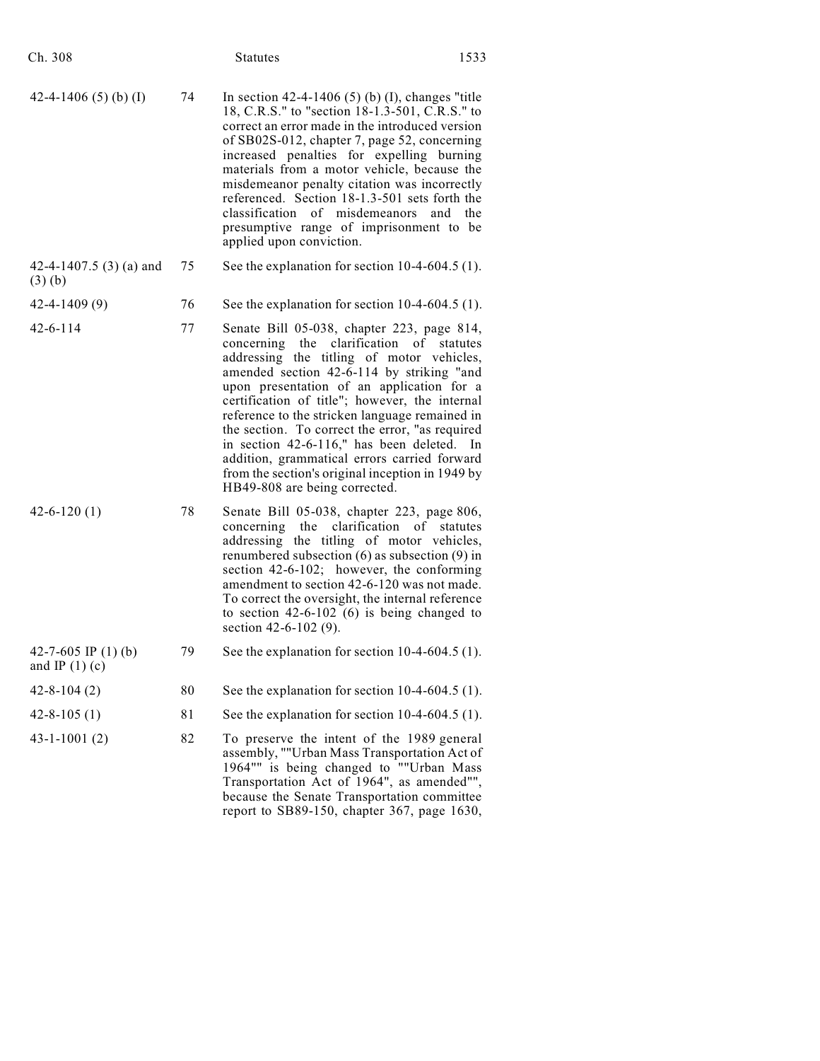| Ch. 308                                     |    | <b>Statutes</b>                                                                                                                                                                                                                                                                                                                                                                                                                                                                                                                                                      | 1533     |
|---------------------------------------------|----|----------------------------------------------------------------------------------------------------------------------------------------------------------------------------------------------------------------------------------------------------------------------------------------------------------------------------------------------------------------------------------------------------------------------------------------------------------------------------------------------------------------------------------------------------------------------|----------|
| 42-4-1406 (5) (b) (I)                       | 74 | In section $42-4-1406$ (5) (b) (I), changes "title<br>18, C.R.S." to "section 18-1.3-501, C.R.S." to<br>correct an error made in the introduced version<br>of SB02S-012, chapter 7, page 52, concerning<br>increased penalties for expelling burning<br>materials from a motor vehicle, because the<br>misdemeanor penalty citation was incorrectly<br>referenced. Section 18-1.3-501 sets forth the<br>classification of misdemeanors<br>and<br>presumptive range of imprisonment to be<br>applied upon conviction.                                                 | the      |
| 42-4-1407.5 $(3)$ (a) and<br>$(3)$ $(b)$    | 75 | See the explanation for section $10-4-604.5$ (1).                                                                                                                                                                                                                                                                                                                                                                                                                                                                                                                    |          |
| $42 - 4 - 1409(9)$                          | 76 | See the explanation for section $10-4-604.5$ (1).                                                                                                                                                                                                                                                                                                                                                                                                                                                                                                                    |          |
| $42 - 6 - 114$                              | 77 | Senate Bill 05-038, chapter 223, page 814,<br>concerning the clarification of statutes<br>addressing the titling of motor vehicles,<br>amended section 42-6-114 by striking "and<br>upon presentation of an application for a<br>certification of title"; however, the internal<br>reference to the stricken language remained in<br>the section. To correct the error, "as required<br>in section 42-6-116," has been deleted.<br>addition, grammatical errors carried forward<br>from the section's original inception in 1949 by<br>HB49-808 are being corrected. | - In     |
| $42 - 6 - 120(1)$                           | 78 | Senate Bill 05-038, chapter 223, page 806,<br>clarification<br>the<br>of<br>concerning<br>addressing the titling of motor vehicles,<br>renumbered subsection $(6)$ as subsection $(9)$ in<br>section 42-6-102; however, the conforming<br>amendment to section 42-6-120 was not made.<br>To correct the oversight, the internal reference<br>to section $42-6-102$ (6) is being changed to<br>section 42-6-102 (9).                                                                                                                                                  | statutes |
| 42-7-605 IP $(1)$ (b)<br>and IP $(1)$ $(c)$ | 79 | See the explanation for section 10-4-604.5 (1).                                                                                                                                                                                                                                                                                                                                                                                                                                                                                                                      |          |
| $42 - 8 - 104(2)$                           | 80 | See the explanation for section $10-4-604.5$ (1).                                                                                                                                                                                                                                                                                                                                                                                                                                                                                                                    |          |
| $42 - 8 - 105(1)$                           | 81 | See the explanation for section $10-4-604.5$ (1).                                                                                                                                                                                                                                                                                                                                                                                                                                                                                                                    |          |
| $43 - 1 - 1001(2)$                          | 82 | To preserve the intent of the 1989 general<br>assembly, ""Urban Mass Transportation Act of<br>1964"" is being changed to ""Urban Mass<br>Transportation Act of 1964", as amended"",<br>because the Senate Transportation committee<br>report to SB89-150, chapter 367, page 1630,                                                                                                                                                                                                                                                                                    |          |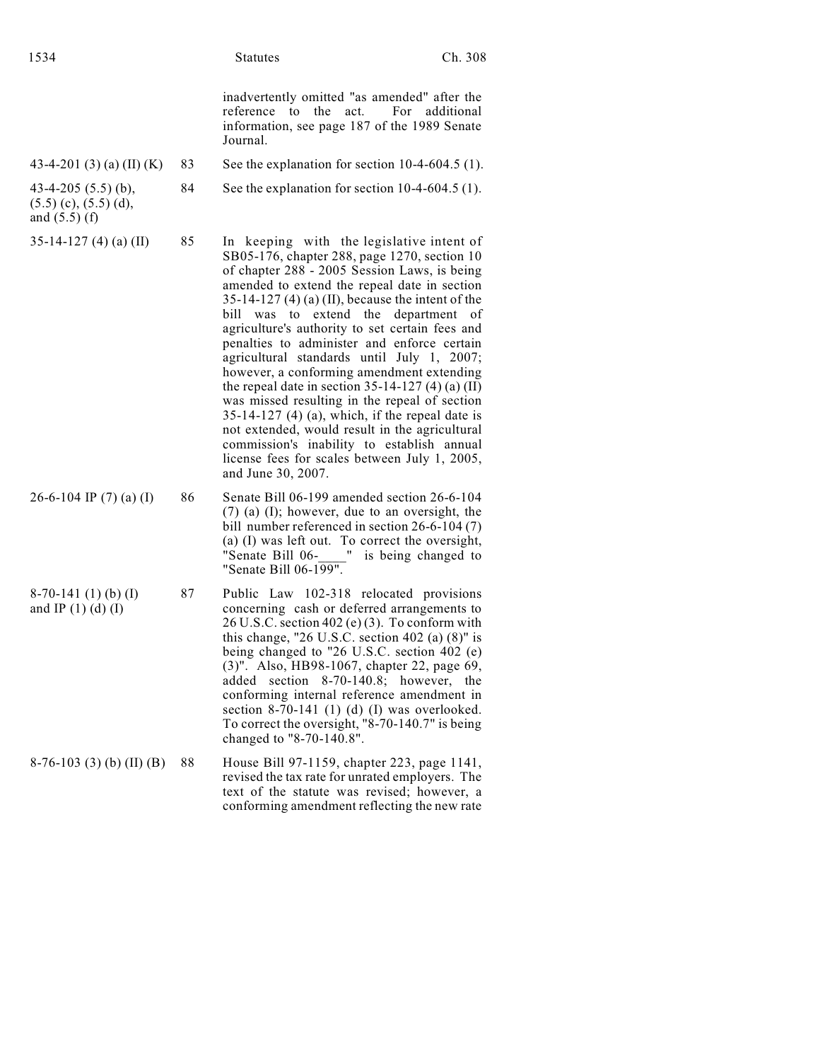| 1534                                                                  |    | <b>Statutes</b>                                                                                                                                                                                                                                                                                                                                                                                                                                                                                                                                                                                                                                                                                                                                                                                                       | Ch. 308    |
|-----------------------------------------------------------------------|----|-----------------------------------------------------------------------------------------------------------------------------------------------------------------------------------------------------------------------------------------------------------------------------------------------------------------------------------------------------------------------------------------------------------------------------------------------------------------------------------------------------------------------------------------------------------------------------------------------------------------------------------------------------------------------------------------------------------------------------------------------------------------------------------------------------------------------|------------|
|                                                                       |    | inadvertently omitted "as amended" after the<br>reference to the act.<br>For<br>information, see page 187 of the 1989 Senate<br>Journal.                                                                                                                                                                                                                                                                                                                                                                                                                                                                                                                                                                                                                                                                              | additional |
| 43-4-201 $(3)$ $(a)$ $(II)$ $(K)$                                     | 83 | See the explanation for section $10-4-604.5$ (1).                                                                                                                                                                                                                                                                                                                                                                                                                                                                                                                                                                                                                                                                                                                                                                     |            |
| 43-4-205 $(5.5)$ (b),<br>$(5.5)$ (c), $(5.5)$ (d),<br>and $(5.5)$ (f) | 84 | See the explanation for section $10-4-604.5(1)$ .                                                                                                                                                                                                                                                                                                                                                                                                                                                                                                                                                                                                                                                                                                                                                                     |            |
| $35-14-127$ (4) (a) (II)                                              | 85 | In keeping with the legislative intent of<br>SB05-176, chapter 288, page 1270, section 10<br>of chapter 288 - 2005 Session Laws, is being<br>amended to extend the repeal date in section<br>$35-14-127$ (4) (a) (II), because the intent of the<br>bill was to extend the department<br>agriculture's authority to set certain fees and<br>penalties to administer and enforce certain<br>agricultural standards until July 1, 2007;<br>however, a conforming amendment extending<br>the repeal date in section $35-14-127(4)$ (a) (II)<br>was missed resulting in the repeal of section<br>$35-14-127$ (4) (a), which, if the repeal date is<br>not extended, would result in the agricultural<br>commission's inability to establish annual<br>license fees for scales between July 1, 2005,<br>and June 30, 2007. | of         |
| 26-6-104 IP $(7)$ (a) (I)                                             | 86 | Senate Bill 06-199 amended section 26-6-104<br>(7) (a) (I); however, due to an oversight, the<br>bill number referenced in section $26-6-104(7)$<br>(a) (I) was left out. To correct the oversight,<br>"Senate Bill 06- " is being changed to<br>"Senate Bill 06-199".                                                                                                                                                                                                                                                                                                                                                                                                                                                                                                                                                |            |
| $8-70-141$ (1) (b) (I)<br>and IP $(1)$ $(d)$ $(I)$                    | 87 | Public Law 102-318 relocated provisions<br>concerning cash or deferred arrangements to<br>$26$ U.S.C. section 402 (e) (3). To conform with<br>this change, "26 U.S.C. section 402 (a) $(8)$ " is<br>being changed to "26 U.S.C. section 402 (e)<br>(3)". Also, HB98-1067, chapter 22, page 69,<br>added section 8-70-140.8; however, the<br>conforming internal reference amendment in<br>section $8-70-141$ (1) (d) (I) was overlooked.<br>To correct the oversight, "8-70-140.7" is being<br>changed to "8-70-140.8".                                                                                                                                                                                                                                                                                               |            |
| $8-76-103$ (3) (b) (II) (B)                                           | 88 | House Bill 97-1159, chapter 223, page 1141,<br>revised the tax rate for unrated employers. The<br>text of the statute was revised; however, a<br>conforming amendment reflecting the new rate                                                                                                                                                                                                                                                                                                                                                                                                                                                                                                                                                                                                                         |            |